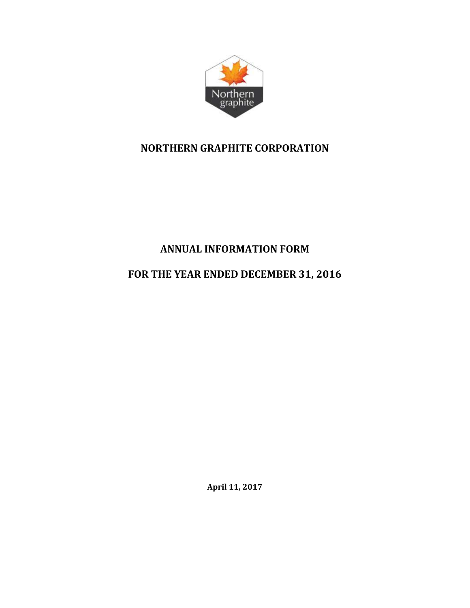

# **NORTHERN GRAPHITE CORPORATION**

# **ANNUAL INFORMATION FORM**

# **FOR THE YEAR ENDED DECEMBER 31, 2016**

**April 11, 2017**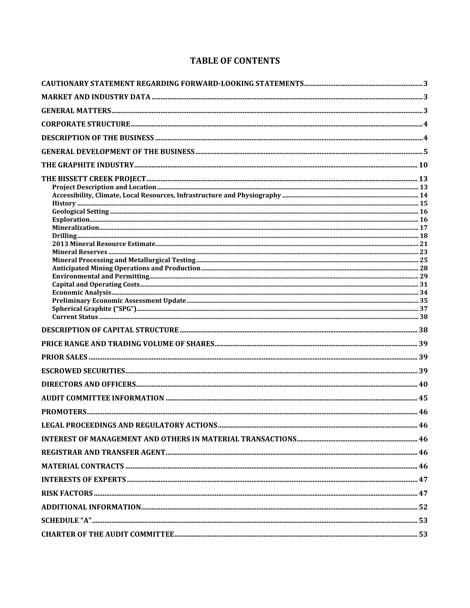## **TABLE OF CONTENTS**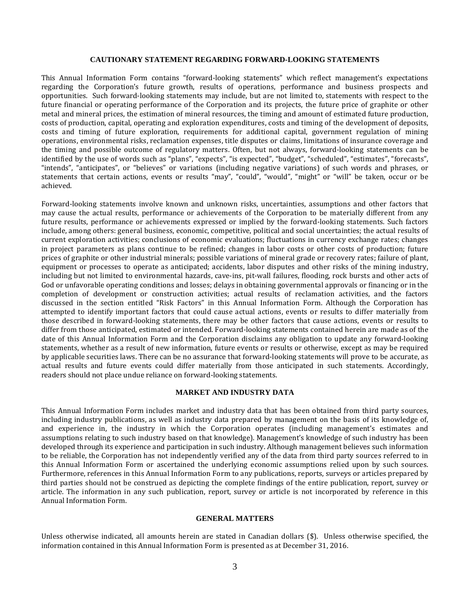#### **CAUTIONARY STATEMENT REGARDING FORWARD-LOOKING STATEMENTS**

This Annual Information Form contains "forward-looking statements" which reflect management's expectations regarding the Corporation's future growth, results of operations, performance and business prospects and opportunities. Such forward-looking statements may include, but are not limited to, statements with respect to the future financial or operating performance of the Corporation and its projects, the future price of graphite or other metal and mineral prices, the estimation of mineral resources, the timing and amount of estimated future production, costs of production, capital, operating and exploration expenditures, costs and timing of the development of deposits, costs and timing of future exploration, requirements for additional capital, government regulation of mining operations, environmental risks, reclamation expenses, title disputes or claims, limitations of insurance coverage and the timing and possible outcome of regulatory matters. Often, but not always, forward-looking statements can be identified by the use of words such as "plans", "expects", "is expected", "budget", "scheduled", "estimates", "forecasts", "intends", "anticipates", or "believes" or variations (including negative variations) of such words and phrases, or statements that certain actions, events or results "may", "could", "would", "might" or "will" be taken, occur or be achieved.

Forward-looking statements involve known and unknown risks, uncertainties, assumptions and other factors that may cause the actual results, performance or achievements of the Corporation to be materially different from any future results, performance or achievements expressed or implied by the forward-looking statements. Such factors include, among others: general business, economic, competitive, political and social uncertainties; the actual results of current exploration activities; conclusions of economic evaluations; fluctuations in currency exchange rates; changes in project parameters as plans continue to be refined; changes in labor costs or other costs of production; future prices of graphite or other industrial minerals; possible variations of mineral grade or recovery rates; failure of plant, equipment or processes to operate as anticipated; accidents, labor disputes and other risks of the mining industry, including but not limited to environmental hazards, cave-ins, pit-wall failures, flooding, rock bursts and other acts of God or unfavorable operating conditions and losses; delays in obtaining governmental approvals or financing or in the completion of development or construction activities; actual results of reclamation activities, and the factors discussed in the section entitled "Risk Factors" in this Annual Information Form. Although the Corporation has attempted to identify important factors that could cause actual actions, events or results to differ materially from those described in forward-looking statements, there may be other factors that cause actions, events or results to differ from those anticipated, estimated or intended. Forward-looking statements contained herein are made as of the date of this Annual Information Form and the Corporation disclaims any obligation to update any forward-looking statements, whether as a result of new information, future events or results or otherwise, except as may be required by applicable securities laws. There can be no assurance that forward-looking statements will prove to be accurate, as actual results and future events could differ materially from those anticipated in such statements. Accordingly, readers should not place undue reliance on forward-looking statements.

## **MARKET AND INDUSTRY DATA**

This Annual Information Form includes market and industry data that has been obtained from third party sources, including industry publications, as well as industry data prepared by management on the basis of its knowledge of, and experience in, the industry in which the Corporation operates (including management's estimates and assumptions relating to such industry based on that knowledge). Management's knowledge of such industry has been developed through its experience and participation in such industry. Although management believes such information to be reliable, the Corporation has not independently verified any of the data from third party sources referred to in this Annual Information Form or ascertained the underlying economic assumptions relied upon by such sources. Furthermore, references in this Annual Information Form to any publications, reports, surveys or articles prepared by third parties should not be construed as depicting the complete findings of the entire publication, report, survey or article. The information in any such publication, report, survey or article is not incorporated by reference in this Annual Information Form.

#### **GENERAL MATTERS**

Unless otherwise indicated, all amounts herein are stated in Canadian dollars (\$). Unless otherwise specified, the information contained in this Annual Information Form is presented as at December 31, 2016.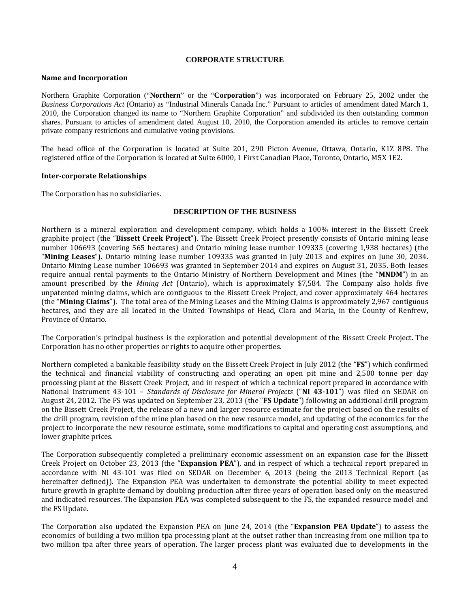#### **CORPORATE STRUCTURE**

#### **Name and Incorporation**

Northern Graphite Corporation ("**Northern**" or the "**Corporation**") was incorporated on February 25, 2002 under the *Business Corporations Act* (Ontario) as "Industrial Minerals Canada Inc." Pursuant to articles of amendment dated March 1, 2010, the Corporation changed its name to "Northern Graphite Corporation" and subdivided its then outstanding common shares. Pursuant to articles of amendment dated August 10, 2010, the Corporation amended its articles to remove certain private company restrictions and cumulative voting provisions.

The head office of the Corporation is located at Suite 201, 290 Picton Avenue, Ottawa, Ontario, K1Z 8P8. The registered office of the Corporation is located at Suite 6000, 1 First Canadian Place, Toronto, Ontario, M5X 1E2.

#### **Inter-corporate Relationships**

The Corporation has no subsidiaries.

## **DESCRIPTION OF THE BUSINESS**

Northern is a mineral exploration and development company, which holds a 100% interest in the Bissett Creek graphite project (the "**Bissett Creek Project**"). The Bissett Creek Project presently consists of Ontario mining lease number 106693 (covering 565 hectares) and Ontario mining lease number 109335 (covering 1,938 hectares) (the "**Mining Leases**"). Ontario mining lease number 109335 was granted in July 2013 and expires on June 30, 2034. Ontario Mining Lease number 106693 was granted in September 2014 and expires on August 31, 2035. Both leases require annual rental payments to the Ontario Ministry of Northern Development and Mines (the "**MNDM**") in an amount prescribed by the *Mining Act* (Ontario), which is approximately \$7,584. The Company also holds five unpatented mining claims, which are contiguous to the Bissett Creek Project, and cover approximately 464 hectares (the "**Mining Claims**"). The total area of the Mining Leases and the Mining Claims is approximately 2,967 contiguous hectares, and they are all located in the United Townships of Head, Clara and Maria, in the County of Renfrew, Province of Ontario.

The Corporation's principal business is the exploration and potential development of the Bissett Creek Project. The Corporation has no other properties or rights to acquire other properties.

Northern completed a bankable feasibility study on the Bissett Creek Project in July 2012 (the "**FS**") which confirmed the technical and financial viability of constructing and operating an open pit mine and 2,500 tonne per day processing plant at the Bissett Creek Project, and in respect of which a technical report prepared in accordance with National Instrument 43-101 – *Standards of Disclosure for Mineral Projects* ("**NI 43-101**") was filed on SEDAR on August 24, 2012. The FS was updated on September 23, 2013 (the "**FS Update**") following an additional drill program on the Bissett Creek Project, the release of a new and larger resource estimate for the project based on the results of the drill program, revision of the mine plan based on the new resource model, and updating of the economics for the project to incorporate the new resource estimate, some modifications to capital and operating cost assumptions, and lower graphite prices.

The Corporation subsequently completed a preliminary economic assessment on an expansion case for the Bissett Creek Project on October 23, 2013 (the "**Expansion PEA**"), and in respect of which a technical report prepared in accordance with NI 43-101 was filed on SEDAR on December 6, 2013 (being the 2013 Technical Report (as hereinafter defined)). The Expansion PEA was undertaken to demonstrate the potential ability to meet expected future growth in graphite demand by doubling production after three years of operation based only on the measured and indicated resources. The Expansion PEA was completed subsequent to the FS, the expanded resource model and the FS Update.

The Corporation also updated the Expansion PEA on June 24, 2014 (the "**Expansion PEA Update**") to assess the economics of building a two million tpa processing plant at the outset rather than increasing from one million tpa to two million tpa after three years of operation. The larger process plant was evaluated due to developments in the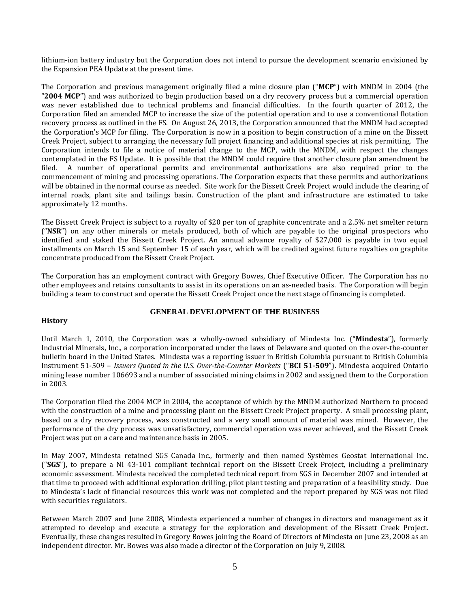lithium-ion battery industry but the Corporation does not intend to pursue the development scenario envisioned by the Expansion PEA Update at the present time.

The Corporation and previous management originally filed a mine closure plan ("**MCP**") with MNDM in 2004 (the "**2004 MCP**") and was authorized to begin production based on a dry recovery process but a commercial operation was never established due to technical problems and financial difficulties. In the fourth quarter of 2012, the Corporation filed an amended MCP to increase the size of the potential operation and to use a conventional flotation recovery process as outlined in the FS. On August 26, 2013, the Corporation announced that the MNDM had accepted the Corporation's MCP for filing. The Corporation is now in a position to begin construction of a mine on the Bissett Creek Project, subject to arranging the necessary full project financing and additional species at risk permitting. The Corporation intends to file a notice of material change to the MCP, with the MNDM, with respect the changes contemplated in the FS Update. It is possible that the MNDM could require that another closure plan amendment be filed. A number of operational permits and environmental authorizations are also required prior to the commencement of mining and processing operations. The Corporation expects that these permits and authorizations will be obtained in the normal course as needed. Site work for the Bissett Creek Project would include the clearing of internal roads, plant site and tailings basin. Construction of the plant and infrastructure are estimated to take approximately 12 months.

The Bissett Creek Project is subject to a royalty of \$20 per ton of graphite concentrate and a 2.5% net smelter return ("**NSR**") on any other minerals or metals produced, both of which are payable to the original prospectors who identified and staked the Bissett Creek Project. An annual advance royalty of \$27,000 is payable in two equal installments on March 15 and September 15 of each year, which will be credited against future royalties on graphite concentrate produced from the Bissett Creek Project.

The Corporation has an employment contract with Gregory Bowes, Chief Executive Officer. The Corporation has no other employees and retains consultants to assist in its operations on an as-needed basis. The Corporation will begin building a team to construct and operate the Bissett Creek Project once the next stage of financing is completed.

## **History**

## **GENERAL DEVELOPMENT OF THE BUSINESS**

Until March 1, 2010, the Corporation was a wholly-owned subsidiary of Mindesta Inc. ("**Mindesta**"), formerly Industrial Minerals, Inc., a corporation incorporated under the laws of Delaware and quoted on the over-the-counter bulletin board in the United States. Mindesta was a reporting issuer in British Columbia pursuant to British Columbia Instrument 51-509 – *Issuers Quoted in the U.S. Over-the-Counter Markets* ("**BCI 51-509**"). Mindesta acquired Ontario mining lease number 106693 and a number of associated mining claims in 2002 and assigned them to the Corporation in 2003.

The Corporation filed the 2004 MCP in 2004, the acceptance of which by the MNDM authorized Northern to proceed with the construction of a mine and processing plant on the Bissett Creek Project property. A small processing plant, based on a dry recovery process, was constructed and a very small amount of material was mined. However, the performance of the dry process was unsatisfactory, commercial operation was never achieved, and the Bissett Creek Project was put on a care and maintenance basis in 2005.

In May 2007, Mindesta retained SGS Canada Inc., formerly and then named Systèmes Geostat International Inc. ("**SGS**"), to prepare a NI 43-101 compliant technical report on the Bissett Creek Project, including a preliminary economic assessment. Mindesta received the completed technical report from SGS in December 2007 and intended at that time to proceed with additional exploration drilling, pilot plant testing and preparation of a feasibility study. Due to Mindesta's lack of financial resources this work was not completed and the report prepared by SGS was not filed with securities regulators.

Between March 2007 and June 2008, Mindesta experienced a number of changes in directors and management as it attempted to develop and execute a strategy for the exploration and development of the Bissett Creek Project. Eventually, these changes resulted in Gregory Bowes joining the Board of Directors of Mindesta on June 23, 2008 as an independent director. Mr. Bowes was also made a director of the Corporation on July 9, 2008.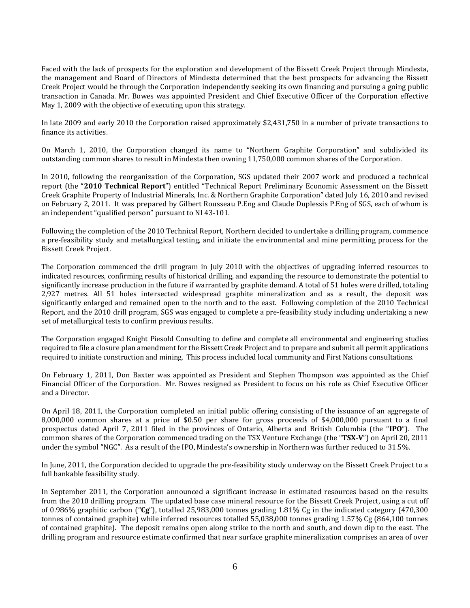Faced with the lack of prospects for the exploration and development of the Bissett Creek Project through Mindesta, the management and Board of Directors of Mindesta determined that the best prospects for advancing the Bissett Creek Project would be through the Corporation independently seeking its own financing and pursuing a going public transaction in Canada. Mr. Bowes was appointed President and Chief Executive Officer of the Corporation effective May 1, 2009 with the objective of executing upon this strategy.

In late 2009 and early 2010 the Corporation raised approximately \$2,431,750 in a number of private transactions to finance its activities.

On March 1, 2010, the Corporation changed its name to "Northern Graphite Corporation" and subdivided its outstanding common shares to result in Mindesta then owning 11,750,000 common shares of the Corporation.

In 2010, following the reorganization of the Corporation, SGS updated their 2007 work and produced a technical report (the "**2010 Technical Report**") entitled "Technical Report Preliminary Economic Assessment on the Bissett Creek Graphite Property of Industrial Minerals, Inc. & Northern Graphite Corporation" dated July 16, 2010 and revised on February 2, 2011. It was prepared by Gilbert Rousseau P.Eng and Claude Duplessis P.Eng of SGS, each of whom is an independent "qualified person" pursuant to NI 43-101.

Following the completion of the 2010 Technical Report, Northern decided to undertake a drilling program, commence a pre-feasibility study and metallurgical testing, and initiate the environmental and mine permitting process for the Bissett Creek Project.

The Corporation commenced the drill program in July 2010 with the objectives of upgrading inferred resources to indicated resources, confirming results of historical drilling, and expanding the resource to demonstrate the potential to significantly increase production in the future if warranted by graphite demand. A total of 51 holes were drilled, totaling 2,927 metres. All 51 holes intersected widespread graphite mineralization and as a result, the deposit was significantly enlarged and remained open to the north and to the east. Following completion of the 2010 Technical Report, and the 2010 drill program, SGS was engaged to complete a pre-feasibility study including undertaking a new set of metallurgical tests to confirm previous results.

The Corporation engaged Knight Piesold Consulting to define and complete all environmental and engineering studies required to file a closure plan amendment for the Bissett Creek Project and to prepare and submit all permit applications required to initiate construction and mining. This process included local community and First Nations consultations.

On February 1, 2011, Don Baxter was appointed as President and Stephen Thompson was appointed as the Chief Financial Officer of the Corporation. Mr. Bowes resigned as President to focus on his role as Chief Executive Officer and a Director.

On April 18, 2011, the Corporation completed an initial public offering consisting of the issuance of an aggregate of 8,000,000 common shares at a price of \$0.50 per share for gross proceeds of \$4,000,000 pursuant to a final prospectus dated April 7, 2011 filed in the provinces of Ontario, Alberta and British Columbia (the "**IPO**"). The common shares of the Corporation commenced trading on the TSX Venture Exchange (the "**TSX-V**") on April 20, 2011 under the symbol "NGC". As a result of the IPO, Mindesta's ownership in Northern was further reduced to 31.5%.

In June, 2011, the Corporation decided to upgrade the pre-feasibility study underway on the Bissett Creek Project to a full bankable feasibility study.

In September 2011, the Corporation announced a significant increase in estimated resources based on the results from the 2010 drilling program. The updated base case mineral resource for the Bissett Creek Project, using a cut off of 0.986% graphitic carbon ("**Cg**"), totalled 25,983,000 tonnes grading 1.81% Cg in the indicated category (470,300 tonnes of contained graphite) while inferred resources totalled 55,038,000 tonnes grading 1.57% Cg (864,100 tonnes of contained graphite). The deposit remains open along strike to the north and south, and down dip to the east. The drilling program and resource estimate confirmed that near surface graphite mineralization comprises an area of over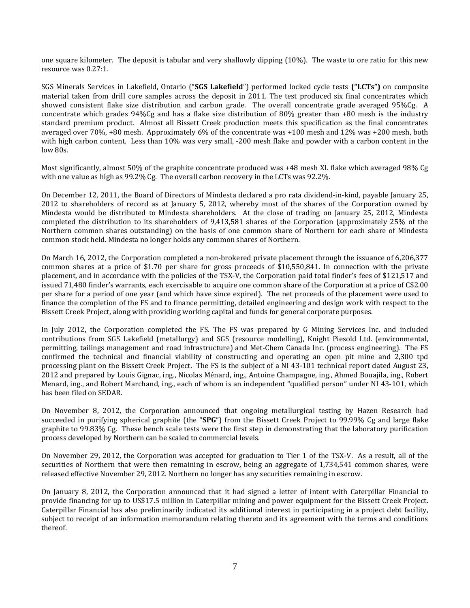one square kilometer. The deposit is tabular and very shallowly dipping (10%). The waste to ore ratio for this new resource was 0.27:1.

SGS Minerals Services in Lakefield, Ontario ("**SGS Lakefield**") performed locked cycle tests **("LCTs")** on composite material taken from drill core samples across the deposit in 2011. The test produced six final concentrates which showed consistent flake size distribution and carbon grade. The overall concentrate grade averaged 95%Cg. A concentrate which grades 94%Cg and has a flake size distribution of 80% greater than +80 mesh is the industry standard premium product. Almost all Bissett Creek production meets this specification as the final concentrates averaged over 70%, +80 mesh. Approximately 6% of the concentrate was +100 mesh and 12% was +200 mesh, both with high carbon content. Less than 10% was very small, -200 mesh flake and powder with a carbon content in the low 80s.

Most significantly, almost 50% of the graphite concentrate produced was +48 mesh XL flake which averaged 98% Cg with one value as high as 99.2% Cg. The overall carbon recovery in the LCTs was 92.2%.

On December 12, 2011, the Board of Directors of Mindesta declared a pro rata dividend-in-kind, payable January 25, 2012 to shareholders of record as at January 5, 2012, whereby most of the shares of the Corporation owned by Mindesta would be distributed to Mindesta shareholders. At the close of trading on January 25, 2012, Mindesta completed the distribution to its shareholders of 9,413,581 shares of the Corporation (approximately 25% of the Northern common shares outstanding) on the basis of one common share of Northern for each share of Mindesta common stock held. Mindesta no longer holds any common shares of Northern.

On March 16, 2012, the Corporation completed a non-brokered private placement through the issuance of 6,206,377 common shares at a price of \$1.70 per share for gross proceeds of \$10,550,841. In connection with the private placement, and in accordance with the policies of the TSX-V, the Corporation paid total finder's fees of \$121,517 and issued 71,480 finder's warrants, each exercisable to acquire one common share of the Corporation at a price of C\$2.00 per share for a period of one year (and which have since expired). The net proceeds of the placement were used to finance the completion of the FS and to finance permitting, detailed engineering and design work with respect to the Bissett Creek Project, along with providing working capital and funds for general corporate purposes.

In July 2012, the Corporation completed the FS. The FS was prepared by G Mining Services Inc. and included contributions from SGS Lakefield (metallurgy) and SGS (resource modelling), Knight Piesold Ltd. (environmental, permitting, tailings management and road infrastructure) and Met-Chem Canada Inc. (process engineering). The FS confirmed the technical and financial viability of constructing and operating an open pit mine and 2,300 tpd processing plant on the Bissett Creek Project.The FS is the subject of a NI 43-101 technical report dated August 23, 2012 and prepared by Louis Gignac, ing., Nicolas Ménard, ing., Antoine Champagne, ing., Ahmed Bouajila, ing., Robert Menard, ing., and Robert Marchand, ing., each of whom is an independent "qualified person" under NI 43-101, which has been filed on SEDAR.

On November 8, 2012, the Corporation announced that ongoing metallurgical testing by Hazen Research had succeeded in purifying spherical graphite (the "**SPG**") from the Bissett Creek Project to 99.99% Cg and large flake graphite to 99.83% Cg. These bench scale tests were the first step in demonstrating that the laboratory purification process developed by Northern can be scaled to commercial levels.

On November 29, 2012, the Corporation was accepted for graduation to Tier 1 of the TSX-V. As a result, all of the securities of Northern that were then remaining in escrow, being an aggregate of 1,734,541 common shares, were released effective November 29, 2012. Northern no longer has any securities remaining in escrow.

On January 8, 2012, the Corporation announced that it had signed a letter of intent with Caterpillar Financial to provide financing for up to US\$17.5 million in Caterpillar mining and power equipment for the Bissett Creek Project. Caterpillar Financial has also preliminarily indicated its additional interest in participating in a project debt facility, subject to receipt of an information memorandum relating thereto and its agreement with the terms and conditions thereof.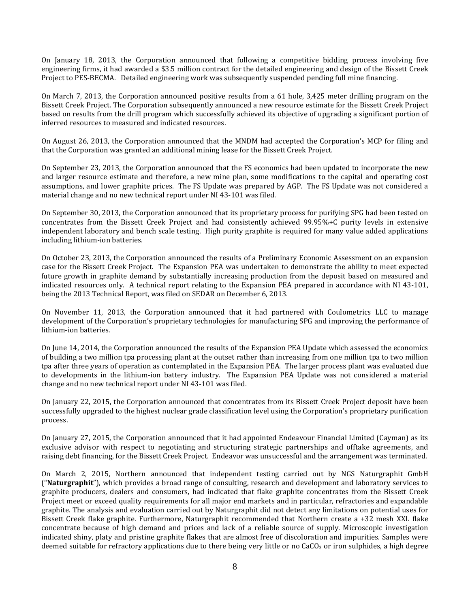On January 18, 2013, the Corporation announced that following a competitive bidding process involving five engineering firms, it had awarded a \$3.5 million contract for the detailed engineering and design of the Bissett Creek Project to PES-BECMA. Detailed engineering work was subsequently suspended pending full mine financing.

On March 7, 2013, the Corporation announced positive results from a 61 hole, 3,425 meter drilling program on the Bissett Creek Project. The Corporation subsequently announced a new resource estimate for the Bissett Creek Project based on results from the drill program which successfully achieved its objective of upgrading a significant portion of inferred resources to measured and indicated resources.

On August 26, 2013, the Corporation announced that the MNDM had accepted the Corporation's MCP for filing and that the Corporation was granted an additional mining lease for the Bissett Creek Project.

On September 23, 2013, the Corporation announced that the FS economics had been updated to incorporate the new and larger resource estimate and therefore, a new mine plan, some modifications to the capital and operating cost assumptions, and lower graphite prices. The FS Update was prepared by AGP. The FS Update was not considered a material change and no new technical report under NI 43-101 was filed.

On September 30, 2013, the Corporation announced that its proprietary process for purifying SPG had been tested on concentrates from the Bissett Creek Project and had consistently achieved 99.95%+C purity levels in extensive independent laboratory and bench scale testing. High purity graphite is required for many value added applications including lithium-ion batteries.

On October 23, 2013, the Corporation announced the results of a Preliminary Economic Assessment on an expansion case for the Bissett Creek Project. The Expansion PEA was undertaken to demonstrate the ability to meet expected future growth in graphite demand by substantially increasing production from the deposit based on measured and indicated resources only. A technical report relating to the Expansion PEA prepared in accordance with NI 43-101, being the 2013 Technical Report, was filed on SEDAR on December 6, 2013.

On November 11, 2013, the Corporation announced that it had partnered with Coulometrics LLC to manage development of the Corporation's proprietary technologies for manufacturing SPG and improving the performance of lithium-ion batteries.

On June 14, 2014, the Corporation announced the results of the Expansion PEA Update which assessed the economics of building a two million tpa processing plant at the outset rather than increasing from one million tpa to two million tpa after three years of operation as contemplated in the Expansion PEA. The larger process plant was evaluated due to developments in the lithium-ion battery industry. The Expansion PEA Update was not considered a material change and no new technical report under NI 43-101 was filed.

On January 22, 2015, the Corporation announced that concentrates from its Bissett Creek Project deposit have been successfully upgraded to the highest nuclear grade classification level using the Corporation's proprietary purification process.

On January 27, 2015, the Corporation announced that it had appointed Endeavour Financial Limited (Cayman) as its exclusive advisor with respect to negotiating and structuring strategic partnerships and offtake agreements, and raising debt financing, for the Bissett Creek Project. Endeavor was unsuccessful and the arrangement was terminated.

On March 2, 2015, Northern announced that independent testing carried out by NGS Naturgraphit GmbH ("**Naturgraphit**"), which provides a broad range of consulting, research and development and laboratory services to graphite producers, dealers and consumers, had indicated that flake graphite concentrates from the Bissett Creek Project meet or exceed quality requirements for all major end markets and in particular, refractories and expandable graphite. The analysis and evaluation carried out by Naturgraphit did not detect any limitations on potential uses for Bissett Creek flake graphite. Furthermore, Naturgraphit recommended that Northern create a +32 mesh XXL flake concentrate because of high demand and prices and lack of a reliable source of supply. Microscopic investigation indicated shiny, platy and pristine graphite flakes that are almost free of discoloration and impurities. Samples were deemed suitable for refractory applications due to there being very little or no  $CaCO<sub>3</sub>$  or iron sulphides, a high degree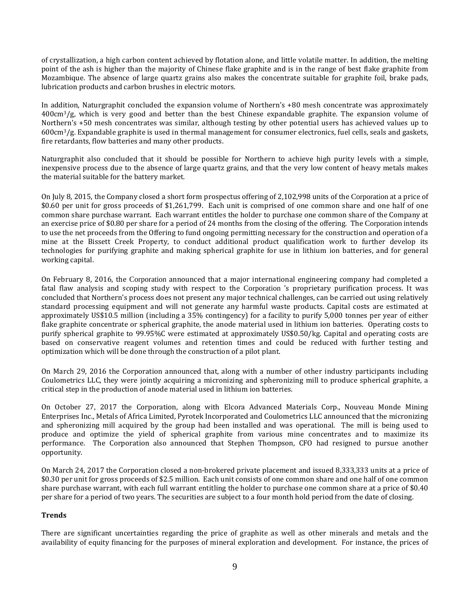of crystallization, a high carbon content achieved by flotation alone, and little volatile matter. In addition, the melting point of the ash is higher than the majority of Chinese flake graphite and is in the range of best flake graphite from Mozambique. The absence of large quartz grains also makes the concentrate suitable for graphite foil, brake pads, lubrication products and carbon brushes in electric motors.

In addition, Naturgraphit concluded the expansion volume of Northern's +80 mesh concentrate was approximately 400cm3/g, which is very good and better than the best Chinese expandable graphite. The expansion volume of Northern's +50 mesh concentrates was similar, although testing by other potential users has achieved values up to 600cm3/g. Expandable graphite is used in thermal management for consumer electronics, fuel cells, seals and gaskets, fire retardants, flow batteries and many other products.

Naturgraphit also concluded that it should be possible for Northern to achieve high purity levels with a simple, inexpensive process due to the absence of large quartz grains, and that the very low content of heavy metals makes the material suitable for the battery market.

On July 8, 2015, the Company closed a short form prospectus offering of 2,102,998 units of the Corporation at a price of \$0.60 per unit for gross proceeds of \$1,261,799. Each unit is comprised of one common share and one half of one common share purchase warrant. Each warrant entitles the holder to purchase one common share of the Company at an exercise price of \$0.80 per share for a period of 24 months from the closing of the offering. The Corporation intends to use the net proceeds from the Offering to fund ongoing permitting necessary for the construction and operation of a mine at the Bissett Creek Property, to conduct additional product qualification work to further develop its technologies for purifying graphite and making spherical graphite for use in lithium ion batteries, and for general working capital.

On February 8, 2016, the Corporation announced that a major international engineering company had completed a fatal flaw analysis and scoping study with respect to the Corporation 's proprietary purification process. It was concluded that Northern's process does not present any major technical challenges, can be carried out using relatively standard processing equipment and will not generate any harmful waste products. Capital costs are estimated at approximately US\$10.5 million (including a 35% contingency) for a facility to purify 5,000 tonnes per year of either flake graphite concentrate or spherical graphite, the anode material used in lithium ion batteries. Operating costs to purify spherical graphite to 99.95%C were estimated at approximately US\$0.50/kg. Capital and operating costs are based on conservative reagent volumes and retention times and could be reduced with further testing and optimization which will be done through the construction of a pilot plant.

On March 29, 2016 the Corporation announced that, along with a number of other industry participants including Coulometrics LLC, they were jointly acquiring a micronizing and spheronizing mill to produce spherical graphite, a critical step in the production of anode material used in lithium ion batteries.

On October 27, 2017 the Corporation, along with Elcora Advanced Materials Corp., Nouveau Monde Mining Enterprises Inc., Metals of Africa Limited, Pyrotek Incorporated and Coulometrics LLC announced that the micronizing and spheronizing mill acquired by the group had been installed and was operational. The mill is being used to produce and optimize the yield of spherical graphite from various mine concentrates and to maximize its performance. The Corporation also announced that Stephen Thompson, CFO had resigned to pursue another opportunity.

On March 24, 2017 the Corporation closed a non-brokered private placement and issued 8,333,333 units at a price of \$0.30 per unit for gross proceeds of \$2.5 million. Each unit consists of one common share and one half of one common share purchase warrant, with each full warrant entitling the holder to purchase one common share at a price of \$0.40 per share for a period of two years. The securities are subject to a four month hold period from the date of closing.

## **Trends**

There are significant uncertainties regarding the price of graphite as well as other minerals and metals and the availability of equity financing for the purposes of mineral exploration and development. For instance, the prices of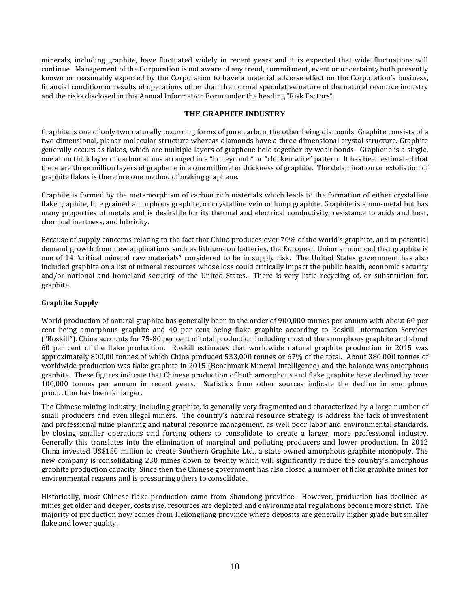minerals, including graphite, have fluctuated widely in recent years and it is expected that wide fluctuations will continue. Management of the Corporation is not aware of any trend, commitment, event or uncertainty both presently known or reasonably expected by the Corporation to have a material adverse effect on the Corporation's business, financial condition or results of operations other than the normal speculative nature of the natural resource industry and the risks disclosed in this Annual Information Form under the heading "Risk Factors".

## **THE GRAPHITE INDUSTRY**

Graphite is one of only two naturally occurring forms of pure carbon, the other being diamonds. Graphite consists of a two dimensional, planar molecular structure whereas diamonds have a three dimensional crystal structure. Graphite generally occurs as flakes, which are multiple layers of graphene held together by weak bonds. Graphene is a single, one atom thick layer of carbon atoms arranged in a "honeycomb" or "chicken wire" pattern. It has been estimated that there are three million layers of graphene in a one millimeter thickness of graphite. The delamination or exfoliation of graphite flakes is therefore one method of making graphene.

Graphite is formed by the metamorphism of carbon rich materials which leads to the formation of either crystalline flake graphite, fine grained amorphous graphite, or crystalline vein or lump graphite. Graphite is a non-metal but has many properties of metals and is desirable for its thermal and electrical conductivity, resistance to acids and heat, chemical inertness, and lubricity.

Because of supply concerns relating to the fact that China produces over 70% of the world's graphite, and to potential demand growth from new applications such as lithium-ion batteries, the European Union announced that graphite is one of 14 "critical mineral raw materials" considered to be in supply risk. The United States government has also included graphite on a list of mineral resources whose loss could critically impact the public health, economic security and/or national and homeland security of the United States. There is very little recycling of, or substitution for, graphite.

## **Graphite Supply**

World production of natural graphite has generally been in the order of 900,000 tonnes per annum with about 60 per cent being amorphous graphite and 40 per cent being flake graphite according to Roskill Information Services ("Roskill"). China accounts for 75-80 per cent of total production including most of the amorphous graphite and about 60 per cent of the flake production. Roskill estimates that worldwide natural graphite production in 2015 was approximately 800,00 tonnes of which China produced 533,000 tonnes or 67% of the total. About 380,000 tonnes of worldwide production was flake graphite in 2015 (Benchmark Mineral Intelligence) and the balance was amorphous graphite. These figures indicate that Chinese production of both amorphous and flake graphite have declined by over 100,000 tonnes per annum in recent years. Statistics from other sources indicate the decline in amorphous production has been far larger.

The Chinese mining industry, including graphite, is generally very fragmented and characterized by a large number of small producers and even illegal miners. The country's natural resource strategy is address the lack of investment and professional mine planning and natural resource management, as well poor labor and environmental standards, by closing smaller operations and forcing others to consolidate to create a larger, more professional industry. Generally this translates into the elimination of marginal and polluting producers and lower production. In 2012 China invested US\$150 million to create Southern Graphite Ltd., a state owned amorphous graphite monopoly. The new company is consolidating 230 mines down to twenty which will significantly reduce the country's amorphous graphite production capacity. Since then the Chinese government has also closed a number of flake graphite mines for environmental reasons and is pressuring others to consolidate.

Historically, most Chinese flake production came from Shandong province. However, production has declined as mines get older and deeper, costs rise, resources are depleted and environmental regulations become more strict. The majority of production now comes from Heilongjiang province where deposits are generally higher grade but smaller flake and lower quality.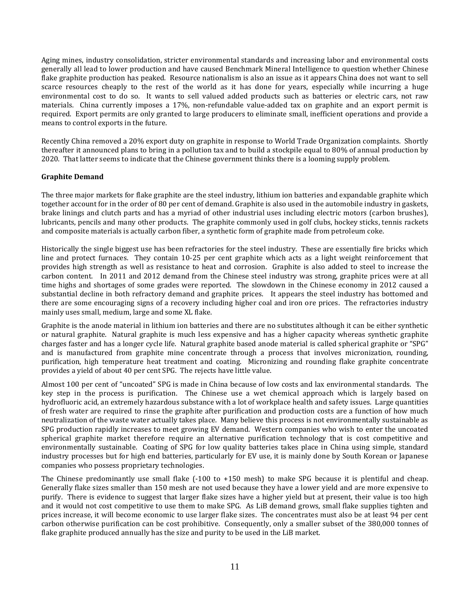Aging mines, industry consolidation, stricter environmental standards and increasing labor and environmental costs generally all lead to lower production and have caused Benchmark Mineral Intelligence to question whether Chinese flake graphite production has peaked. Resource nationalism is also an issue as it appears China does not want to sell scarce resources cheaply to the rest of the world as it has done for years, especially while incurring a huge environmental cost to do so. It wants to sell valued added products such as batteries or electric cars, not raw materials. China currently imposes a 17%, non-refundable value-added tax on graphite and an export permit is required. Export permits are only granted to large producers to eliminate small, inefficient operations and provide a means to control exports in the future.

Recently China removed a 20% export duty on graphite in response to World Trade Organization complaints. Shortly thereafter it announced plans to bring in a pollution tax and to build a stockpile equal to 80% of annual production by 2020. That latter seems to indicate that the Chinese government thinks there is a looming supply problem.

## **Graphite Demand**

The three major markets for flake graphite are the steel industry, lithium ion batteries and expandable graphite which together account for in the order of 80 per cent of demand. Graphite is also used in the automobile industry in gaskets, brake linings and clutch parts and has a myriad of other industrial uses including electric motors (carbon brushes), lubricants, pencils and many other products. The graphite commonly used in golf clubs, hockey sticks, tennis rackets and composite materials is actually carbon fiber, a synthetic form of graphite made from petroleum coke.

Historically the single biggest use has been refractories for the steel industry. These are essentially fire bricks which line and protect furnaces. They contain 10-25 per cent graphite which acts as a light weight reinforcement that provides high strength as well as resistance to heat and corrosion. Graphite is also added to steel to increase the carbon content. In 2011 and 2012 demand from the Chinese steel industry was strong, graphite prices were at all time highs and shortages of some grades were reported. The slowdown in the Chinese economy in 2012 caused a substantial decline in both refractory demand and graphite prices. It appears the steel industry has bottomed and there are some encouraging signs of a recovery including higher coal and iron ore prices. The refractories industry mainly uses small, medium, large and some XL flake.

Graphite is the anode material in lithium ion batteries and there are no substitutes although it can be either synthetic or natural graphite. Natural graphite is much less expensive and has a higher capacity whereas synthetic graphite charges faster and has a longer cycle life. Natural graphite based anode material is called spherical graphite or "SPG" and is manufactured from graphite mine concentrate through a process that involves micronization, rounding, purification, high temperature heat treatment and coating. Micronizing and rounding flake graphite concentrate provides a yield of about 40 per cent SPG. The rejects have little value.

Almost 100 per cent of "uncoated" SPG is made in China because of low costs and lax environmental standards. The key step in the process is purification. The Chinese use a wet chemical approach which is largely based on hydrofluoric acid, an extremely hazardous substance with a lot of workplace health and safety issues. Large quantities of fresh water are required to rinse the graphite after purification and production costs are a function of how much neutralization of the waste water actually takes place. Many believe this process is not environmentally sustainable as SPG production rapidly increases to meet growing EV demand. Western companies who wish to enter the uncoated spherical graphite market therefore require an alternative purification technology that is cost competitive and environmentally sustainable. Coating of SPG for low quality batteries takes place in China using simple, standard industry processes but for high end batteries, particularly for EV use, it is mainly done by South Korean or Japanese companies who possess proprietary technologies.

The Chinese predominantly use small flake (-100 to +150 mesh) to make SPG because it is plentiful and cheap. Generally flake sizes smaller than 150 mesh are not used because they have a lower yield and are more expensive to purify. There is evidence to suggest that larger flake sizes have a higher yield but at present, their value is too high and it would not cost competitive to use them to make SPG. As LiB demand grows, small flake supplies tighten and prices increase, it will become economic to use larger flake sizes. The concentrates must also be at least 94 per cent carbon otherwise purification can be cost prohibitive. Consequently, only a smaller subset of the 380,000 tonnes of flake graphite produced annually has the size and purity to be used in the LiB market.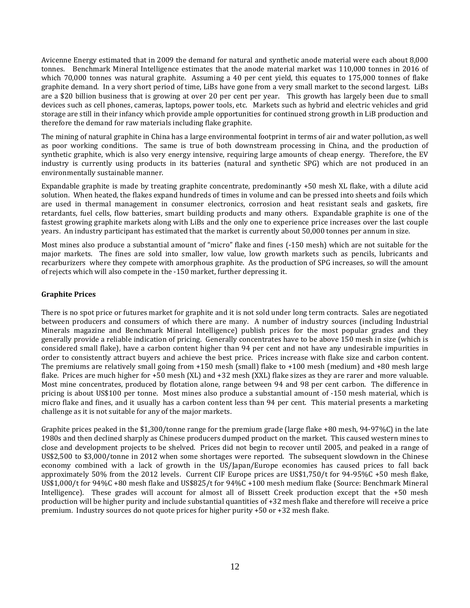Avicenne Energy estimated that in 2009 the demand for natural and synthetic anode material were each about 8,000 tonnes. Benchmark Mineral Intelligence estimates that the anode material market was 110,000 tonnes in 2016 of which 70,000 tonnes was natural graphite. Assuming a 40 per cent yield, this equates to 175,000 tonnes of flake graphite demand. In a very short period of time, LiBs have gone from a very small market to the second largest. LiBs are a \$20 billion business that is growing at over 20 per cent per year. This growth has largely been due to small devices such as cell phones, cameras, laptops, power tools, etc. Markets such as hybrid and electric vehicles and grid storage are still in their infancy which provide ample opportunities for continued strong growth in LiB production and therefore the demand for raw materials including flake graphite.

The mining of natural graphite in China has a large environmental footprint in terms of air and water pollution, as well as poor working conditions. The same is true of both downstream processing in China, and the production of synthetic graphite, which is also very energy intensive, requiring large amounts of cheap energy. Therefore, the EV industry is currently using products in its batteries (natural and synthetic SPG) which are not produced in an environmentally sustainable manner.

Expandable graphite is made by treating graphite concentrate, predominantly +50 mesh XL flake, with a dilute acid solution. When heated, the flakes expand hundreds of times in volume and can be pressed into sheets and foils which are used in thermal management in consumer electronics, corrosion and heat resistant seals and gaskets, fire retardants, fuel cells, flow batteries, smart building products and many others. Expandable graphite is one of the fastest growing graphite markets along with LiBs and the only one to experience price increases over the last couple years. An industry participant has estimated that the market is currently about 50,000 tonnes per annum in size.

Most mines also produce a substantial amount of "micro" flake and fines (-150 mesh) which are not suitable for the major markets. The fines are sold into smaller, low value, low growth markets such as pencils, lubricants and recarburizers where they compete with amorphous graphite. As the production of SPG increases, so will the amount of rejects which will also compete in the -150 market, further depressing it.

## **Graphite Prices**

There is no spot price or futures market for graphite and it is not sold under long term contracts. Sales are negotiated between producers and consumers of which there are many. A number of industry sources (including Industrial Minerals magazine and Benchmark Mineral Intelligence) publish prices for the most popular grades and they generally provide a reliable indication of pricing. Generally concentrates have to be above 150 mesh in size (which is considered small flake), have a carbon content higher than 94 per cent and not have any undesirable impurities in order to consistently attract buyers and achieve the best price. Prices increase with flake size and carbon content. The premiums are relatively small going from +150 mesh (small) flake to +100 mesh (medium) and +80 mesh large flake. Prices are much higher for +50 mesh (XL) and +32 mesh (XXL) flake sizes as they are rarer and more valuable. Most mine concentrates, produced by flotation alone, range between 94 and 98 per cent carbon. The difference in pricing is about US\$100 per tonne. Most mines also produce a substantial amount of -150 mesh material, which is micro flake and fines, and it usually has a carbon content less than 94 per cent. This material presents a marketing challenge as it is not suitable for any of the major markets.

Graphite prices peaked in the \$1,300/tonne range for the premium grade (large flake +80 mesh, 94-97%C) in the late 1980s and then declined sharply as Chinese producers dumped product on the market. This caused western mines to close and development projects to be shelved. Prices did not begin to recover until 2005, and peaked in a range of US\$2,500 to \$3,000/tonne in 2012 when some shortages were reported. The subsequent slowdown in the Chinese economy combined with a lack of growth in the US/Japan/Europe economies has caused prices to fall back approximately 50% from the 2012 levels. Current CIF Europe prices are US\$1,750/t for 94-95%C +50 mesh flake, US\$1,000/t for 94%C +80 mesh flake and US\$825/t for 94%C +100 mesh medium flake (Source: Benchmark Mineral Intelligence). These grades will account for almost all of Bissett Creek production except that the +50 mesh production will be higher purity and include substantial quantities of +32 mesh flake and therefore will receive a price premium. Industry sources do not quote prices for higher purity +50 or +32 mesh flake.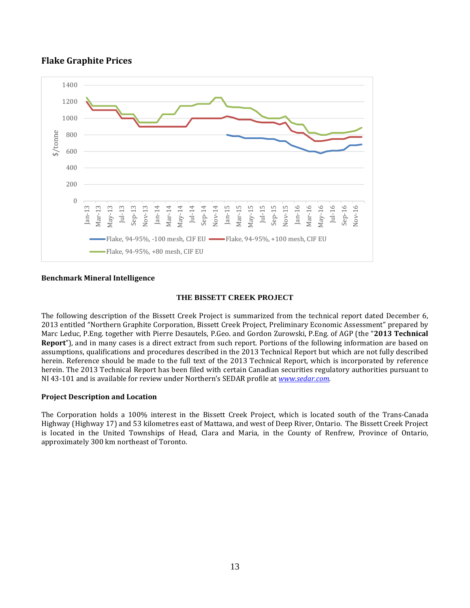## **Flake Graphite Prices**



## **Benchmark Mineral Intelligence**

## **THE BISSETT CREEK PROJECT**

The following description of the Bissett Creek Project is summarized from the technical report dated December 6, 2013 entitled "Northern Graphite Corporation, Bissett Creek Project, Preliminary Economic Assessment" prepared by Marc Leduc, P.Eng. together with Pierre Desautels, P.Geo. and Gordon Zurowski, P.Eng. of AGP (the "**2013 Technical Report**"), and in many cases is a direct extract from such report. Portions of the following information are based on assumptions, qualifications and procedures described in the 2013 Technical Report but which are not fully described herein. Reference should be made to the full text of the 2013 Technical Report, which is incorporated by reference herein. The 2013 Technical Report has been filed with certain Canadian securities regulatory authorities pursuant to NI 43-101 and is available for review under Northern's SEDAR profile at *www.sedar.com.* 

## **Project Description and Location**

The Corporation holds a 100% interest in the Bissett Creek Project, which is located south of the Trans-Canada Highway (Highway 17) and 53 kilometres east of Mattawa, and west of Deep River, Ontario. The Bissett Creek Project is located in the United Townships of Head, Clara and Maria, in the County of Renfrew, Province of Ontario, approximately 300 km northeast of Toronto.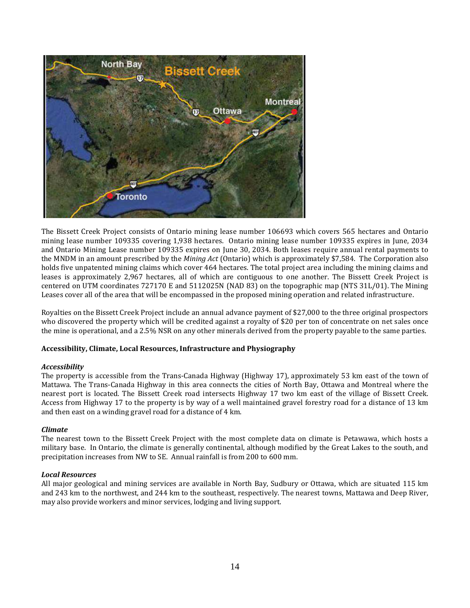

The Bissett Creek Project consists of Ontario mining lease number 106693 which covers 565 hectares and Ontario mining lease number 109335 covering 1,938 hectares. Ontario mining lease number 109335 expires in June, 2034 and Ontario Mining Lease number 109335 expires on June 30, 2034. Both leases require annual rental payments to the MNDM in an amount prescribed by the *Mining Act* (Ontario) which is approximately \$7,584. The Corporation also holds five unpatented mining claims which cover 464 hectares. The total project area including the mining claims and leases is approximately 2,967 hectares, all of which are contiguous to one another. The Bissett Creek Project is centered on UTM coordinates 727170 E and 5112025N (NAD 83) on the topographic map (NTS 31L/01). The Mining Leases cover all of the area that will be encompassed in the proposed mining operation and related infrastructure.

Royalties on the Bissett Creek Project include an annual advance payment of \$27,000 to the three original prospectors who discovered the property which will be credited against a royalty of \$20 per ton of concentrate on net sales once the mine is operational, and a 2.5% NSR on any other minerals derived from the property payable to the same parties.

## **Accessibility, Climate, Local Resources, Infrastructure and Physiography**

## *Accessibility*

The property is accessible from the Trans-Canada Highway (Highway 17), approximately 53 km east of the town of Mattawa. The Trans-Canada Highway in this area connects the cities of North Bay, Ottawa and Montreal where the nearest port is located. The Bissett Creek road intersects Highway 17 two km east of the village of Bissett Creek. Access from Highway 17 to the property is by way of a well maintained gravel forestry road for a distance of 13 km and then east on a winding gravel road for a distance of 4 km.

## *Climate*

The nearest town to the Bissett Creek Project with the most complete data on climate is Petawawa, which hosts a military base. In Ontario, the climate is generally continental, although modified by the Great Lakes to the south, and precipitation increases from NW to SE. Annual rainfall is from 200 to 600 mm.

## *Local Resources*

All major geological and mining services are available in North Bay, Sudbury or Ottawa, which are situated 115 km and 243 km to the northwest, and 244 km to the southeast, respectively. The nearest towns, Mattawa and Deep River, may also provide workers and minor services, lodging and living support.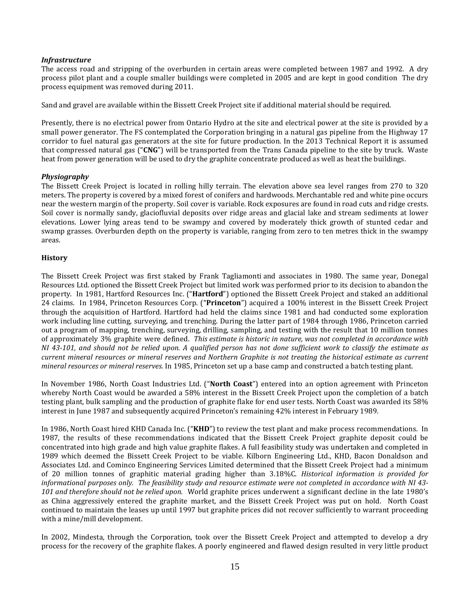## *Infrastructure*

The access road and stripping of the overburden in certain areas were completed between 1987 and 1992. A dry process pilot plant and a couple smaller buildings were completed in 2005 and are kept in good condition The dry process equipment was removed during 2011.

Sand and gravel are available within the Bissett Creek Project site if additional material should be required.

Presently, there is no electrical power from Ontario Hydro at the site and electrical power at the site is provided by a small power generator. The FS contemplated the Corporation bringing in a natural gas pipeline from the Highway 17 corridor to fuel natural gas generators at the site for future production. In the 2013 Technical Report it is assumed that compressed natural gas ("**CNG**") will be transported from the Trans Canada pipeline to the site by truck. Waste heat from power generation will be used to dry the graphite concentrate produced as well as heat the buildings.

## *Physiography*

The Bissett Creek Project is located in rolling hilly terrain. The elevation above sea level ranges from 270 to 320 meters. The property is covered by a mixed forest of conifers and hardwoods. Merchantable red and white pine occurs near the western margin of the property. Soil cover is variable. Rock exposures are found in road cuts and ridge crests. Soil cover is normally sandy, glaciofluvial deposits over ridge areas and glacial lake and stream sediments at lower elevations. Lower lying areas tend to be swampy and covered by moderately thick growth of stunted cedar and swamp grasses. Overburden depth on the property is variable, ranging from zero to ten metres thick in the swampy areas.

## **History**

The Bissett Creek Project was first staked by Frank Tagliamonti and associates in 1980. The same year, Donegal Resources Ltd. optioned the Bissett Creek Project but limited work was performed prior to its decision to abandon the property. In 1981, Hartford Resources Inc. ("**Hartford**") optioned the Bissett Creek Project and staked an additional 24 claims. In 1984, Princeton Resources Corp. ("**Princeton**") acquired a 100% interest in the Bissett Creek Project through the acquisition of Hartford. Hartford had held the claims since 1981 and had conducted some exploration work including line cutting, surveying, and trenching. During the latter part of 1984 through 1986, Princeton carried out a program of mapping, trenching, surveying, drilling, sampling, and testing with the result that 10 million tonnes of approximately 3% graphite were defined. *This estimate is historic in nature, was not completed in accordance with NI 43-101, and should not be relied upon. A qualified person has not done sufficient work to classify the estimate as current mineral resources or mineral reserves and Northern Graphite is not treating the historical estimate as current mineral resources or mineral reserves.* In 1985, Princeton set up a base camp and constructed a batch testing plant.

In November 1986, North Coast Industries Ltd. ("**North Coast**") entered into an option agreement with Princeton whereby North Coast would be awarded a 58% interest in the Bissett Creek Project upon the completion of a batch testing plant, bulk sampling and the production of graphite flake for end user tests. North Coast was awarded its 58% interest in June 1987 and subsequently acquired Princeton's remaining 42% interest in February 1989.

In 1986, North Coast hired KHD Canada Inc. ("**KHD**") to review the test plant and make process recommendations. In 1987, the results of these recommendations indicated that the Bissett Creek Project graphite deposit could be concentrated into high grade and high value graphite flakes. A full feasibility study was undertaken and completed in 1989 which deemed the Bissett Creek Project to be viable. Kilborn Engineering Ltd., KHD, Bacon Donaldson and Associates Ltd. and Cominco Engineering Services Limited determined that the Bissett Creek Project had a minimum of 20 million tonnes of graphitic material grading higher than 3.18%C. *Historical information is provided for informational purposes only. The feasibility study and resource estimate were not completed in accordance with NI 43- 101 and therefore should not be relied upon.* World graphite prices underwent a significant decline in the late 1980's as China aggressively entered the graphite market, and the Bissett Creek Project was put on hold. North Coast continued to maintain the leases up until 1997 but graphite prices did not recover sufficiently to warrant proceeding with a mine/mill development.

In 2002, Mindesta, through the Corporation, took over the Bissett Creek Project and attempted to develop a dry process for the recovery of the graphite flakes. A poorly engineered and flawed design resulted in very little product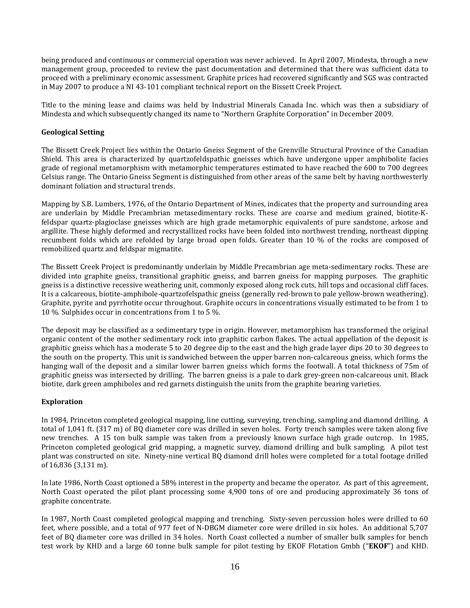being produced and continuous or commercial operation was never achieved. In April 2007, Mindesta, through a new management group, proceeded to review the past documentation and determined that there was sufficient data to proceed with a preliminary economic assessment. Graphite prices had recovered significantly and SGS was contracted in May 2007 to produce a NI 43-101 compliant technical report on the Bissett Creek Project.

Title to the mining lease and claims was held by Industrial Minerals Canada Inc. which was then a subsidiary of Mindesta and which subsequently changed its name to "Northern Graphite Corporation" in December 2009.

## **Geological Setting**

The Bissett Creek Project lies within the Ontario Gneiss Segment of the Grenville Structural Province of the Canadian Shield. This area is characterized by quartzofeldspathic gneisses which have undergone upper amphibolite facies grade of regional metamorphism with metamorphic temperatures estimated to have reached the 600 to 700 degrees Celsius range. The Ontario Gneiss Segment is distinguished from other areas of the same belt by having northwesterly dominant foliation and structural trends.

Mapping by S.B. Lumbers, 1976, of the Ontario Department of Mines, indicates that the property and surrounding area are underlain by Middle Precambrian metasedimentary rocks. These are coarse and medium grained, biotite-Kfeldspar quartz-plagioclase gneisses which are high grade metamorphic equivalents of pure sandstone, arkose and argillite. These highly deformed and recrystallized rocks have been folded into northwest trending, northeast dipping recumbent folds which are refolded by large broad open folds. Greater than 10 % of the rocks are composed of remobilized quartz and feldspar migmatite.

The Bissett Creek Project is predominantly underlain by Middle Precambrian age meta-sedimentary rocks. These are divided into graphite gneiss, transitional graphitic gneiss, and barren gneiss for mapping purposes. The graphitic gneiss is a distinctive recessive weathering unit, commonly exposed along rock cuts, hill tops and occasional cliff faces. It is a calcareous, biotite-amphibole-quartzofelspathic gneiss (generally red-brown to pale yellow-brown weathering). Graphite, pyrite and pyrrhotite occur throughout. Graphite occurs in concentrations visually estimated to be from 1 to 10 %. Sulphides occur in concentrations from 1 to 5 %.

The deposit may be classified as a sedimentary type in origin. However, metamorphism has transformed the original organic content of the mother sedimentary rock into graphitic carbon flakes. The actual appellation of the deposit is graphitic gneiss which has a moderate 5 to 20 degree dip to the east and the high grade layer dips 20 to 30 degrees to the south on the property. This unit is sandwiched between the upper barren non-calcareous gneiss, which forms the hanging wall of the deposit and a similar lower barren gneiss which forms the footwall. A total thickness of 75m of graphitic gneiss was intersected by drilling. The barren gneiss is a pale to dark grey-green non-calcareous unit. Black biotite, dark green amphiboles and red garnets distinguish the units from the graphite bearing varieties.

## **Exploration**

In 1984, Princeton completed geological mapping, line cutting, surveying, trenching, sampling and diamond drilling. A total of 1,041 ft. (317 m) of BQ diameter core was drilled in seven holes. Forty trench samples were taken along five new trenches. A 15 ton bulk sample was taken from a previously known surface high grade outcrop. In 1985, Princeton completed geological grid mapping, a magnetic survey, diamond drilling and bulk sampling. A pilot test plant was constructed on site. Ninety-nine vertical BQ diamond drill holes were completed for a total footage drilled of 16,836 (3,131 m).

In late 1986, North Coast optioned a 58% interest in the property and became the operator. As part of this agreement, North Coast operated the pilot plant processing some 4,900 tons of ore and producing approximately 36 tons of graphite concentrate.

In 1987, North Coast completed geological mapping and trenching. Sixty-seven percussion holes were drilled to 60 feet, where possible, and a total of 977 feet of N-DBGM diameter core were drilled in six holes. An additional 5,707 feet of BQ diameter core was drilled in 34 holes. North Coast collected a number of smaller bulk samples for bench test work by KHD and a large 60 tonne bulk sample for pilot testing by EKOF Flotation Gmbh ("**EKOF**") and KHD.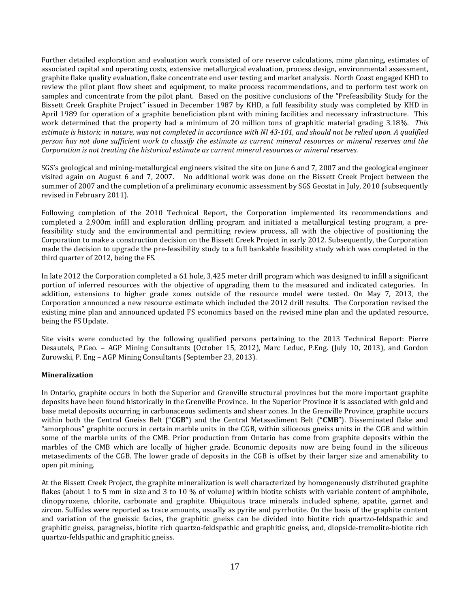Further detailed exploration and evaluation work consisted of ore reserve calculations, mine planning, estimates of associated capital and operating costs, extensive metallurgical evaluation, process design, environmental assessment, graphite flake quality evaluation, flake concentrate end user testing and market analysis. North Coast engaged KHD to review the pilot plant flow sheet and equipment, to make process recommendations, and to perform test work on samples and concentrate from the pilot plant. Based on the positive conclusions of the "Prefeasibility Study for the Bissett Creek Graphite Project" issued in December 1987 by KHD, a full feasibility study was completed by KHD in April 1989 for operation of a graphite beneficiation plant with mining facilities and necessary infrastructure. This work determined that the property had a minimum of 20 million tons of graphitic material grading 3.18%. *This estimate is historic in nature, was not completed in accordance with NI 43-101, and should not be relied upon. A qualified person has not done sufficient work to classify the estimate as current mineral resources or mineral reserves and the Corporation is not treating the historical estimate as current mineral resources or mineral reserves.* 

SGS's geological and mining-metallurgical engineers visited the site on June 6 and 7, 2007 and the geological engineer visited again on August 6 and 7, 2007. No additional work was done on the Bissett Creek Project between the summer of 2007 and the completion of a preliminary economic assessment by SGS Geostat in July, 2010 (subsequently revised in February 2011).

Following completion of the 2010 Technical Report, the Corporation implemented its recommendations and completed a 2,900m infill and exploration drilling program and initiated a metallurgical testing program, a prefeasibility study and the environmental and permitting review process, all with the objective of positioning the Corporation to make a construction decision on the Bissett Creek Project in early 2012. Subsequently, the Corporation made the decision to upgrade the pre-feasibility study to a full bankable feasibility study which was completed in the third quarter of 2012, being the FS.

In late 2012 the Corporation completed a 61 hole, 3,425 meter drill program which was designed to infill a significant portion of inferred resources with the objective of upgrading them to the measured and indicated categories. In addition, extensions to higher grade zones outside of the resource model were tested. On May 7, 2013, the Corporation announced a new resource estimate which included the 2012 drill results. The Corporation revised the existing mine plan and announced updated FS economics based on the revised mine plan and the updated resource, being the FS Update.

Site visits were conducted by the following qualified persons pertaining to the 2013 Technical Report: Pierre Desautels, P.Geo. – AGP Mining Consultants (October 15, 2012), Marc Leduc, P.Eng. (July 10, 2013), and Gordon Zurowski, P. Eng – AGP Mining Consultants (September 23, 2013).

## **Mineralization**

In Ontario, graphite occurs in both the Superior and Grenville structural provinces but the more important graphite deposits have been found historically in the Grenville Province. In the Superior Province it is associated with gold and base metal deposits occurring in carbonaceous sediments and shear zones. In the Grenville Province, graphite occurs within both the Central Gneiss Belt ("**CGB**") and the Central Metasediment Belt ("**CMB**"). Disseminated flake and "amorphous" graphite occurs in certain marble units in the CGB, within siliceous gneiss units in the CGB and within some of the marble units of the CMB. Prior production from Ontario has come from graphite deposits within the marbles of the CMB which are locally of higher grade. Economic deposits now are being found in the siliceous metasediments of the CGB. The lower grade of deposits in the CGB is offset by their larger size and amenability to open pit mining.

At the Bissett Creek Project, the graphite mineralization is well characterized by homogeneously distributed graphite flakes (about 1 to 5 mm in size and 3 to 10 % of volume) within biotite schists with variable content of amphibole, clinopyroxene, chlorite, carbonate and graphite. Ubiquitous trace minerals included sphene, apatite, garnet and zircon. Sulfides were reported as trace amounts, usually as pyrite and pyrrhotite. On the basis of the graphite content and variation of the gneissic facies, the graphitic gneiss can be divided into biotite rich quartzo-feldspathic and graphitic gneiss, paragneiss, biotite rich quartzo-feldspathic and graphitic gneiss, and, diopside-tremolite-biotite rich quartzo-feldspathic and graphitic gneiss.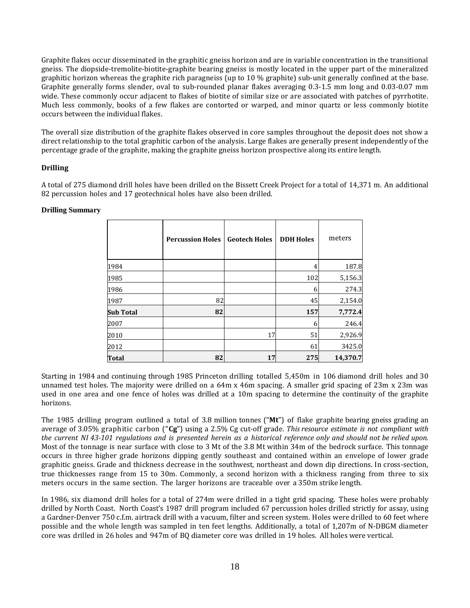Graphite flakes occur disseminated in the graphitic gneiss horizon and are in variable concentration in the transitional gneiss. The diopside-tremolite-biotite-graphite bearing gneiss is mostly located in the upper part of the mineralized graphitic horizon whereas the graphite rich paragneiss (up to 10 % graphite) sub-unit generally confined at the base. Graphite generally forms slender, oval to sub-rounded planar flakes averaging 0.3-1.5 mm long and 0.03-0.07 mm wide. These commonly occur adjacent to flakes of biotite of similar size or are associated with patches of pyrrhotite. Much less commonly, books of a few flakes are contorted or warped, and minor quartz or less commonly biotite occurs between the individual flakes.

The overall size distribution of the graphite flakes observed in core samples throughout the deposit does not show a direct relationship to the total graphitic carbon of the analysis. Large flakes are generally present independently of the percentage grade of the graphite, making the graphite gneiss horizon prospective along its entire length.

## **Drilling**

A total of 275 diamond drill holes have been drilled on the Bissett Creek Project for a total of 14,371 m. An additional 82 percussion holes and 17 geotechnical holes have also been drilled.

|                  | <b>Percussion Holes</b> | <b>Geotech Holes</b> | <b>DDH Holes</b> | meters   |
|------------------|-------------------------|----------------------|------------------|----------|
| 1984             |                         |                      | 4                | 187.8    |
| 1985             |                         |                      | 102              | 5,156.3  |
| 1986             |                         |                      | 6                | 274.3    |
| 1987             | 82                      |                      | 45               | 2,154.0  |
| <b>Sub Total</b> | 82                      |                      | 157              | 7,772.4  |
| 2007             |                         |                      | 6                | 246.4    |
| 2010             |                         | 17                   | 51               | 2,926.9  |
| 2012             |                         |                      | 61               | 3425.0   |
| Total            | 82                      | 17                   | 275              | 14,370.7 |

## **Drilling Summary**

Starting in 1984 and continuing through 1985 Princeton drilling totalled 5,450m in 106 diamond drill holes and 30 unnamed test holes. The majority were drilled on a 64m x 46m spacing. A smaller grid spacing of 23m x 23m was used in one area and one fence of holes was drilled at a 10m spacing to determine the continuity of the graphite horizons.

The 1985 drilling program outlined a total of 3.8 million tonnes ("**Mt**") of flake graphite bearing gneiss grading an average of 3.05% graphitic carbon ("**Cg**") using a 2.5% Cg cut-off grade. *This resource estimate is not compliant with the current NI 43-101 regulations and is presented herein as a historical reference only and should not be relied upon.* Most of the tonnage is near surface with close to 3 Mt of the 3.8 Mt within 34m of the bedrock surface. This tonnage occurs in three higher grade horizons dipping gently southeast and contained within an envelope of lower grade graphitic gneiss. Grade and thickness decrease in the southwest, northeast and down dip directions. In cross-section, true thicknesses range from 15 to 30m. Commonly, a second horizon with a thickness ranging from three to six meters occurs in the same section. The larger horizons are traceable over a 350m strike length.

In 1986, six diamond drill holes for a total of 274m were drilled in a tight grid spacing. These holes were probably drilled by North Coast. North Coast's 1987 drill program included 67 percussion holes drilled strictly for assay, using a Gardner-Denver 750 c.f.m. airtrack drill with a vacuum, filter and screen system. Holes were drilled to 60 feet where possible and the whole length was sampled in ten feet lengths. Additionally, a total of 1,207m of N-DBGM diameter core was drilled in 26 holes and 947m of BQ diameter core was drilled in 19 holes. All holes were vertical.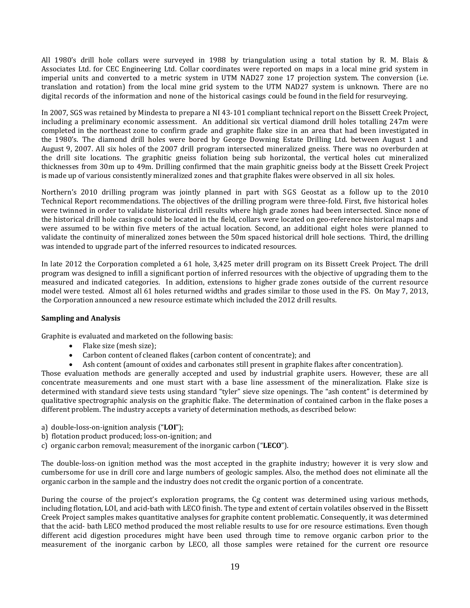All 1980's drill hole collars were surveyed in 1988 by triangulation using a total station by R. M. Blais & Associates Ltd. for CEC Engineering Ltd. Collar coordinates were reported on maps in a local mine grid system in imperial units and converted to a metric system in UTM NAD27 zone 17 projection system. The conversion (i.e. translation and rotation) from the local mine grid system to the UTM NAD27 system is unknown. There are no digital records of the information and none of the historical casings could be found in the field for resurveying.

In 2007, SGS was retained by Mindesta to prepare a NI 43-101 compliant technical report on the Bissett Creek Project, including a preliminary economic assessment. An additional six vertical diamond drill holes totalling 247m were completed in the northeast zone to confirm grade and graphite flake size in an area that had been investigated in the 1980's. The diamond drill holes were bored by George Downing Estate Drilling Ltd. between August 1 and August 9, 2007. All six holes of the 2007 drill program intersected mineralized gneiss. There was no overburden at the drill site locations. The graphitic gneiss foliation being sub horizontal, the vertical holes cut mineralized thicknesses from 30m up to 49m. Drilling confirmed that the main graphitic gneiss body at the Bissett Creek Project is made up of various consistently mineralized zones and that graphite flakes were observed in all six holes.

Northern's 2010 drilling program was jointly planned in part with SGS Geostat as a follow up to the 2010 Technical Report recommendations. The objectives of the drilling program were three-fold. First, five historical holes were twinned in order to validate historical drill results where high grade zones had been intersected. Since none of the historical drill hole casings could be located in the field, collars were located on geo-reference historical maps and were assumed to be within five meters of the actual location. Second, an additional eight holes were planned to validate the continuity of mineralized zones between the 50m spaced historical drill hole sections. Third, the drilling was intended to upgrade part of the inferred resources to indicated resources.

In late 2012 the Corporation completed a 61 hole, 3,425 meter drill program on its Bissett Creek Project. The drill program was designed to infill a significant portion of inferred resources with the objective of upgrading them to the measured and indicated categories. In addition, extensions to higher grade zones outside of the current resource model were tested. Almost all 61 holes returned widths and grades similar to those used in the FS. On May 7, 2013, the Corporation announced a new resource estimate which included the 2012 drill results.

## **Sampling and Analysis**

Graphite is evaluated and marketed on the following basis:

- Flake size (mesh size);
- Carbon content of cleaned flakes (carbon content of concentrate); and
- Ash content (amount of oxides and carbonates still present in graphite flakes after concentration).

Those evaluation methods are generally accepted and used by industrial graphite users. However, these are all concentrate measurements and one must start with a base line assessment of the mineralization. Flake size is determined with standard sieve tests using standard "tyler" sieve size openings. The "ash content" is determined by qualitative spectrographic analysis on the graphitic flake. The determination of contained carbon in the flake poses a different problem. The industry accepts a variety of determination methods, as described below:

- a) double-loss-on-ignition analysis ("**LOI**");
- b) flotation product produced; loss-on-ignition; and
- c) organic carbon removal; measurement of the inorganic carbon ("**LECO**").

The double-loss-on ignition method was the most accepted in the graphite industry; however it is very slow and cumbersome for use in drill core and large numbers of geologic samples. Also, the method does not eliminate all the organic carbon in the sample and the industry does not credit the organic portion of a concentrate.

During the course of the project's exploration programs, the Cg content was determined using various methods, including flotation, LOI, and acid-bath with LECO finish. The type and extent of certain volatiles observed in the Bissett Creek Project samples makes quantitative analyses for graphite content problematic. Consequently, it was determined that the acid- bath LECO method produced the most reliable results to use for ore resource estimations. Even though different acid digestion procedures might have been used through time to remove organic carbon prior to the measurement of the inorganic carbon by LECO, all those samples were retained for the current ore resource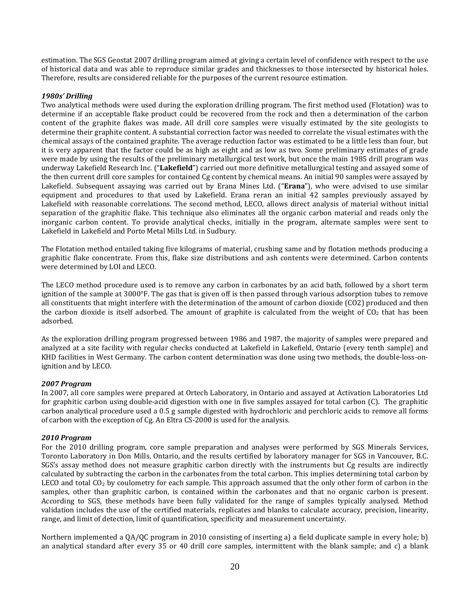estimation. The SGS Geostat 2007 drilling program aimed at giving a certain level of confidence with respect to the use of historical data and was able to reproduce similar grades and thicknesses to those intersected by historical holes. Therefore, results are considered reliable for the purposes of the current resource estimation.

## *1980s' Drilling*

Two analytical methods were used during the exploration drilling program. The first method used (Flotation) was to determine if an acceptable flake product could be recovered from the rock and then a determination of the carbon content of the graphite flakes was made. All drill core samples were visually estimated by the site geologists to determine their graphite content. A substantial correction factor was needed to correlate the visual estimates with the chemical assays of the contained graphite. The average reduction factor was estimated to be a little less than four, but it is very apparent that the factor could be as high as eight and as low as two. Some preliminary estimates of grade were made by using the results of the preliminary metallurgical test work, but once the main 1985 drill program was underway Lakefield Research Inc. ("**Lakefield**") carried out more definitive metallurgical testing and assayed some of the then current drill core samples for contained Cg content by chemical means. An initial 90 samples were assayed by Lakefield. Subsequent assaying was carried out by Erana Mines Ltd. ("**Erana**"), who were advised to use similar equipment and procedures to that used by Lakefield. Erana reran an initial 42 samples previously assayed by Lakefield with reasonable correlations. The second method, LECO, allows direct analysis of material without initial separation of the graphitic flake. This technique also eliminates all the organic carbon material and reads only the inorganic carbon content. To provide analytical checks, initially in the program, alternate samples were sent to Lakefield in Lakefield and Porto Metal Mills Ltd. in Sudbury.

The Flotation method entailed taking five kilograms of material, crushing same and by flotation methods producing a graphitic flake concentrate. From this, flake size distributions and ash contents were determined. Carbon contents were determined by LOI and LECO.

The LECO method procedure used is to remove any carbon in carbonates by an acid bath, followed by a short term ignition of the sample at 3000°F. The gas that is given off is then passed through various adsorption tubes to remove all constituents that might interfere with the determination of the amount of carbon dioxide (CO2) produced and then the carbon dioxide is itself adsorbed. The amount of graphite is calculated from the weight of  $CO<sub>2</sub>$  that has been adsorbed.

As the exploration drilling program progressed between 1986 and 1987, the majority of samples were prepared and analyzed at a site facility with regular checks conducted at Lakefield in Lakefield, Ontario (every tenth sample) and KHD facilities in West Germany. The carbon content determination was done using two methods, the double-loss-onignition and by LECO.

## *2007 Program*

In 2007, all core samples were prepared at Ortech Laboratory, in Ontario and assayed at Activation Laboratories Ltd for graphitic carbon using double-acid digestion with one in five samples assayed for total carbon (C). The graphitic carbon analytical procedure used a 0.5 g sample digested with hydrochloric and perchloric acids to remove all forms of carbon with the exception of Cg. An Eltra CS-2000 is used for the analysis.

## *2010 Program*

For the 2010 drilling program, core sample preparation and analyses were performed by SGS Minerals Services, Toronto Laboratory in Don Mills, Ontario, and the results certified by laboratory manager for SGS in Vancouver, B.C. SGS's assay method does not measure graphitic carbon directly with the instruments but Cg results are indirectly calculated by subtracting the carbon in the carbonates from the total carbon. This implies determining total carbon by LECO and total  $CO<sub>2</sub>$  by coulometry for each sample. This approach assumed that the only other form of carbon in the samples, other than graphitic carbon, is contained within the carbonates and that no organic carbon is present. According to SGS, these methods have been fully validated for the range of samples typically analysed. Method validation includes the use of the certified materials, replicates and blanks to calculate accuracy, precision, linearity, range, and limit of detection, limit of quantification, specificity and measurement uncertainty.

Northern implemented a QA/QC program in 2010 consisting of inserting a) a field duplicate sample in every hole; b) an analytical standard after every 35 or 40 drill core samples, intermittent with the blank sample; and c) a blank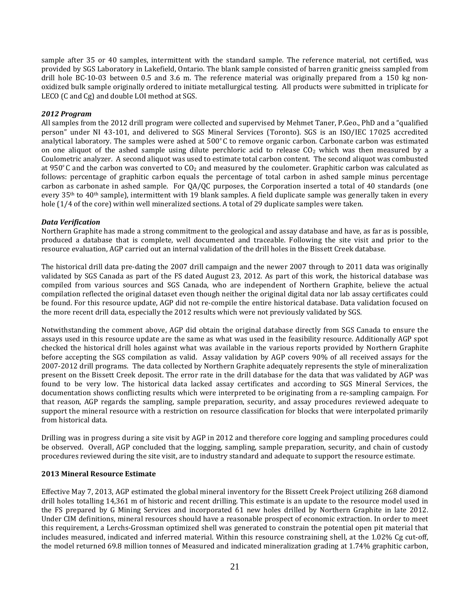sample after 35 or 40 samples, intermittent with the standard sample. The reference material, not certified, was provided by SGS Laboratory in Lakefield, Ontario. The blank sample consisted of barren granitic gneiss sampled from drill hole BC-10-03 between 0.5 and 3.6 m. The reference material was originally prepared from a 150 kg nonoxidized bulk sample originally ordered to initiate metallurgical testing. All products were submitted in triplicate for LECO (C and Cg) and double LOI method at SGS.

## *2012 Program*

All samples from the 2012 drill program were collected and supervised by Mehmet Taner, P.Geo., PhD and a "qualified person" under NI 43-101, and delivered to SGS Mineral Services (Toronto). SGS is an ISO/IEC 17025 accredited analytical laboratory. The samples were ashed at 500º C to remove organic carbon. Carbonate carbon was estimated on one aliquot of the ashed sample using dilute perchloric acid to release  $CO<sub>2</sub>$  which was then measured by a Coulometric analyzer. A second aliquot was used to estimate total carbon content. The second aliquot was combusted at 950 $\degree$ C and the carbon was converted to CO<sub>2</sub> and measured by the coulometer. Graphitic carbon was calculated as follows: percentage of graphitic carbon equals the percentage of total carbon in ashed sample minus percentage carbon as carbonate in ashed sample. For QA/QC purposes, the Corporation inserted a total of 40 standards (one every  $35<sup>th</sup>$  to  $40<sup>th</sup>$  sample), intermittent with 19 blank samples. A field duplicate sample was generally taken in every hole (1/4 of the core) within well mineralized sections. A total of 29 duplicate samples were taken.

## *Data Verification*

Northern Graphite has made a strong commitment to the geological and assay database and have, as far as is possible, produced a database that is complete, well documented and traceable. Following the site visit and prior to the resource evaluation, AGP carried out an internal validation of the drill holes in the Bissett Creek database.

The historical drill data pre-dating the 2007 drill campaign and the newer 2007 through to 2011 data was originally validated by SGS Canada as part of the FS dated August 23, 2012. As part of this work, the historical database was compiled from various sources and SGS Canada, who are independent of Northern Graphite, believe the actual compilation reflected the original dataset even though neither the original digital data nor lab assay certificates could be found. For this resource update, AGP did not re-compile the entire historical database. Data validation focused on the more recent drill data, especially the 2012 results which were not previously validated by SGS.

Notwithstanding the comment above, AGP did obtain the original database directly from SGS Canada to ensure the assays used in this resource update are the same as what was used in the feasibility resource. Additionally AGP spot checked the historical drill holes against what was available in the various reports provided by Northern Graphite before accepting the SGS compilation as valid. Assay validation by AGP covers 90% of all received assays for the 2007-2012 drill programs. The data collected by Northern Graphite adequately represents the style of mineralization present on the Bissett Creek deposit. The error rate in the drill database for the data that was validated by AGP was found to be very low. The historical data lacked assay certificates and according to SGS Mineral Services, the documentation shows conflicting results which were interpreted to be originating from a re-sampling campaign. For that reason, AGP regards the sampling, sample preparation, security, and assay procedures reviewed adequate to support the mineral resource with a restriction on resource classification for blocks that were interpolated primarily from historical data.

Drilling was in progress during a site visit by AGP in 2012 and therefore core logging and sampling procedures could be observed. Overall, AGP concluded that the logging, sampling, sample preparation, security, and chain of custody procedures reviewed during the site visit, are to industry standard and adequate to support the resource estimate.

## **2013 Mineral Resource Estimate**

Effective May 7, 2013, AGP estimated the global mineral inventory for the Bissett Creek Project utilizing 268 diamond drill holes totalling 14,361 m of historic and recent drilling. This estimate is an update to the resource model used in the FS prepared by G Mining Services and incorporated 61 new holes drilled by Northern Graphite in late 2012. Under CIM definitions, mineral resources should have a reasonable prospect of economic extraction. In order to meet this requirement, a Lerchs-Grossman optimized shell was generated to constrain the potential open pit material that includes measured, indicated and inferred material. Within this resource constraining shell, at the 1.02% Cg cut-off, the model returned 69.8 million tonnes of Measured and indicated mineralization grading at 1.74% graphitic carbon,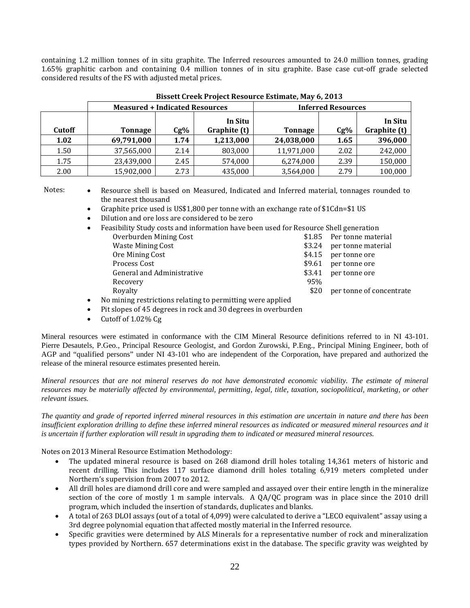containing 1.2 million tonnes of in situ graphite. The Inferred resources amounted to 24.0 million tonnes, grading 1.65% graphitic carbon and containing 0.4 million tonnes of in situ graphite. Base case cut-off grade selected considered results of the FS with adjusted metal prices.

|        | <b>Measured + Indicated Resources</b> |        |                         |                | <b>Inferred Resources</b> |                         |
|--------|---------------------------------------|--------|-------------------------|----------------|---------------------------|-------------------------|
| Cutoff | <b>Tonnage</b>                        | $Cg\%$ | In Situ<br>Graphite (t) | <b>Tonnage</b> | Cg%                       | In Situ<br>Graphite (t) |
| 1.02   | 69,791,000                            | 1.74   | 1,213,000               | 24,038,000     | 1.65                      | 396,000                 |
| 1.50   | 37,565,000                            | 2.14   | 803,000                 | 11,971,000     | 2.02                      | 242,000                 |
| 1.75   | 23,439,000                            | 2.45   | 574,000                 | 6,274,000      | 2.39                      | 150,000                 |
| 2.00   | 15,902,000                            | 2.73   | 435,000                 | 3,564,000      | 2.79                      | 100,000                 |

**Bissett Creek Project Resource Estimate, May 6, 2013** 

Notes: • Resource shell is based on Measured, Indicated and Inferred material, tonnages rounded to the nearest thousand

- Graphite price used is US\$1,800 per tonne with an exchange rate of \$1Cdn=\$1 US
- Dilution and ore loss are considered to be zero
- Feasibility Study costs and information have been used for Resource Shell generation

| Overburden Mining Cost     |      | \$1.85 Per tonne material |
|----------------------------|------|---------------------------|
| <b>Waste Mining Cost</b>   |      | \$3.24 per tonne material |
| Ore Mining Cost            |      | \$4.15 per tonne ore      |
| Process Cost               |      | \$9.61 per tonne ore      |
| General and Administrative |      | \$3.41 per tonne ore      |
| Recovery                   | 95%  |                           |
| Royalty                    | \$20 | per tonne of concentrate  |
|                            |      |                           |

• No mining restrictions relating to permitting were applied

- Pit slopes of 45 degrees in rock and 30 degrees in overburden
- Cutoff of 1.02% Cg

Mineral resources were estimated in conformance with the CIM Mineral Resource definitions referred to in NI 43-101. Pierre Desautels, P.Geo., Principal Resource Geologist, and Gordon Zurowski, P.Eng., Principal Mining Engineer, both of AGP and "qualified persons" under NI 43-101 who are independent of the Corporation, have prepared and authorized the release of the mineral resource estimates presented herein.

*Mineral resources that are not mineral reserves do not have demonstrated economic viability. The estimate of mineral resources may be materially affected by environmental, permitting, legal, title, taxation, sociopolitical, marketing, or other relevant issues.* 

*The quantity and grade of reported inferred mineral resources in this estimation are uncertain in nature and there has been insufficient exploration drilling to define these inferred mineral resources as indicated or measured mineral resources and it is uncertain if further exploration will result in upgrading them to indicated or measured mineral resources.* 

Notes on 2013 Mineral Resource Estimation Methodology:

- The updated mineral resource is based on 268 diamond drill holes totaling 14,361 meters of historic and recent drilling. This includes 117 surface diamond drill holes totaling 6,919 meters completed under Northern's supervision from 2007 to 2012.
- All drill holes are diamond drill core and were sampled and assayed over their entire length in the mineralize section of the core of mostly 1 m sample intervals. A QA/QC program was in place since the 2010 drill program, which included the insertion of standards, duplicates and blanks.
- A total of 263 DLOI assays (out of a total of 4,099) were calculated to derive a "LECO equivalent" assay using a 3rd degree polynomial equation that affected mostly material in the Inferred resource.
- Specific gravities were determined by ALS Minerals for a representative number of rock and mineralization types provided by Northern. 657 determinations exist in the database. The specific gravity was weighted by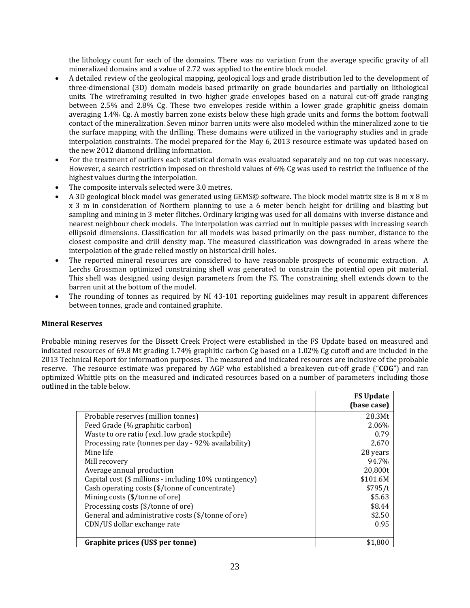the lithology count for each of the domains. There was no variation from the average specific gravity of all mineralized domains and a value of 2.72 was applied to the entire block model.

- A detailed review of the geological mapping, geological logs and grade distribution led to the development of three-dimensional (3D) domain models based primarily on grade boundaries and partially on lithological units. The wireframing resulted in two higher grade envelopes based on a natural cut-off grade ranging between 2.5% and 2.8% Cg. These two envelopes reside within a lower grade graphitic gneiss domain averaging 1.4% Cg. A mostly barren zone exists below these high grade units and forms the bottom footwall contact of the mineralization. Seven minor barren units were also modeled within the mineralized zone to tie the surface mapping with the drilling. These domains were utilized in the variography studies and in grade interpolation constraints. The model prepared for the May 6, 2013 resource estimate was updated based on the new 2012 diamond drilling information.
- For the treatment of outliers each statistical domain was evaluated separately and no top cut was necessary. However, a search restriction imposed on threshold values of 6% Cg was used to restrict the influence of the highest values during the interpolation.
- The composite intervals selected were 3.0 metres.
- A 3D geological block model was generated using GEMS© software. The block model matrix size is 8 m x 8 m x 3 m in consideration of Northern planning to use a 6 meter bench height for drilling and blasting but sampling and mining in 3 meter flitches. Ordinary kriging was used for all domains with inverse distance and nearest neighbour check models. The interpolation was carried out in multiple passes with increasing search ellipsoid dimensions. Classification for all models was based primarily on the pass number, distance to the closest composite and drill density map. The measured classification was downgraded in areas where the interpolation of the grade relied mostly on historical drill holes.
- The reported mineral resources are considered to have reasonable prospects of economic extraction. A Lerchs Grossman optimized constraining shell was generated to constrain the potential open pit material. This shell was designed using design parameters from the FS. The constraining shell extends down to the barren unit at the bottom of the model.
- The rounding of tonnes as required by NI 43-101 reporting guidelines may result in apparent differences between tonnes, grade and contained graphite.

## **Mineral Reserves**

Probable mining reserves for the Bissett Creek Project were established in the FS Update based on measured and indicated resources of 69.8 Mt grading 1.74% graphitic carbon Cg based on a 1.02% Cg cutoff and are included in the 2013 Technical Report for information purposes. The measured and indicated resources are inclusive of the probable reserve. The resource estimate was prepared by AGP who established a breakeven cut-off grade ("**COG**") and ran optimized Whittle pits on the measured and indicated resources based on a number of parameters including those outlined in the table below.

|                                                        | <b>FS Update</b><br>(base case) |
|--------------------------------------------------------|---------------------------------|
| Probable reserves (million tonnes)                     | 28.3Mt                          |
| Feed Grade (% graphitic carbon)                        | 2.06%                           |
| Waste to ore ratio (excl. low grade stockpile)         | 0.79                            |
| Processing rate (tonnes per day - 92% availability)    | 2,670                           |
| Mine life                                              | 28 years                        |
| Mill recovery                                          | 94.7%                           |
| Average annual production                              | 20,800t                         |
| Capital cost (\$ millions - including 10% contingency) | \$101.6M                        |
| Cash operating costs (\$/tonne of concentrate)         | \$795/t                         |
| Mining costs (\$/tonne of ore)                         | \$5.63                          |
| Processing costs (\$/tonne of ore)                     | \$8.44                          |
| General and administrative costs (\$/tonne of ore)     | \$2.50                          |
| CDN/US dollar exchange rate                            | 0.95                            |
| Graphite prices (US\$ per tonne)                       | \$1,800                         |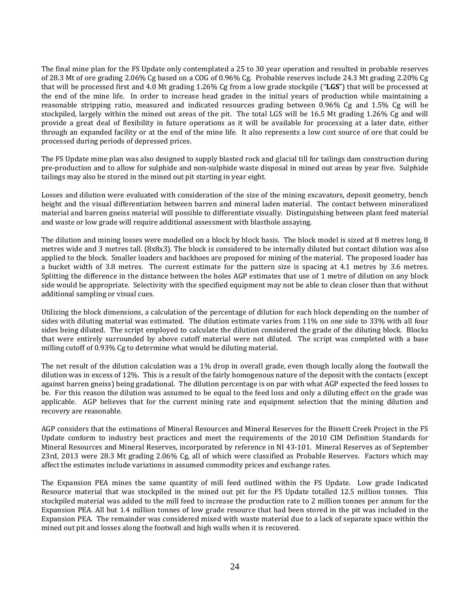The final mine plan for the FS Update only contemplated a 25 to 30 year operation and resulted in probable reserves of 28.3 Mt of ore grading 2.06% Cg based on a COG of 0.96% Cg. Probable reserves include 24.3 Mt grading 2.20% Cg that will be processed first and 4.0 Mt grading 1.26% Cg from a low grade stockpile ("**LGS**") that will be processed at the end of the mine life. In order to increase head grades in the initial years of production while maintaining a reasonable stripping ratio, measured and indicated resources grading between 0.96% Cg and 1.5% Cg will be stockpiled, largely within the mined out areas of the pit. The total LGS will be 16.5 Mt grading 1.26% Cg and will provide a great deal of flexibility in future operations as it will be available for processing at a later date, either through an expanded facility or at the end of the mine life. It also represents a low cost source of ore that could be processed during periods of depressed prices.

The FS Update mine plan was also designed to supply blasted rock and glacial till for tailings dam construction during pre-production and to allow for sulphide and non-sulphide waste disposal in mined out areas by year five. Sulphide tailings may also be stored in the mined out pit starting in year eight.

Losses and dilution were evaluated with consideration of the size of the mining excavators, deposit geometry, bench height and the visual differentiation between barren and mineral laden material. The contact between mineralized material and barren gneiss material will possible to differentiate visually. Distinguishing between plant feed material and waste or low grade will require additional assessment with blasthole assaying.

The dilution and mining losses were modelled on a block by block basis. The block model is sized at 8 metres long, 8 metres wide and 3 metres tall. (8x8x3). The block is considered to be internally diluted but contact dilution was also applied to the block. Smaller loaders and backhoes are proposed for mining of the material. The proposed loader has a bucket width of 3.8 metres. The current estimate for the pattern size is spacing at 4.1 metres by 3.6 metres. Splitting the difference in the distance between the holes AGP estimates that use of 1 metre of dilution on any block side would be appropriate. Selectivity with the specified equipment may not be able to clean closer than that without additional sampling or visual cues.

Utilizing the block dimensions, a calculation of the percentage of dilution for each block depending on the number of sides with diluting material was estimated. The dilution estimate varies from 11% on one side to 33% with all four sides being diluted. The script employed to calculate the dilution considered the grade of the diluting block. Blocks that were entirely surrounded by above cutoff material were not diluted. The script was completed with a base milling cutoff of 0.93% Cg to determine what would be diluting material.

The net result of the dilution calculation was a 1% drop in overall grade, even though locally along the footwall the dilution was in excess of 12%. This is a result of the fairly homogenous nature of the deposit with the contacts (except against barren gneiss) being gradational. The dilution percentage is on par with what AGP expected the feed losses to be. For this reason the dilution was assumed to be equal to the feed loss and only a diluting effect on the grade was applicable. AGP believes that for the current mining rate and equipment selection that the mining dilution and recovery are reasonable.

AGP considers that the estimations of Mineral Resources and Mineral Reserves for the Bissett Creek Project in the FS Update conform to industry best practices and meet the requirements of the 2010 CIM Definition Standards for Mineral Resources and Mineral Reserves, incorporated by reference in NI 43-101. Mineral Reserves as of September 23rd, 2013 were 28.3 Mt grading 2.06% Cg, all of which were classified as Probable Reserves. Factors which may affect the estimates include variations in assumed commodity prices and exchange rates.

The Expansion PEA mines the same quantity of mill feed outlined within the FS Update. Low grade Indicated Resource material that was stockpiled in the mined out pit for the FS Update totalled 12.5 million tonnes. This stockpiled material was added to the mill feed to increase the production rate to 2 million tonnes per annum for the Expansion PEA. All but 1.4 million tonnes of low grade resource that had been stored in the pit was included in the Expansion PEA. The remainder was considered mixed with waste material due to a lack of separate space within the mined out pit and losses along the footwall and high walls when it is recovered.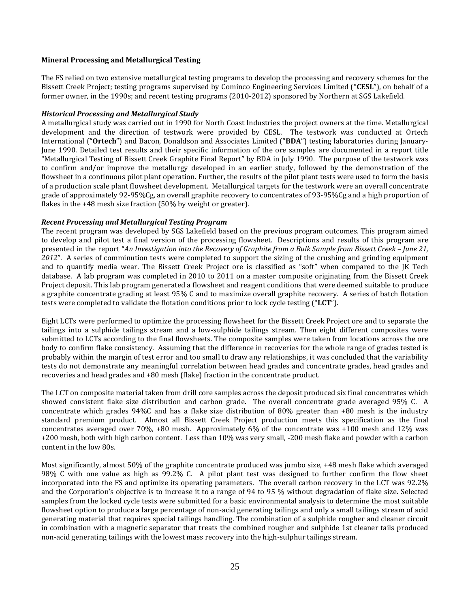## **Mineral Processing and Metallurgical Testing**

The FS relied on two extensive metallurgical testing programs to develop the processing and recovery schemes for the Bissett Creek Project; testing programs supervised by Cominco Engineering Services Limited ("**CESL**"), on behalf of a former owner, in the 1990s; and recent testing programs (2010-2012) sponsored by Northern at SGS Lakefield.

#### *Historical Processing and Metallurgical Study*

A metallurgical study was carried out in 1990 for North Coast Industries the project owners at the time. Metallurgical development and the direction of testwork were provided by CESL. The testwork was conducted at Ortech International ("**Ortech**") and Bacon, Donaldson and Associates Limited ("**BDA**") testing laboratories during January-June 1990. Detailed test results and their specific information of the ore samples are documented in a report title "Metallurgical Testing of Bissett Creek Graphite Final Report" by BDA in July 1990. The purpose of the testwork was to confirm and/or improve the metallurgy developed in an earlier study, followed by the demonstration of the flowsheet in a continuous pilot plant operation. Further, the results of the pilot plant tests were used to form the basis of a production scale plant flowsheet development. Metallurgical targets for the testwork were an overall concentrate grade of approximately 92-95%Cg, an overall graphite recovery to concentrates of 93-95%Cg and a high proportion of flakes in the +48 mesh size fraction (50% by weight or greater).

## *Recent Processing and Metallurgical Testing Program*

The recent program was developed by SGS Lakefield based on the previous program outcomes. This program aimed to develop and pilot test a final version of the processing flowsheet. Descriptions and results of this program are presented in the report "*An Investigation into the Recovery of Graphite from a Bulk Sample from Bissett Creek – June 21, 2012*". A series of comminution tests were completed to support the sizing of the crushing and grinding equipment and to quantify media wear. The Bissett Creek Project ore is classified as "soft" when compared to the JK Tech database. A lab program was completed in 2010 to 2011 on a master composite originating from the Bissett Creek Project deposit. This lab program generated a flowsheet and reagent conditions that were deemed suitable to produce a graphite concentrate grading at least 95% C and to maximize overall graphite recovery. A series of batch flotation tests were completed to validate the flotation conditions prior to lock cycle testing ("**LCT**").

Eight LCTs were performed to optimize the processing flowsheet for the Bissett Creek Project ore and to separate the tailings into a sulphide tailings stream and a low-sulphide tailings stream. Then eight different composites were submitted to LCTs according to the final flowsheets. The composite samples were taken from locations across the ore body to confirm flake consistency. Assuming that the difference in recoveries for the whole range of grades tested is probably within the margin of test error and too small to draw any relationships, it was concluded that the variability tests do not demonstrate any meaningful correlation between head grades and concentrate grades, head grades and recoveries and head grades and +80 mesh (flake) fraction in the concentrate product.

The LCT on composite material taken from drill core samples across the deposit produced six final concentrates which showed consistent flake size distribution and carbon grade. The overall concentrate grade averaged 95% C. A concentrate which grades 94%C and has a flake size distribution of 80% greater than +80 mesh is the industry standard premium product. Almost all Bissett Creek Project production meets this specification as the final concentrates averaged over 70%, +80 mesh. Approximately 6% of the concentrate was +100 mesh and 12% was +200 mesh, both with high carbon content. Less than 10% was very small, -200 mesh flake and powder with a carbon content in the low 80s.

Most significantly, almost 50% of the graphite concentrate produced was jumbo size, +48 mesh flake which averaged 98% C with one value as high as 99.2% C. A pilot plant test was designed to further confirm the flow sheet incorporated into the FS and optimize its operating parameters. The overall carbon recovery in the LCT was 92.2% and the Corporation's objective is to increase it to a range of 94 to 95 % without degradation of flake size. Selected samples from the locked cycle tests were submitted for a basic environmental analysis to determine the most suitable flowsheet option to produce a large percentage of non-acid generating tailings and only a small tailings stream of acid generating material that requires special tailings handling. The combination of a sulphide rougher and cleaner circuit in combination with a magnetic separator that treats the combined rougher and sulphide 1st cleaner tails produced non-acid generating tailings with the lowest mass recovery into the high-sulphur tailings stream.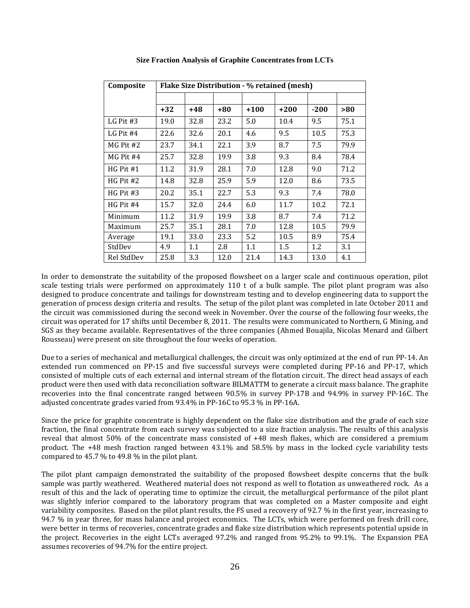| Composite   | Flake Size Distribution - % retained (mesh) |      |      |      |      |        |      |
|-------------|---------------------------------------------|------|------|------|------|--------|------|
|             |                                             |      |      |      |      |        |      |
|             | $+32$                                       | +48  | +80  | +100 | +200 | $-200$ | >80  |
| LG Pit $#3$ | 19.0                                        | 32.8 | 23.2 | 5.0  | 10.4 | 9.5    | 75.1 |
| LG Pit $#4$ | 22.6                                        | 32.6 | 20.1 | 4.6  | 9.5  | 10.5   | 75.3 |
| $MG$ Pit #2 | 23.7                                        | 34.1 | 22.1 | 3.9  | 8.7  | 7.5    | 79.9 |
| MG Pit #4   | 25.7                                        | 32.8 | 19.9 | 3.8  | 9.3  | 8.4    | 78.4 |
| $HG$ Pit #1 | 11.2                                        | 31.9 | 28.1 | 7.0  | 12.8 | 9.0    | 71.2 |
| HG Pit #2   | 14.8                                        | 32.8 | 25.9 | 5.9  | 12.0 | 8.6    | 73.5 |
| $HG$ Pit #3 | 20.2                                        | 35.1 | 22.7 | 5.3  | 9.3  | 7.4    | 78.0 |
| $HG$ Pit #4 | 15.7                                        | 32.0 | 24.4 | 6.0  | 11.7 | 10.2   | 72.1 |
| Minimum     | 11.2                                        | 31.9 | 19.9 | 3.8  | 8.7  | 7.4    | 71.2 |
| Maximum     | 25.7                                        | 35.1 | 28.1 | 7.0  | 12.8 | 10.5   | 79.9 |
| Average     | 19.1                                        | 33.0 | 23.3 | 5.2  | 10.5 | 8.9    | 75.4 |
| StdDev      | 4.9                                         | 1.1  | 2.8  | 1.1  | 1.5  | 1.2    | 3.1  |
| Rel StdDev  | 25.8                                        | 3.3  | 12.0 | 21.4 | 14.3 | 13.0   | 4.1  |

**Size Fraction Analysis of Graphite Concentrates from LCTs** 

In order to demonstrate the suitability of the proposed flowsheet on a larger scale and continuous operation, pilot scale testing trials were performed on approximately 110 t of a bulk sample. The pilot plant program was also designed to produce concentrate and tailings for downstream testing and to develop engineering data to support the generation of process design criteria and results. The setup of the pilot plant was completed in late October 2011 and the circuit was commissioned during the second week in November. Over the course of the following four weeks, the circuit was operated for 17 shifts until December 8, 2011. The results were communicated to Northern, G Mining, and SGS as they became available. Representatives of the three companies (Ahmed Bouajila, Nicolas Menard and Gilbert Rousseau) were present on site throughout the four weeks of operation.

Due to a series of mechanical and metallurgical challenges, the circuit was only optimized at the end of run PP-14. An extended run commenced on PP-15 and five successful surveys were completed during PP-16 and PP-17, which consisted of multiple cuts of each external and internal stream of the flotation circuit. The direct head assays of each product were then used with data reconciliation software BILMATTM to generate a circuit mass balance. The graphite recoveries into the final concentrate ranged between 90.5% in survey PP-17B and 94.9% in survey PP-16C. The adjusted concentrate grades varied from 93.4% in PP-16C to 95.3 % in PP-16A.

Since the price for graphite concentrate is highly dependent on the flake size distribution and the grade of each size fraction, the final concentrate from each survey was subjected to a size fraction analysis. The results of this analysis reveal that almost 50% of the concentrate mass consisted of +48 mesh flakes, which are considered a premium product. The +48 mesh fraction ranged between 43.1% and 58.5% by mass in the locked cycle variability tests compared to 45.7 % to 49.8 % in the pilot plant.

The pilot plant campaign demonstrated the suitability of the proposed flowsheet despite concerns that the bulk sample was partly weathered. Weathered material does not respond as well to flotation as unweathered rock. As a result of this and the lack of operating time to optimize the circuit, the metallurgical performance of the pilot plant was slightly inferior compared to the laboratory program that was completed on a Master composite and eight variability composites. Based on the pilot plant results, the FS used a recovery of 92.7 % in the first year, increasing to 94.7 % in year three, for mass balance and project economics. The LCTs, which were performed on fresh drill core, were better in terms of recoveries, concentrate grades and flake size distribution which represents potential upside in the project. Recoveries in the eight LCTs averaged 97.2% and ranged from 95.2% to 99.1%. The Expansion PEA assumes recoveries of 94.7% for the entire project.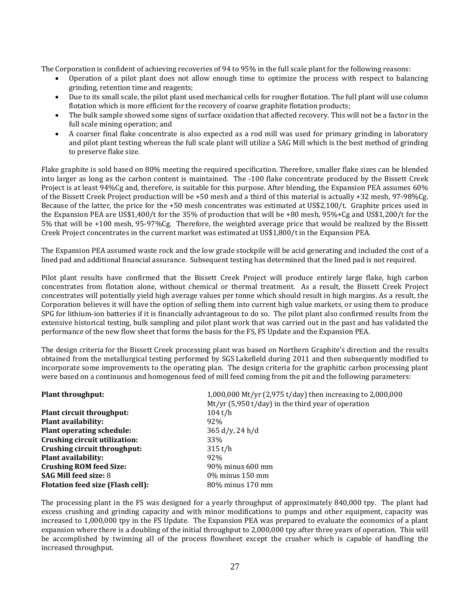The Corporation is confident of achieving recoveries of 94 to 95% in the full scale plant for the following reasons:

- Operation of a pilot plant does not allow enough time to optimize the process with respect to balancing grinding, retention time and reagents;
- Due to its small scale, the pilot plant used mechanical cells for rougher flotation. The full plant will use column flotation which is more efficient for the recovery of coarse graphite flotation products;
- The bulk sample showed some signs of surface oxidation that affected recovery. This will not be a factor in the full scale mining operation; and
- A coarser final flake concentrate is also expected as a rod mill was used for primary grinding in laboratory and pilot plant testing whereas the full scale plant will utilize a SAG Mill which is the best method of grinding to preserve flake size.

Flake graphite is sold based on 80% meeting the required specification. Therefore, smaller flake sizes can be blended into larger as long as the carbon content is maintained. The -100 flake concentrate produced by the Bissett Creek Project is at least 94%Cg and, therefore, is suitable for this purpose. After blending, the Expansion PEA assumes 60% of the Bissett Creek Project production will be +50 mesh and a third of this material is actually +32 mesh, 97-98%Cg. Because of the latter, the price for the +50 mesh concentrates was estimated at US\$2,100/t. Graphite prices used in the Expansion PEA are US\$1,400/t for the 35% of production that will be +80 mesh, 95%+Cg and US\$1,200/t for the 5% that will be +100 mesh, 95-97%Cg. Therefore, the weighted average price that would be realized by the Bissett Creek Project concentrates in the current market was estimated at US\$1,800/t in the Expansion PEA.

The Expansion PEA assumed waste rock and the low grade stockpile will be acid generating and included the cost of a lined pad and additional financial assurance. Subsequent testing has determined that the lined pad is not required.

Pilot plant results have confirmed that the Bissett Creek Project will produce entirely large flake, high carbon concentrates from flotation alone, without chemical or thermal treatment. As a result, the Bissett Creek Project concentrates will potentially yield high average values per tonne which should result in high margins. As a result, the Corporation believes it will have the option of selling them into current high value markets, or using them to produce SPG for lithium-ion batteries if it is financially advantageous to do so. The pilot plant also confirmed results from the extensive historical testing, bulk sampling and pilot plant work that was carried out in the past and has validated the performance of the new flow sheet that forms the basis for the FS, FS Update and the Expansion PEA.

The design criteria for the Bissett Creek processing plant was based on Northern Graphite's direction and the results obtained from the metallurgical testing performed by SGS Lakefield during 2011 and then subsequently modified to incorporate some improvements to the operating plan. The design criteria for the graphitic carbon processing plant were based on a continuous and homogenous feed of mill feed coming from the pit and the following parameters:

| <b>Plant throughput:</b>                 | 1,000,000 Mt/yr (2,975 t/day) then increasing to 2,000,000<br>Mt/yr $(5,950 \t{t/day})$ in the third year of operation |
|------------------------------------------|------------------------------------------------------------------------------------------------------------------------|
| Plant circuit throughput:                | 104 t/h                                                                                                                |
| <b>Plant availability:</b>               | 92%                                                                                                                    |
| <b>Plant operating schedule:</b>         | $365 d/y$ , 24 h/d                                                                                                     |
| Crushing circuit utilization:            | 33%                                                                                                                    |
| Crushing circuit throughput:             | 315 t/h                                                                                                                |
| <b>Plant availability:</b>               | 92%                                                                                                                    |
| <b>Crushing ROM feed Size:</b>           | 90% minus 600 mm                                                                                                       |
| <b>SAG Mill feed size: 8</b>             | $0\%$ minus 150 mm                                                                                                     |
| <b>Flotation feed size (Flash cell):</b> | 80% minus 170 mm                                                                                                       |

The processing plant in the FS was designed for a yearly throughput of approximately 840,000 tpy. The plant had excess crushing and grinding capacity and with minor modifications to pumps and other equipment, capacity was increased to 1,000,000 tpy in the FS Update. The Expansion PEA was prepared to evaluate the economics of a plant expansion where there is a doubling of the initial throughput to 2,000,000 tpy after three years of operation. This will be accomplished by twinning all of the process flowsheet except the crusher which is capable of handling the increased throughput.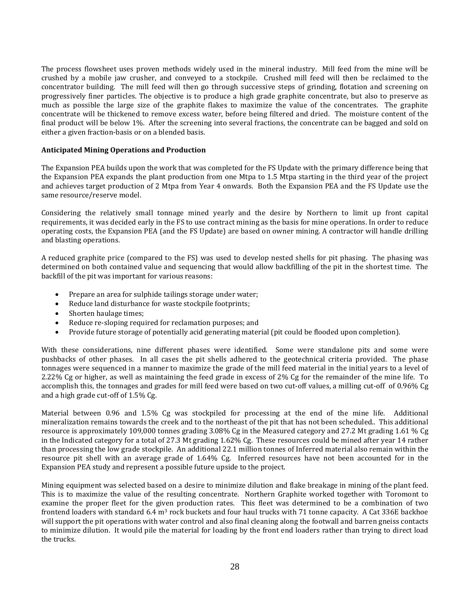The process flowsheet uses proven methods widely used in the mineral industry. Mill feed from the mine will be crushed by a mobile jaw crusher, and conveyed to a stockpile. Crushed mill feed will then be reclaimed to the concentrator building. The mill feed will then go through successive steps of grinding, flotation and screening on progressively finer particles. The objective is to produce a high grade graphite concentrate, but also to preserve as much as possible the large size of the graphite flakes to maximize the value of the concentrates. The graphite concentrate will be thickened to remove excess water, before being filtered and dried. The moisture content of the final product will be below 1%. After the screening into several fractions, the concentrate can be bagged and sold on either a given fraction-basis or on a blended basis.

## **Anticipated Mining Operations and Production**

The Expansion PEA builds upon the work that was completed for the FS Update with the primary difference being that the Expansion PEA expands the plant production from one Mtpa to 1.5 Mtpa starting in the third year of the project and achieves target production of 2 Mtpa from Year 4 onwards. Both the Expansion PEA and the FS Update use the same resource/reserve model.

Considering the relatively small tonnage mined yearly and the desire by Northern to limit up front capital requirements, it was decided early in the FS to use contract mining as the basis for mine operations. In order to reduce operating costs, the Expansion PEA (and the FS Update) are based on owner mining. A contractor will handle drilling and blasting operations.

A reduced graphite price (compared to the FS) was used to develop nested shells for pit phasing. The phasing was determined on both contained value and sequencing that would allow backfilling of the pit in the shortest time. The backfill of the pit was important for various reasons:

- Prepare an area for sulphide tailings storage under water;
- Reduce land disturbance for waste stockpile footprints;
- Shorten haulage times;
- Reduce re-sloping required for reclamation purposes; and
- Provide future storage of potentially acid generating material (pit could be flooded upon completion).

With these considerations, nine different phases were identified. Some were standalone pits and some were pushbacks of other phases. In all cases the pit shells adhered to the geotechnical criteria provided. The phase tonnages were sequenced in a manner to maximize the grade of the mill feed material in the initial years to a level of 2.22% Cg or higher, as well as maintaining the feed grade in excess of 2% Cg for the remainder of the mine life. To accomplish this, the tonnages and grades for mill feed were based on two cut-off values, a milling cut-off of 0.96% Cg and a high grade cut-off of 1.5% Cg.

Material between 0.96 and 1.5% Cg was stockpiled for processing at the end of the mine life. Additional mineralization remains towards the creek and to the northeast of the pit that has not been scheduled.. This additional resource is approximately 109,000 tonnes grading 3.08% Cg in the Measured category and 27.2 Mt grading 1.61 % Cg in the Indicated category for a total of 27.3 Mt grading 1.62% Cg. These resources could be mined after year 14 rather than processing the low grade stockpile. An additional 22.1 million tonnes of Inferred material also remain within the resource pit shell with an average grade of 1.64% Cg. Inferred resources have not been accounted for in the Expansion PEA study and represent a possible future upside to the project.

Mining equipment was selected based on a desire to minimize dilution and flake breakage in mining of the plant feed. This is to maximize the value of the resulting concentrate. Northern Graphite worked together with Toromont to examine the proper fleet for the given production rates. This fleet was determined to be a combination of two frontend loaders with standard 6.4  $m<sup>3</sup>$  rock buckets and four haul trucks with 71 tonne capacity. A Cat 336E backhoe will support the pit operations with water control and also final cleaning along the footwall and barren gneiss contacts to minimize dilution. It would pile the material for loading by the front end loaders rather than trying to direct load the trucks.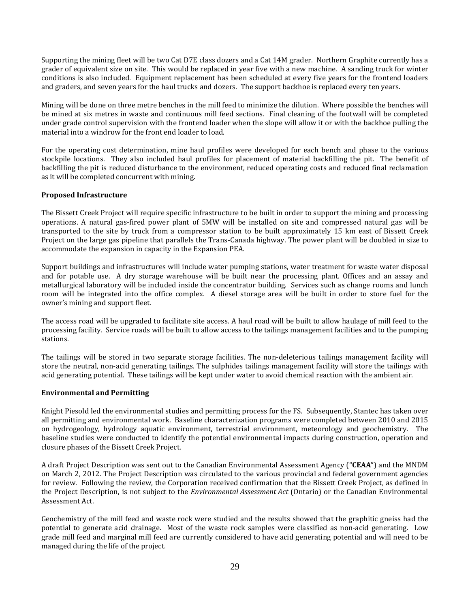Supporting the mining fleet will be two Cat D7E class dozers and a Cat 14M grader. Northern Graphite currently has a grader of equivalent size on site. This would be replaced in year five with a new machine. A sanding truck for winter conditions is also included. Equipment replacement has been scheduled at every five years for the frontend loaders and graders, and seven years for the haul trucks and dozers. The support backhoe is replaced every ten years.

Mining will be done on three metre benches in the mill feed to minimize the dilution. Where possible the benches will be mined at six metres in waste and continuous mill feed sections. Final cleaning of the footwall will be completed under grade control supervision with the frontend loader when the slope will allow it or with the backhoe pulling the material into a windrow for the front end loader to load.

For the operating cost determination, mine haul profiles were developed for each bench and phase to the various stockpile locations. They also included haul profiles for placement of material backfilling the pit. The benefit of backfilling the pit is reduced disturbance to the environment, reduced operating costs and reduced final reclamation as it will be completed concurrent with mining.

## **Proposed Infrastructure**

The Bissett Creek Project will require specific infrastructure to be built in order to support the mining and processing operations. A natural gas-fired power plant of 5MW will be installed on site and compressed natural gas will be transported to the site by truck from a compressor station to be built approximately 15 km east of Bissett Creek Project on the large gas pipeline that parallels the Trans-Canada highway. The power plant will be doubled in size to accommodate the expansion in capacity in the Expansion PEA.

Support buildings and infrastructures will include water pumping stations, water treatment for waste water disposal and for potable use. A dry storage warehouse will be built near the processing plant. Offices and an assay and metallurgical laboratory will be included inside the concentrator building. Services such as change rooms and lunch room will be integrated into the office complex. A diesel storage area will be built in order to store fuel for the owner's mining and support fleet.

The access road will be upgraded to facilitate site access. A haul road will be built to allow haulage of mill feed to the processing facility. Service roads will be built to allow access to the tailings management facilities and to the pumping stations.

The tailings will be stored in two separate storage facilities. The non-deleterious tailings management facility will store the neutral, non-acid generating tailings. The sulphides tailings management facility will store the tailings with acid generating potential. These tailings will be kept under water to avoid chemical reaction with the ambient air.

## **Environmental and Permitting**

Knight Piesold led the environmental studies and permitting process for the FS. Subsequently, Stantec has taken over all permitting and environmental work. Baseline characterization programs were completed between 2010 and 2015 on hydrogeology, hydrology aquatic environment, terrestrial environment, meteorology and geochemistry. The baseline studies were conducted to identify the potential environmental impacts during construction, operation and closure phases of the Bissett Creek Project.

A draft Project Description was sent out to the Canadian Environmental Assessment Agency ("**CEAA**") and the MNDM on March 2, 2012. The Project Description was circulated to the various provincial and federal government agencies for review. Following the review, the Corporation received confirmation that the Bissett Creek Project, as defined in the Project Description, is not subject to the *Environmental Assessment Act* (Ontario) or the Canadian Environmental Assessment Act.

Geochemistry of the mill feed and waste rock were studied and the results showed that the graphitic gneiss had the potential to generate acid drainage. Most of the waste rock samples were classified as non-acid generating. Low grade mill feed and marginal mill feed are currently considered to have acid generating potential and will need to be managed during the life of the project.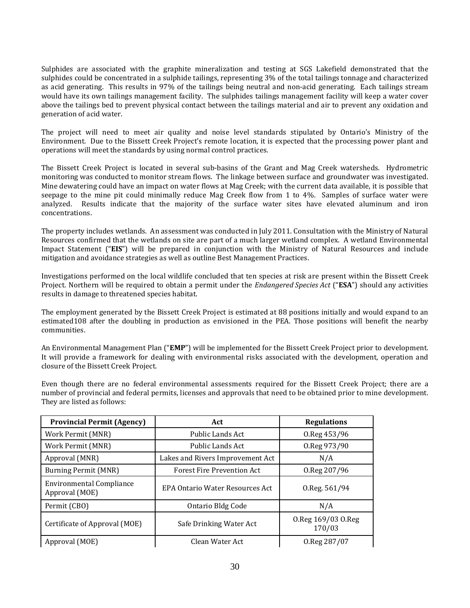Sulphides are associated with the graphite mineralization and testing at SGS Lakefield demonstrated that the sulphides could be concentrated in a sulphide tailings, representing 3% of the total tailings tonnage and characterized as acid generating. This results in 97% of the tailings being neutral and non-acid generating. Each tailings stream would have its own tailings management facility. The sulphides tailings management facility will keep a water cover above the tailings bed to prevent physical contact between the tailings material and air to prevent any oxidation and generation of acid water.

The project will need to meet air quality and noise level standards stipulated by Ontario's Ministry of the Environment. Due to the Bissett Creek Project's remote location, it is expected that the processing power plant and operations will meet the standards by using normal control practices.

The Bissett Creek Project is located in several sub-basins of the Grant and Mag Creek watersheds. Hydrometric monitoring was conducted to monitor stream flows. The linkage between surface and groundwater was investigated. Mine dewatering could have an impact on water flows at Mag Creek; with the current data available, it is possible that seepage to the mine pit could minimally reduce Mag Creek flow from 1 to 4%. Samples of surface water were analyzed. Results indicate that the majority of the surface water sites have elevated aluminum and iron concentrations.

The property includes wetlands. An assessment was conducted in July 2011. Consultation with the Ministry of Natural Resources confirmed that the wetlands on site are part of a much larger wetland complex. A wetland Environmental Impact Statement ("**EIS**") will be prepared in conjunction with the Ministry of Natural Resources and include mitigation and avoidance strategies as well as outline Best Management Practices.

Investigations performed on the local wildlife concluded that ten species at risk are present within the Bissett Creek Project. Northern will be required to obtain a permit under the *Endangered Species Act* ("**ESA**") should any activities results in damage to threatened species habitat.

The employment generated by the Bissett Creek Project is estimated at 88 positions initially and would expand to an estimated108 after the doubling in production as envisioned in the PEA. Those positions will benefit the nearby communities.

An Environmental Management Plan ("**EMP**") will be implemented for the Bissett Creek Project prior to development. It will provide a framework for dealing with environmental risks associated with the development, operation and closure of the Bissett Creek Project.

Even though there are no federal environmental assessments required for the Bissett Creek Project; there are a number of provincial and federal permits, licenses and approvals that need to be obtained prior to mine development. They are listed as follows:

| <b>Provincial Permit (Agency)</b>                 | Act                                     | <b>Regulations</b>           |
|---------------------------------------------------|-----------------------------------------|------------------------------|
| Work Permit (MNR)                                 | Public Lands Act                        | 0.Reg 453/96                 |
| Work Permit (MNR)                                 | Public Lands Act                        | 0.Reg 973/90                 |
| Approval (MNR)                                    | Lakes and Rivers Improvement Act        | N/A                          |
| Burning Permit (MNR)                              | <b>Forest Fire Prevention Act</b>       | 0.Reg 207/96                 |
| <b>Environmental Compliance</b><br>Approval (MOE) | <b>EPA Ontario Water Resources Act.</b> | $0.$ Reg. 561/94             |
| Permit (CBO)                                      | Ontario Bldg Code                       | N/A                          |
| Certificate of Approval (MOE)                     | Safe Drinking Water Act                 | 0.Reg 169/03 O.Reg<br>170/03 |
| Approval (MOE)                                    | Clean Water Act                         | 0.Reg 287/07                 |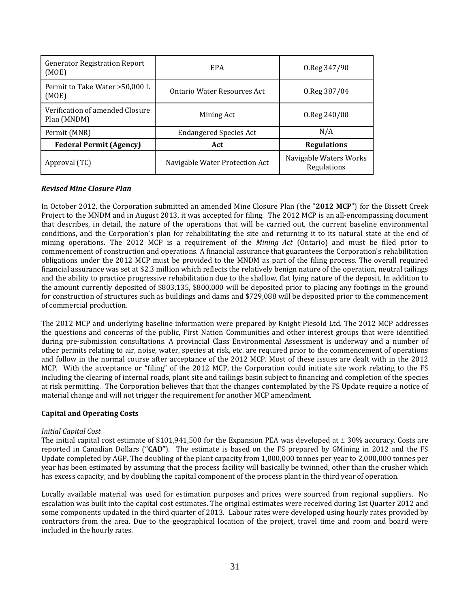| <b>Generator Registration Report</b><br>(MOE)  | EPA                            | $0.$ Reg $347/90$                     |
|------------------------------------------------|--------------------------------|---------------------------------------|
| Permit to Take Water > 50,000 L<br>(MOE)       | Ontario Water Resources Act    | 0.Reg 387/04                          |
| Verification of amended Closure<br>Plan (MNDM) | Mining Act                     | 0.Reg 240/00                          |
| Permit (MNR)                                   | <b>Endangered Species Act</b>  | N/A                                   |
| <b>Federal Permit (Agency)</b>                 | Act                            | <b>Regulations</b>                    |
| Approval (TC)                                  | Navigable Water Protection Act | Navigable Waters Works<br>Regulations |

## *Revised Mine Closure Plan*

In October 2012, the Corporation submitted an amended Mine Closure Plan (the "**2012 MCP**") for the Bissett Creek Project to the MNDM and in August 2013, it was accepted for filing. The 2012 MCP is an all-encompassing document that describes, in detail, the nature of the operations that will be carried out, the current baseline environmental conditions, and the Corporation's plan for rehabilitating the site and returning it to its natural state at the end of mining operations. The 2012 MCP is a requirement of the *Mining Act* (Ontario) and must be filed prior to commencement of construction and operations. A financial assurance that guarantees the Corporation's rehabilitation obligations under the 2012 MCP must be provided to the MNDM as part of the filing process. The overall required financial assurance was set at \$2.3 million which reflects the relatively benign nature of the operation, neutral tailings and the ability to practice progressive rehabilitation due to the shallow, flat lying nature of the deposit. In addition to the amount currently deposited of \$803,135, \$800,000 will be deposited prior to placing any footings in the ground for construction of structures such as buildings and dams and \$729,088 will be deposited prior to the commencement of commercial production.

The 2012 MCP and underlying baseline information were prepared by Knight Piesold Ltd. The 2012 MCP addresses the questions and concerns of the public, First Nation Communities and other interest groups that were identified during pre-submission consultations. A provincial Class Environmental Assessment is underway and a number of other permits relating to air, noise, water, species at risk, etc. are required prior to the commencement of operations and follow in the normal course after acceptance of the 2012 MCP. Most of these issues are dealt with in the 2012 MCP. With the acceptance or "filing" of the 2012 MCP, the Corporation could initiate site work relating to the FS including the clearing of internal roads, plant site and tailings basin subject to financing and completion of the species at risk permitting. The Corporation believes that that the changes contemplated by the FS Update require a notice of material change and will not trigger the requirement for another MCP amendment.

## **Capital and Operating Costs**

## *Initial Capital Cost*

The initial capital cost estimate of \$101,941,500 for the Expansion PEA was developed at ± 30% accuracy. Costs are reported in Canadian Dollars ("**CAD**"). The estimate is based on the FS prepared by GMining in 2012 and the FS Update completed by AGP. The doubling of the plant capacity from 1,000,000 tonnes per year to 2,000,000 tonnes per year has been estimated by assuming that the process facility will basically be twinned, other than the crusher which has excess capacity, and by doubling the capital component of the process plant in the third year of operation.

Locally available material was used for estimation purposes and prices were sourced from regional suppliers. No escalation was built into the capital cost estimates. The original estimates were received during 1st Quarter 2012 and some components updated in the third quarter of 2013. Labour rates were developed using hourly rates provided by contractors from the area. Due to the geographical location of the project, travel time and room and board were included in the hourly rates.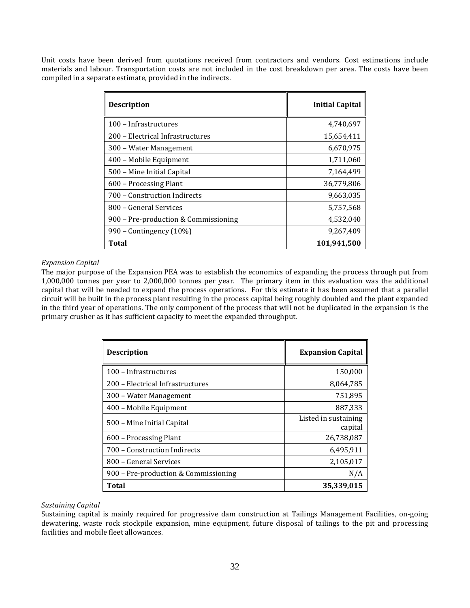Unit costs have been derived from quotations received from contractors and vendors. Cost estimations include materials and labour. Transportation costs are not included in the cost breakdown per area. The costs have been compiled in a separate estimate, provided in the indirects.

| <b>Description</b>                   | <b>Initial Capital</b> |
|--------------------------------------|------------------------|
| 100 - Infrastructures                | 4,740,697              |
| 200 – Electrical Infrastructures     | 15,654,411             |
| 300 – Water Management               | 6,670,975              |
| 400 - Mobile Equipment               | 1,711,060              |
| 500 – Mine Initial Capital           | 7,164,499              |
| 600 - Processing Plant               | 36,779,806             |
| 700 – Construction Indirects         | 9.663.035              |
| 800 - General Services               | 5,757,568              |
| 900 – Pre-production & Commissioning | 4,532,040              |
| 990 – Contingency (10%)              | 9,267,409              |
| Total                                | 101,941,500            |

## *Expansion Capital*

The major purpose of the Expansion PEA was to establish the economics of expanding the process through put from 1,000,000 tonnes per year to 2,000,000 tonnes per year. The primary item in this evaluation was the additional capital that will be needed to expand the process operations. For this estimate it has been assumed that a parallel circuit will be built in the process plant resulting in the process capital being roughly doubled and the plant expanded in the third year of operations. The only component of the process that will not be duplicated in the expansion is the primary crusher as it has sufficient capacity to meet the expanded throughput.

| <b>Description</b>                   | <b>Expansion Capital</b>        |
|--------------------------------------|---------------------------------|
| 100 - Infrastructures                | 150,000                         |
| 200 - Electrical Infrastructures     | 8,064,785                       |
| 300 - Water Management               | 751,895                         |
| 400 – Mobile Equipment               | 887,333                         |
| 500 – Mine Initial Capital           | Listed in sustaining<br>capital |
| 600 – Processing Plant               | 26,738,087                      |
| 700 – Construction Indirects         | 6,495,911                       |
| 800 - General Services               | 2,105,017                       |
| 900 – Pre-production & Commissioning | N/A                             |
| Total                                | 35,339,015                      |

## *Sustaining Capital*

Sustaining capital is mainly required for progressive dam construction at Tailings Management Facilities, on-going dewatering, waste rock stockpile expansion, mine equipment, future disposal of tailings to the pit and processing facilities and mobile fleet allowances.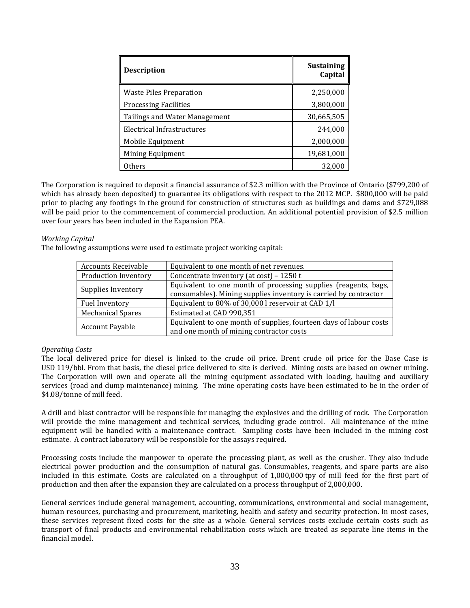| <b>Description</b>            | <b>Sustaining</b><br>Capital |
|-------------------------------|------------------------------|
| Waste Piles Preparation       | 2,250,000                    |
| <b>Processing Facilities</b>  | 3,800,000                    |
| Tailings and Water Management | 30,665,505                   |
| Electrical Infrastructures    | 244,000                      |
| Mobile Equipment              | 2,000,000                    |
| Mining Equipment              | 19,681,000                   |
| Others                        | 32,000                       |

The Corporation is required to deposit a financial assurance of \$2.3 million with the Province of Ontario (\$799,200 of which has already been deposited) to guarantee its obligations with respect to the 2012 MCP. \$800,000 will be paid prior to placing any footings in the ground for construction of structures such as buildings and dams and \$729,088 will be paid prior to the commencement of commercial production. An additional potential provision of \$2.5 million over four years has been included in the Expansion PEA.

## *Working Capital*

The following assumptions were used to estimate project working capital:

| <b>Accounts Receivable</b> | Equivalent to one month of net revenues.                                                                                            |
|----------------------------|-------------------------------------------------------------------------------------------------------------------------------------|
| Production Inventory       | Concentrate inventory (at cost) - 1250 t                                                                                            |
| Supplies Inventory         | Equivalent to one month of processing supplies (reagents, bags,<br>consumables). Mining supplies inventory is carried by contractor |
| Fuel Inventory             | Equivalent to 80% of 30,000 l reservoir at CAD 1/l                                                                                  |
| <b>Mechanical Spares</b>   | Estimated at CAD 990,351                                                                                                            |
| <b>Account Payable</b>     | Equivalent to one month of supplies, fourteen days of labour costs<br>and one month of mining contractor costs                      |

## *Operating Costs*

The local delivered price for diesel is linked to the crude oil price. Brent crude oil price for the Base Case is USD 119/bbl. From that basis, the diesel price delivered to site is derived. Mining costs are based on owner mining. The Corporation will own and operate all the mining equipment associated with loading, hauling and auxiliary services (road and dump maintenance) mining. The mine operating costs have been estimated to be in the order of \$4.08/tonne of mill feed.

A drill and blast contractor will be responsible for managing the explosives and the drilling of rock. The Corporation will provide the mine management and technical services, including grade control. All maintenance of the mine equipment will be handled with a maintenance contract. Sampling costs have been included in the mining cost estimate. A contract laboratory will be responsible for the assays required.

Processing costs include the manpower to operate the processing plant, as well as the crusher. They also include electrical power production and the consumption of natural gas. Consumables, reagents, and spare parts are also included in this estimate. Costs are calculated on a throughput of 1,000,000 tpy of mill feed for the first part of production and then after the expansion they are calculated on a process throughput of 2,000,000.

General services include general management, accounting, communications, environmental and social management, human resources, purchasing and procurement, marketing, health and safety and security protection. In most cases, these services represent fixed costs for the site as a whole. General services costs exclude certain costs such as transport of final products and environmental rehabilitation costs which are treated as separate line items in the financial model.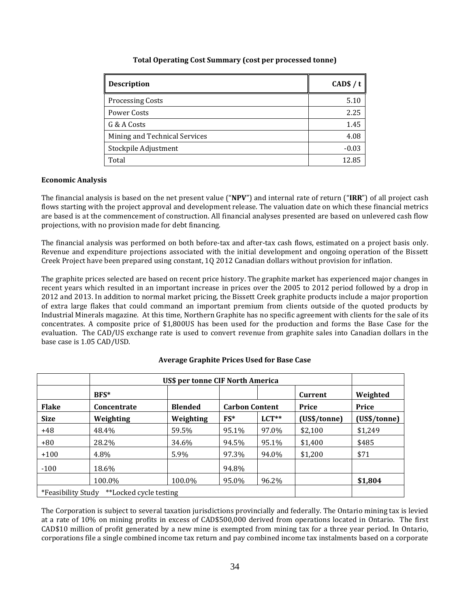| <b>Description</b>            | CAD $$/t$ |
|-------------------------------|-----------|
| <b>Processing Costs</b>       | 5.10      |
| Power Costs                   | 2.25      |
| G & A Costs                   | 1.45      |
| Mining and Technical Services | 4.08      |
| Stockpile Adjustment          | $-0.03$   |
| Total                         | 12.85     |

## **Total Operating Cost Summary (cost per processed tonne)**

#### **Economic Analysis**

The financial analysis is based on the net present value ("**NPV**") and internal rate of return ("**IRR**") of all project cash flows starting with the project approval and development release. The valuation date on which these financial metrics are based is at the commencement of construction. All financial analyses presented are based on unlevered cash flow projections, with no provision made for debt financing.

The financial analysis was performed on both before-tax and after-tax cash flows, estimated on a project basis only. Revenue and expenditure projections associated with the initial development and ongoing operation of the Bissett Creek Project have been prepared using constant, 1Q 2012 Canadian dollars without provision for inflation.

The graphite prices selected are based on recent price history. The graphite market has experienced major changes in recent years which resulted in an important increase in prices over the 2005 to 2012 period followed by a drop in 2012 and 2013. In addition to normal market pricing, the Bissett Creek graphite products include a major proportion of extra large flakes that could command an important premium from clients outside of the quoted products by Industrial Minerals magazine. At this time, Northern Graphite has no specific agreement with clients for the sale of its concentrates. A composite price of \$1,800US has been used for the production and forms the Base Case for the evaluation. The CAD/US exchange rate is used to convert revenue from graphite sales into Canadian dollars in the base case is 1.05 CAD/USD.

|                    | <b>US\$ per tonne CIF North America</b> |                |                       |         |              |              |
|--------------------|-----------------------------------------|----------------|-----------------------|---------|--------------|--------------|
|                    | BFS*                                    |                |                       |         | Current      | Weighted     |
| <b>Flake</b>       | <b>Concentrate</b>                      | <b>Blended</b> | <b>Carbon Content</b> |         | Price        | Price        |
| <b>Size</b>        | Weighting                               | Weighting      | $FS*$                 | $LCT**$ | (US\$/tonne) | (US\$/tonne) |
| $+48$              | 48.4%                                   | 59.5%          | 95.1%                 | 97.0%   | \$2,100      | \$1,249      |
| $+80$              | 28.2%                                   | 34.6%          | 94.5%                 | 95.1%   | \$1,400      | \$485        |
| $+100$             | 4.8%                                    | 5.9%           | 97.3%                 | 94.0%   | \$1,200      | \$71         |
| $-100$             | 18.6%                                   |                | 94.8%                 |         |              |              |
|                    | 100.0%                                  | 100.0%         | 95.0%                 | 96.2%   |              | \$1,804      |
| *Feasibility Study | **Locked cycle testing                  |                |                       |         |              |              |

## **Average Graphite Prices Used for Base Case**

The Corporation is subject to several taxation jurisdictions provincially and federally. The Ontario mining tax is levied at a rate of 10% on mining profits in excess of CAD\$500,000 derived from operations located in Ontario. The first CAD\$10 million of profit generated by a new mine is exempted from mining tax for a three year period. In Ontario, corporations file a single combined income tax return and pay combined income tax instalments based on a corporate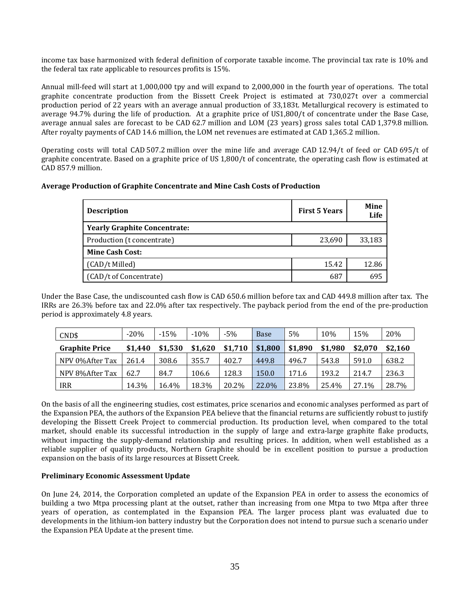income tax base harmonized with federal definition of corporate taxable income. The provincial tax rate is 10% and the federal tax rate applicable to resources profits is 15%.

Annual mill-feed will start at 1,000,000 tpy and will expand to 2,000,000 in the fourth year of operations. The total graphite concentrate production from the Bissett Creek Project is estimated at 730,027t over a commercial production period of 22 years with an average annual production of 33,183t. Metallurgical recovery is estimated to average 94.7% during the life of production. At a graphite price of US1,800/t of concentrate under the Base Case, average annual sales are forecast to be CAD 62.7 million and LOM (23 years) gross sales total CAD 1,379.8 million. After royalty payments of CAD 14.6 million, the LOM net revenues are estimated at CAD 1,365.2 million.

Operating costs will total CAD 507.2 million over the mine life and average CAD 12.94/t of feed or CAD 695/t of graphite concentrate. Based on a graphite price of US 1,800/t of concentrate, the operating cash flow is estimated at CAD 857.9 million.

## **Average Production of Graphite Concentrate and Mine Cash Costs of Production**

| <b>Description</b>                  | <b>First 5 Years</b> | <b>Mine</b><br>Life |  |  |  |  |
|-------------------------------------|----------------------|---------------------|--|--|--|--|
| <b>Yearly Graphite Concentrate:</b> |                      |                     |  |  |  |  |
| Production (t concentrate)          | 23,690               | 33,183              |  |  |  |  |
| <b>Mine Cash Cost:</b>              |                      |                     |  |  |  |  |
| (CAD/t Milled)                      | 15.42                | 12.86               |  |  |  |  |
| (CAD/t of Concentrate)              | 687                  | 695                 |  |  |  |  |

Under the Base Case, the undiscounted cash flow is CAD 650.6 million before tax and CAD 449.8 million after tax. The IRRs are 26.3% before tax and 22.0% after tax respectively. The payback period from the end of the pre-production period is approximately 4.8 years.

| CND\$                 | $-20%$  | $-15%$  | $-10%$  | $-5%$   | <b>Base</b> | 5%      | 10%     | 15%     | 20%     |
|-----------------------|---------|---------|---------|---------|-------------|---------|---------|---------|---------|
| <b>Graphite Price</b> | \$1.440 | \$1.530 | \$1,620 | \$1.710 | \$1.800     | \$1,890 | \$1.980 | \$2.070 | \$2,160 |
| NPV 0%After Tax       | 261.4   | 308.6   | 355.7   | 402.7   | 449.8       | 496.7   | 543.8   | 591.0   | 638.2   |
| NPV 8%After Tax       | 62.7    | 84.7    | 106.6   | 128.3   | 150.0       | 171.6   | 193.2   | 214.7   | 236.3   |
| <b>IRR</b>            | 14.3%   | 16.4%   | 18.3%   | 20.2%   | 22.0%       | 23.8%   | 25.4%   | 27.1%   | 28.7%   |

On the basis of all the engineering studies, cost estimates, price scenarios and economic analyses performed as part of the Expansion PEA, the authors of the Expansion PEA believe that the financial returns are sufficiently robust to justify developing the Bissett Creek Project to commercial production. Its production level, when compared to the total market, should enable its successful introduction in the supply of large and extra-large graphite flake products, without impacting the supply-demand relationship and resulting prices. In addition, when well established as a reliable supplier of quality products, Northern Graphite should be in excellent position to pursue a production expansion on the basis of its large resources at Bissett Creek.

## **Preliminary Economic Assessment Update**

On June 24, 2014, the Corporation completed an update of the Expansion PEA in order to assess the economics of building a two Mtpa processing plant at the outset, rather than increasing from one Mtpa to two Mtpa after three years of operation, as contemplated in the Expansion PEA. The larger process plant was evaluated due to developments in the lithium-ion battery industry but the Corporation does not intend to pursue such a scenario under the Expansion PEA Update at the present time.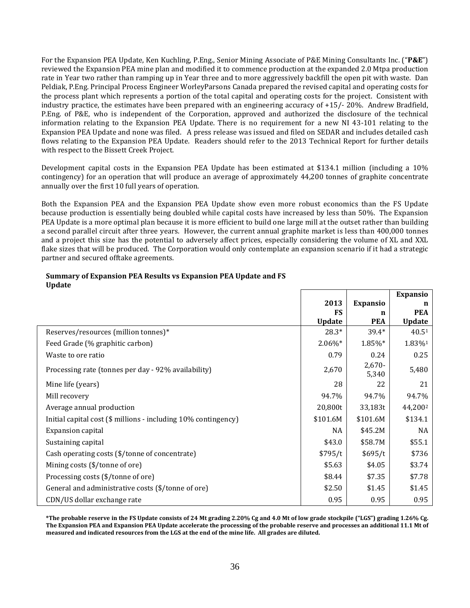For the Expansion PEA Update, Ken Kuchling, P.Eng., Senior Mining Associate of P&E Mining Consultants Inc. ("**P&E**") reviewed the Expansion PEA mine plan and modified it to commence production at the expanded 2.0 Mtpa production rate in Year two rather than ramping up in Year three and to more aggressively backfill the open pit with waste. Dan Peldiak, P.Eng. Principal Process Engineer WorleyParsons Canada prepared the revised capital and operating costs for the process plant which represents a portion of the total capital and operating costs for the project. Consistent with industry practice, the estimates have been prepared with an engineering accuracy of +15/- 20%. Andrew Bradfield, P.Eng. of P&E, who is independent of the Corporation, approved and authorized the disclosure of the technical information relating to the Expansion PEA Update. There is no requirement for a new NI 43-101 relating to the Expansion PEA Update and none was filed. A press release was issued and filed on SEDAR and includes detailed cash flows relating to the Expansion PEA Update. Readers should refer to the 2013 Technical Report for further details with respect to the Bissett Creek Project.

Development capital costs in the Expansion PEA Update has been estimated at \$134.1 million (including a 10% contingency) for an operation that will produce an average of approximately 44,200 tonnes of graphite concentrate annually over the first 10 full years of operation.

Both the Expansion PEA and the Expansion PEA Update show even more robust economics than the FS Update because production is essentially being doubled while capital costs have increased by less than 50%. The Expansion PEA Update is a more optimal plan because it is more efficient to build one large mill at the outset rather than building a second parallel circuit after three years. However, the current annual graphite market is less than 400,000 tonnes and a project this size has the potential to adversely affect prices, especially considering the volume of XL and XXL flake sizes that will be produced. The Corporation would only contemplate an expansion scenario if it had a strategic partner and secured offtake agreements.

| <b>Upuate</b>                                                  |               |                   | <b>Expansio</b>     |
|----------------------------------------------------------------|---------------|-------------------|---------------------|
|                                                                | 2013          | <b>Expansio</b>   | n                   |
|                                                                | FS            | n                 | <b>PEA</b>          |
|                                                                | <b>Update</b> | <b>PEA</b>        | <b>Update</b>       |
| Reserves/resources (million tonnes)*                           | 28.3*         | 39.4*             | 40.51               |
| Feed Grade (% graphitic carbon)                                | $2.06\%$ *    | 1.85%*            | 1.83%1              |
| Waste to ore ratio                                             | 0.79          | 0.24              | 0.25                |
| Processing rate (tonnes per day - 92% availability)            | 2,670         | $2,670-$<br>5,340 | 5,480               |
| Mine life (years)                                              | 28            | 22                | 21                  |
| Mill recovery                                                  | 94.7%         | 94.7%             | 94.7%               |
| Average annual production                                      | 20,800t       | 33,183t           | 44,200 <sup>2</sup> |
| Initial capital cost (\$ millions - including 10% contingency) | \$101.6M      | \$101.6M          | \$134.1             |
| <b>Expansion capital</b>                                       | NA            | \$45.2M           | <b>NA</b>           |
| Sustaining capital                                             | \$43.0        | \$58.7M           | \$55.1              |
| Cash operating costs (\$/tonne of concentrate)                 | \$795/t       | \$695/t           | \$736               |
| Mining costs (\$/tonne of ore)                                 | \$5.63        | \$4.05            | \$3.74              |
| Processing costs (\$/tonne of ore)                             | \$8.44        | \$7.35            | \$7.78              |
| General and administrative costs (\$/tonne of ore)             | \$2.50        | \$1.45            | \$1.45              |
| CDN/US dollar exchange rate                                    | 0.95          | 0.95              | 0.95                |

## **Summary of Expansion PEA Results vs Expansion PEA Update and FS Update**

**\*The probable reserve in the FS Update consists of 24 Mt grading 2.20% Cg and 4.0 Mt of low grade stockpile ("LGS") grading 1.26% Cg. The Expansion PEA and Expansion PEA Update accelerate the processing of the probable reserve and processes an additional 11.1 Mt of measured and indicated resources from the LGS at the end of the mine life. All grades are diluted.**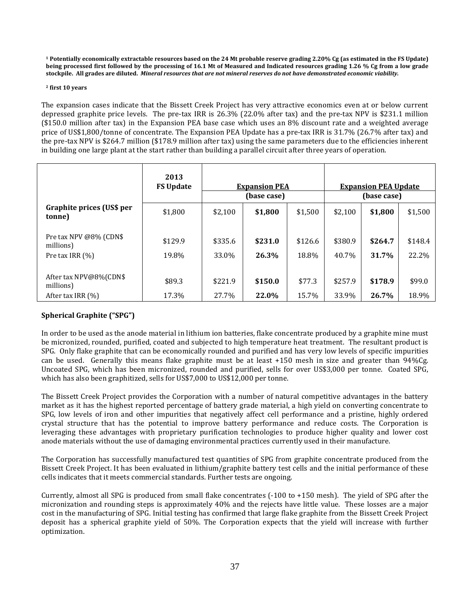**<sup>1</sup> Potentially economically extractable resources based on the 24 Mt probable reserve grading 2.20% Cg (as estimated in the FS Update) being processed first followed by the processing of 16.1 Mt of Measured and Indicated resources grading 1.26 % Cg from a low grade stockpile. All grades are diluted.** *Mineral resources that are not mineral reserves do not have demonstrated economic viability.* 

#### **<sup>2</sup> first 10 years**

The expansion cases indicate that the Bissett Creek Project has very attractive economics even at or below current depressed graphite price levels. The pre-tax IRR is 26.3% (22.0% after tax) and the pre-tax NPV is \$231.1 million (\$150.0 million after tax) in the Expansion PEA base case which uses an 8% discount rate and a weighted average price of US\$1,800/tonne of concentrate. The Expansion PEA Update has a pre-tax IRR is 31.7% (26.7% after tax) and the pre-tax NPV is \$264.7 million (\$178.9 million after tax) using the same parameters due to the efficiencies inherent in building one large plant at the start rather than building a parallel circuit after three years of operation.

|                                                             | 2013<br><b>FS Update</b> | <b>Expansion PEA</b><br>(base case) |                  |                  |                  | <b>Expansion PEA Update</b><br>(base case) |                  |
|-------------------------------------------------------------|--------------------------|-------------------------------------|------------------|------------------|------------------|--------------------------------------------|------------------|
| Graphite prices (US\$ per<br>tonne)                         | \$1,800                  | \$2,100                             | \$1,800          | \$1,500          | \$2,100          | \$1,800                                    | \$1,500          |
| Pre tax NPV @8% (CDN\$<br>millions)<br>Pre tax IRR $(%)$    | \$129.9<br>19.8%         | \$335.6<br>33.0%                    | \$231.0<br>26.3% | \$126.6<br>18.8% | \$380.9<br>40.7% | \$264.7<br>31.7%                           | \$148.4<br>22.2% |
| After tax NPV@8%(CDN\$<br>millions)<br>After tax IRR $(\%)$ | \$89.3<br>17.3%          | \$221.9<br>27.7%                    | \$150.0<br>22.0% | \$77.3<br>15.7%  | \$257.9<br>33.9% | \$178.9<br>26.7%                           | \$99.0<br>18.9%  |

## **Spherical Graphite ("SPG")**

In order to be used as the anode material in lithium ion batteries, flake concentrate produced by a graphite mine must be micronized, rounded, purified, coated and subjected to high temperature heat treatment. The resultant product is SPG. Only flake graphite that can be economically rounded and purified and has very low levels of specific impurities can be used. Generally this means flake graphite must be at least +150 mesh in size and greater than 94%Cg. Uncoated SPG, which has been micronized, rounded and purified, sells for over US\$3,000 per tonne. Coated SPG, which has also been graphitized, sells for US\$7,000 to US\$12,000 per tonne.

The Bissett Creek Project provides the Corporation with a number of natural competitive advantages in the battery market as it has the highest reported percentage of battery grade material, a high yield on converting concentrate to SPG, low levels of iron and other impurities that negatively affect cell performance and a pristine, highly ordered crystal structure that has the potential to improve battery performance and reduce costs. The Corporation is leveraging these advantages with proprietary purification technologies to produce higher quality and lower cost anode materials without the use of damaging environmental practices currently used in their manufacture.

The Corporation has successfully manufactured test quantities of SPG from graphite concentrate produced from the Bissett Creek Project. It has been evaluated in lithium/graphite battery test cells and the initial performance of these cells indicates that it meets commercial standards. Further tests are ongoing.

Currently, almost all SPG is produced from small flake concentrates (-100 to +150 mesh). The yield of SPG after the micronization and rounding steps is approximately 40% and the rejects have little value. These losses are a major cost in the manufacturing of SPG. Initial testing has confirmed that large flake graphite from the Bissett Creek Project deposit has a spherical graphite yield of 50%. The Corporation expects that the yield will increase with further optimization.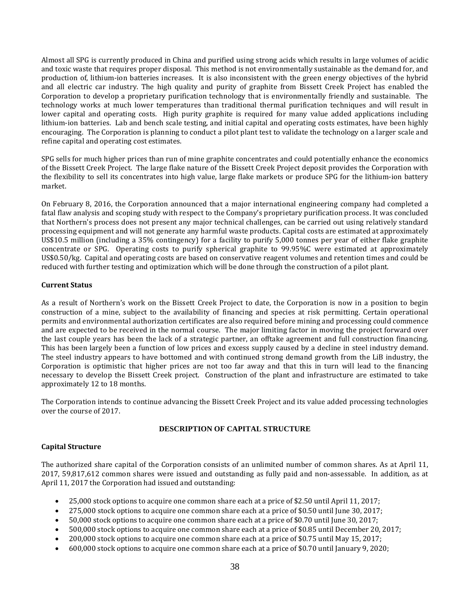Almost all SPG is currently produced in China and purified using strong acids which results in large volumes of acidic and toxic waste that requires proper disposal. This method is not environmentally sustainable as the demand for, and production of, lithium-ion batteries increases. It is also inconsistent with the green energy objectives of the hybrid and all electric car industry. The high quality and purity of graphite from Bissett Creek Project has enabled the Corporation to develop a proprietary purification technology that is environmentally friendly and sustainable. The technology works at much lower temperatures than traditional thermal purification techniques and will result in lower capital and operating costs. High purity graphite is required for many value added applications including lithium-ion batteries. Lab and bench scale testing, and initial capital and operating costs estimates, have been highly encouraging. The Corporation is planning to conduct a pilot plant test to validate the technology on a larger scale and refine capital and operating cost estimates.

SPG sells for much higher prices than run of mine graphite concentrates and could potentially enhance the economics of the Bissett Creek Project. The large flake nature of the Bissett Creek Project deposit provides the Corporation with the flexibility to sell its concentrates into high value, large flake markets or produce SPG for the lithium-ion battery market.

On February 8, 2016, the Corporation announced that a major international engineering company had completed a fatal flaw analysis and scoping study with respect to the Company's proprietary purification process. It was concluded that Northern's process does not present any major technical challenges, can be carried out using relatively standard processing equipment and will not generate any harmful waste products. Capital costs are estimated at approximately US\$10.5 million (including a 35% contingency) for a facility to purify 5,000 tonnes per year of either flake graphite concentrate or SPG. Operating costs to purify spherical graphite to 99.95%C were estimated at approximately US\$0.50/kg. Capital and operating costs are based on conservative reagent volumes and retention times and could be reduced with further testing and optimization which will be done through the construction of a pilot plant.

## **Current Status**

As a result of Northern's work on the Bissett Creek Project to date, the Corporation is now in a position to begin construction of a mine, subject to the availability of financing and species at risk permitting. Certain operational permits and environmental authorization certificates are also required before mining and processing could commence and are expected to be received in the normal course. The major limiting factor in moving the project forward over the last couple years has been the lack of a strategic partner, an offtake agreement and full construction financing. This has been largely been a function of low prices and excess supply caused by a decline in steel industry demand. The steel industry appears to have bottomed and with continued strong demand growth from the LiB industry, the Corporation is optimistic that higher prices are not too far away and that this in turn will lead to the financing necessary to develop the Bissett Creek project. Construction of the plant and infrastructure are estimated to take approximately 12 to 18 months.

The Corporation intends to continue advancing the Bissett Creek Project and its value added processing technologies over the course of 2017.

## **DESCRIPTION OF CAPITAL STRUCTURE**

## **Capital Structure**

The authorized share capital of the Corporation consists of an unlimited number of common shares. As at April 11, 2017, 59,817,612 common shares were issued and outstanding as fully paid and non-assessable. In addition, as at April 11, 2017 the Corporation had issued and outstanding:

- 25,000 stock options to acquire one common share each at a price of \$2.50 until April 11, 2017;
- 275,000 stock options to acquire one common share each at a price of \$0.50 until June 30, 2017;
- 50,000 stock options to acquire one common share each at a price of \$0.70 until June 30, 2017;
- 500,000 stock options to acquire one common share each at a price of \$0.85 until December 20, 2017;
- 200,000 stock options to acquire one common share each at a price of \$0.75 until May 15, 2017;
- 600,000 stock options to acquire one common share each at a price of \$0.70 until January 9, 2020;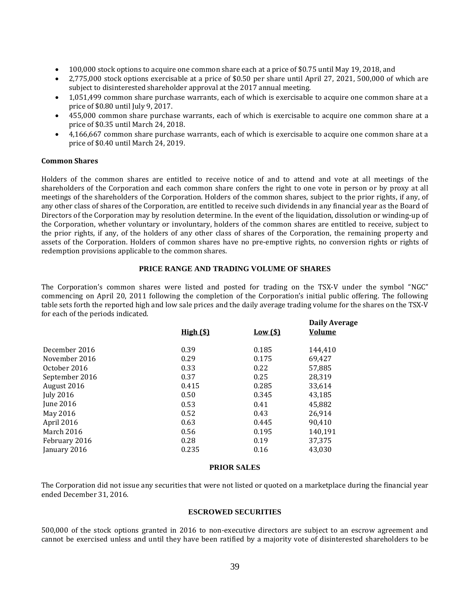- 100,000 stock options to acquire one common share each at a price of \$0.75 until May 19, 2018, and
- 2,775,000 stock options exercisable at a price of \$0.50 per share until April 27, 2021, 500,000 of which are subject to disinterested shareholder approval at the 2017 annual meeting.
- 1,051,499 common share purchase warrants, each of which is exercisable to acquire one common share at a price of \$0.80 until July 9, 2017.
- 455,000 common share purchase warrants, each of which is exercisable to acquire one common share at a price of \$0.35 until March 24, 2018.
- 4,166,667 common share purchase warrants, each of which is exercisable to acquire one common share at a price of \$0.40 until March 24, 2019.

#### **Common Shares**

Holders of the common shares are entitled to receive notice of and to attend and vote at all meetings of the shareholders of the Corporation and each common share confers the right to one vote in person or by proxy at all meetings of the shareholders of the Corporation. Holders of the common shares, subject to the prior rights, if any, of any other class of shares of the Corporation, are entitled to receive such dividends in any financial year as the Board of Directors of the Corporation may by resolution determine. In the event of the liquidation, dissolution or winding-up of the Corporation, whether voluntary or involuntary, holders of the common shares are entitled to receive, subject to the prior rights, if any, of the holders of any other class of shares of the Corporation, the remaining property and assets of the Corporation. Holders of common shares have no pre-emptive rights, no conversion rights or rights of redemption provisions applicable to the common shares.

#### **PRICE RANGE AND TRADING VOLUME OF SHARES**

The Corporation's common shares were listed and posted for trading on the TSX-V under the symbol "NGC" commencing on April 20, 2011 following the completion of the Corporation's initial public offering. The following table sets forth the reported high and low sale prices and the daily average trading volume for the shares on the TSX-V for each of the periods indicated.

| <b>High</b> (\$) | <u>Low (\$)</u> | <b>Daily Average</b><br>Volume |
|------------------|-----------------|--------------------------------|
| 0.39             | 0.185           | 144,410                        |
| 0.29             | 0.175           | 69,427                         |
| 0.33             | 0.22            | 57,885                         |
| 0.37             | 0.25            | 28,319                         |
| 0.415            | 0.285           | 33,614                         |
| 0.50             | 0.345           | 43,185                         |
| 0.53             | 0.41            | 45.882                         |
| 0.52             | 0.43            | 26,914                         |
| 0.63             | 0.445           | 90.410                         |
| 0.56             | 0.195           | 140,191                        |
| 0.28             | 0.19            | 37,375                         |
| 0.235            | 0.16            | 43,030                         |
|                  |                 |                                |

#### **PRIOR SALES**

The Corporation did not issue any securities that were not listed or quoted on a marketplace during the financial year ended December 31, 2016.

#### **ESCROWED SECURITIES**

500,000 of the stock options granted in 2016 to non-executive directors are subject to an escrow agreement and cannot be exercised unless and until they have been ratified by a majority vote of disinterested shareholders to be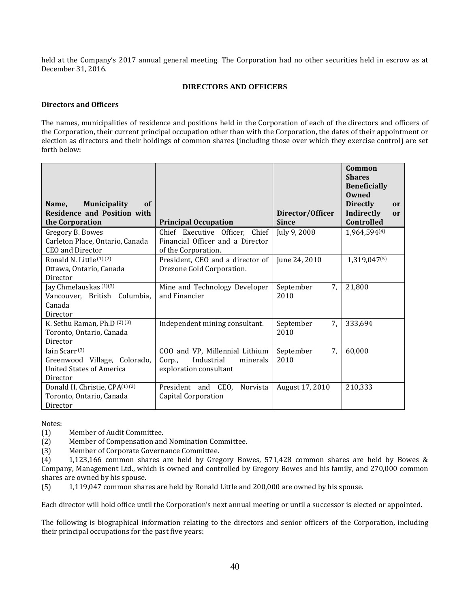held at the Company's 2017 annual general meeting. The Corporation had no other securities held in escrow as at December 31, 2016.

## **DIRECTORS AND OFFICERS**

#### **Directors and Officers**

The names, municipalities of residence and positions held in the Corporation of each of the directors and officers of the Corporation, their current principal occupation other than with the Corporation, the dates of their appointment or election as directors and their holdings of common shares (including those over which they exercise control) are set forth below:

| <b>Municipality</b><br>Name,<br>of<br><b>Residence and Position with</b><br>the Corporation              | <b>Principal Occupation</b>                                                                  | Director/Officer<br><b>Since</b> | Common<br><b>Shares</b><br><b>Beneficially</b><br>Owned<br><b>Directly</b><br>or<br>Indirectly<br><sub>or</sub><br>Controlled |
|----------------------------------------------------------------------------------------------------------|----------------------------------------------------------------------------------------------|----------------------------------|-------------------------------------------------------------------------------------------------------------------------------|
| Gregory B. Bowes                                                                                         | Chief Executive Officer, Chief                                                               | July 9, 2008                     | 1,964,594(4)                                                                                                                  |
| Carleton Place, Ontario, Canada<br>CEO and Director                                                      | Financial Officer and a Director<br>of the Corporation.                                      |                                  |                                                                                                                               |
| Ronald N. Little $(1)(2)$<br>Ottawa, Ontario, Canada<br>Director                                         | President, CEO and a director of<br>Orezone Gold Corporation.                                | June 24, 2010                    | 1,319,047(5)                                                                                                                  |
| Jay Chmelauskas <sup>(1)(3)</sup><br>Vancouver, British Columbia,<br>Canada<br>Director                  | Mine and Technology Developer<br>and Financier                                               | 7.<br>September<br>2010          | 21,800                                                                                                                        |
| K. Sethu Raman, Ph.D (2) (3)<br>Toronto, Ontario, Canada<br>Director                                     | Independent mining consultant.                                                               | September<br>7,<br>2010          | 333,694                                                                                                                       |
| Iain Scarr <sup>(3)</sup><br>Greenwood Village, Colorado,<br><b>United States of America</b><br>Director | COO and VP, Millennial Lithium<br>Industrial<br>minerals<br>Corp.,<br>exploration consultant | September<br>7,<br>2010          | 60,000                                                                                                                        |
| Donald H. Christie, CPA(1)(2)<br>Toronto, Ontario, Canada<br>Director                                    | President and CEO,<br>Norvista<br><b>Capital Corporation</b>                                 | August 17, 2010                  | 210,333                                                                                                                       |

Notes:

(1) Member of Audit Committee.

(2) Member of Compensation and Nomination Committee.

(3) Member of Corporate Governance Committee.

(4) 1,123,166 common shares are held by Gregory Bowes, 571,428 common shares are held by Bowes & Company, Management Ltd., which is owned and controlled by Gregory Bowes and his family, and 270,000 common shares are owned by his spouse.

(5) 1,119,047 common shares are held by Ronald Little and 200,000 are owned by his spouse.

Each director will hold office until the Corporation's next annual meeting or until a successor is elected or appointed.

The following is biographical information relating to the directors and senior officers of the Corporation, including their principal occupations for the past five years: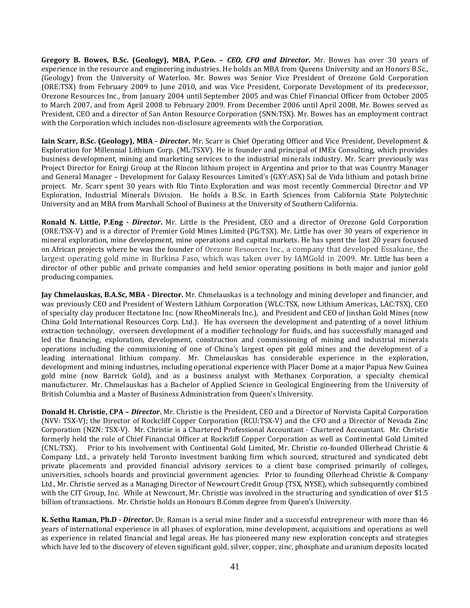**Gregory B. Bowes, B.Sc. (Geology), MBA, P.Geo. –** *CEO, CFO and Director***.** Mr. Bowes has over 30 years of experience in the resource and engineering industries. He holds an MBA from Queens University and an Honors B.Sc., (Geology) from the University of Waterloo. Mr. Bowes was Senior Vice President of Orezone Gold Corporation (ORE:TSX) from February 2009 to June 2010, and was Vice President, Corporate Development of its predecessor, Orezone Resources Inc., from January 2004 until September 2005 and was Chief Financial Officer from October 2005 to March 2007, and from April 2008 to February 2009. From December 2006 until April 2008, Mr. Bowes served as President, CEO and a director of San Anton Resource Corporation (SNN:TSX). Mr. Bowes has an employment contract with the Corporation which includes non-disclosure agreements with the Corporation.

**Iain Scarr, B.Sc. (Geology), MBA -** *Director***.** Mr. Scarr is Chief Operating Officer and Vice President, Development & Exploration for Millennial Lithium Corp. (ML:TSXV). He is founder and principal of IMEx Consulting, which provides business development, mining and marketing services to the industrial minerals industry. Mr. Scarr previously was Project Director for Enirgi Group at the Rincon lithium project in Argentina and prior to that was Country Manager and General Manager – Development for Galaxy Resources Limited's (GXY:ASX) Sal de Vida lithium and potash brine project. Mr. Scarr spent 30 years with Rio Tinto Exploration and was most recently Commercial Director and VP Exploration, Industrial Minerals Division. He holds a B.Sc. in Earth Sciences from California State Polytechnic University and an MBA from Marshall School of Business at the University of Southern California.

**Ronald N. Little, P.Eng -** *Director***.** Mr. Little is the President, CEO and a director of Orezone Gold Corporation (ORE:TSX-V) and is a director of Premier Gold Mines Limited (PG:TSX). Mr. Little has over 30 years of experience in mineral exploration, mine development, mine operations and capital markets. He has spent the last 20 years focused on African projects where he was the founder of Orezone Resources Inc., a company that developed Essakane, the largest operating gold mine in Burkina Faso, which was taken over by IAMGold in 2009. Mr. Little has been a director of other public and private companies and held senior operating positions in both major and junior gold producing companies.

**Jay Chmelauskas, B.A.Sc, MBA - Director.** Mr. Chmelauskas is a technology and mining developer and financier, and was previously CEO and President of Western Lithium Corporation (WLC:TSX, now Lithium Americas, LAC:TSX), CEO of specialty clay producer Hectatone Inc. (now RheoMinerals Inc.), and President and CEO of Jinshan Gold Mines (now China Gold International Resources Corp. Ltd.). He has overseen the development and patenting of a novel lithium extraction technology, overseen development of a modifier technology for fluids, and has successfully managed and led the financing, exploration, development, construction and commissioning of mining and industrial minerals operations including the commissioning of one of China's largest open pit gold mines and the development of a leading international lithium company. Mr. Chmelauskas has considerable experience in the exploration, development and mining industries, including operational experience with Placer Dome at a major Papua New Guinea gold mine (now Barrick Gold), and as a business analyst with Methanex Corporation, a specialty chemical manufacturer. Mr. Chmelauskas has a Bachelor of Applied Science in Geological Engineering from the University of British Columbia and a Master of Business Administration from Queen's University.

**Donald H. Christie, CPA –** *Director***.** Mr. Christie is the President, CEO and a Director of Norvista Capital Corporation (NVV: TSX-V); the Director of Rockcliff Copper Corporation (RCU:TSX-V) and the CFO and a Director of Nevada Zinc Corporation (NZN: TSX-V). Mr. Christie is a Chartered Professional Accountant - Chartered Accountant. Mr. Christie formerly held the role of Chief Financial Officer at Rockcliff Copper Corporation as well as Continental Gold Limited (CNL:TSX). Prior to his involvement with Continental Gold Limited, Mr. Christie co-founded Ollerhead Christie & Company Ltd., a privately held Toronto investment banking firm which sourced, structured and syndicated debt private placements and provided financial advisory services to a client base comprised primarily of colleges, universities, schools boards and provincial government agencies. Prior to founding Ollerhead Christie & Company Ltd., Mr. Christie served as a Managing Director of Newcourt Credit Group (TSX, NYSE), which subsequently combined with the CIT Group, Inc. While at Newcourt, Mr. Christie was involved in the structuring and syndication of over \$1.5 billion of transactions. Mr. Christie holds an Honours B.Comm degree from Queen's University.

**K. Sethu Raman, Ph.D -** *Director***.** Dr. Raman is a serial mine finder and a successful entrepreneur with more than 46 years of international experience in all phases of exploration, mine development, acquisitions and operations as well as experience in related financial and legal areas. He has pioneered many new exploration concepts and strategies which have led to the discovery of eleven significant gold, silver, copper, zinc, phosphate and uranium deposits located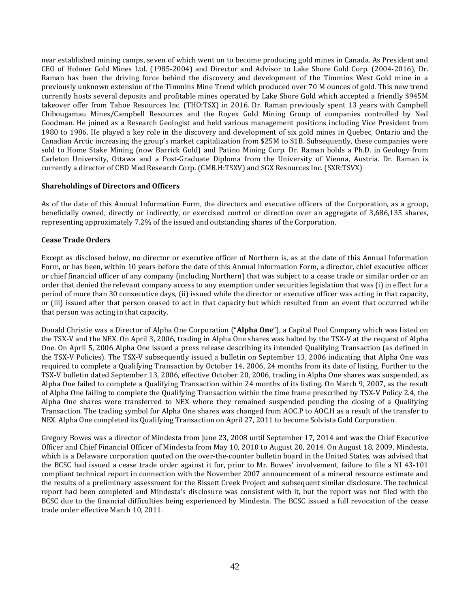near established mining camps, seven of which went on to become producing gold mines in Canada. As President and CEO of Holmer Gold Mines Ltd. (1985-2004) and Director and Advisor to Lake Shore Gold Corp. (2004-2016), Dr. Raman has been the driving force behind the discovery and development of the Timmins West Gold mine in a previously unknown extension of the Timmins Mine Trend which produced over 70 M ounces of gold. This new trend currently hosts several deposits and profitable mines operated by Lake Shore Gold which accepted a friendly \$945M takeover offer from Tahoe Resources Inc. (THO:TSX) in 2016. Dr. Raman previously spent 13 years with Campbell Chibougamau Mines/Campbell Resources and the Royex Gold Mining Group of companies controlled by Ned Goodman. He joined as a Research Geologist and held various management positions including Vice President from 1980 to 1986. He played a key role in the discovery and development of six gold mines in Quebec, Ontario and the Canadian Arctic increasing the group's market capitalization from \$25M to \$1B. Subsequently, these companies were sold to Home Stake Mining (now Barrick Gold) and Patino Mining Corp. Dr. Raman holds a Ph.D. in Geology from Carleton University, Ottawa and a Post-Graduate Diploma from the University of Vienna, Austria. Dr. Raman is currently a director of CBD Med Research Corp. (CMB.H:TSXV) and SGX Resources Inc. (SXR:TSVX)

## **Shareholdings of Directors and Officers**

As of the date of this Annual Information Form, the directors and executive officers of the Corporation, as a group, beneficially owned, directly or indirectly, or exercised control or direction over an aggregate of 3,686,135 shares, representing approximately 7.2% of the issued and outstanding shares of the Corporation.

## **Cease Trade Orders**

Except as disclosed below, no director or executive officer of Northern is, as at the date of this Annual Information Form, or has been, within 10 years before the date of this Annual Information Form, a director, chief executive officer or chief financial officer of any company (including Northern) that was subject to a cease trade or similar order or an order that denied the relevant company access to any exemption under securities legislation that was (i) in effect for a period of more than 30 consecutive days, (ii) issued while the director or executive officer was acting in that capacity, or (iii) issued after that person ceased to act in that capacity but which resulted from an event that occurred while that person was acting in that capacity.

Donald Christie was a Director of Alpha One Corporation ("**Alpha One**"), a Capital Pool Company which was listed on the TSX-V and the NEX. On April 3, 2006, trading in Alpha One shares was halted by the TSX-V at the request of Alpha One. On April 5, 2006 Alpha One issued a press release describing its intended Qualifying Transaction (as defined in the TSX-V Policies). The TSX-V subsequently issued a bulletin on September 13, 2006 indicating that Alpha One was required to complete a Qualifying Transaction by October 14, 2006, 24 months from its date of listing. Further to the TSX-V bulletin dated September 13, 2006, effective October 20, 2006, trading in Alpha One shares was suspended, as Alpha One failed to complete a Qualifying Transaction within 24 months of its listing. On March 9, 2007, as the result of Alpha One failing to complete the Qualifying Transaction within the time frame prescribed by TSX-V Policy 2.4, the Alpha One shares were transferred to NEX where they remained suspended pending the closing of a Qualifying Transaction. The trading symbol for Alpha One shares was changed from AOC.P to AOC.H as a result of the transfer to NEX. Alpha One completed its Qualifying Transaction on April 27, 2011 to become Solvista Gold Corporation.

Gregory Bowes was a director of Mindesta from June 23, 2008 until September 17, 2014 and was the Chief Executive Officer and Chief Financial Officer of Mindesta from May 10, 2010 to August 20, 2014. On August 18, 2009, Mindesta, which is a Delaware corporation quoted on the over-the-counter bulletin board in the United States, was advised that the BCSC had issued a cease trade order against it for, prior to Mr. Bowes' involvement, failure to file a NI 43-101 compliant technical report in connection with the November 2007 announcement of a mineral resource estimate and the results of a preliminary assessment for the Bissett Creek Project and subsequent similar disclosure. The technical report had been completed and Mindesta's disclosure was consistent with it, but the report was not filed with the BCSC due to the financial difficulties being experienced by Mindesta. The BCSC issued a full revocation of the cease trade order effective March 10, 2011.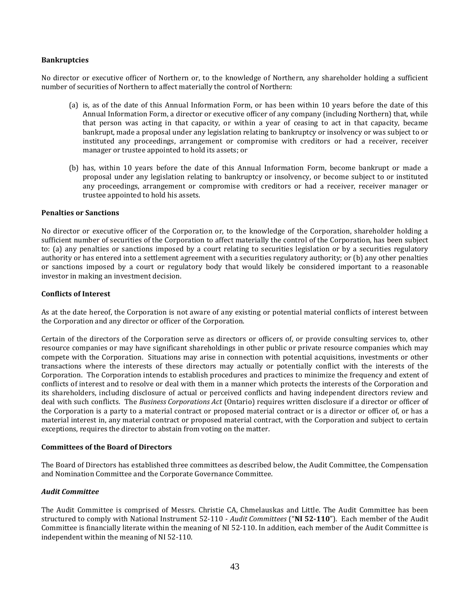#### **Bankruptcies**

No director or executive officer of Northern or, to the knowledge of Northern, any shareholder holding a sufficient number of securities of Northern to affect materially the control of Northern:

- (a) is, as of the date of this Annual Information Form, or has been within 10 years before the date of this Annual Information Form, a director or executive officer of any company (including Northern) that, while that person was acting in that capacity, or within a year of ceasing to act in that capacity, became bankrupt, made a proposal under any legislation relating to bankruptcy or insolvency or was subject to or instituted any proceedings, arrangement or compromise with creditors or had a receiver, receiver manager or trustee appointed to hold its assets; or
- (b) has, within 10 years before the date of this Annual Information Form, become bankrupt or made a proposal under any legislation relating to bankruptcy or insolvency, or become subject to or instituted any proceedings, arrangement or compromise with creditors or had a receiver, receiver manager or trustee appointed to hold his assets.

#### **Penalties or Sanctions**

No director or executive officer of the Corporation or, to the knowledge of the Corporation, shareholder holding a sufficient number of securities of the Corporation to affect materially the control of the Corporation, has been subject to: (a) any penalties or sanctions imposed by a court relating to securities legislation or by a securities regulatory authority or has entered into a settlement agreement with a securities regulatory authority; or (b) any other penalties or sanctions imposed by a court or regulatory body that would likely be considered important to a reasonable investor in making an investment decision.

#### **Conflicts of Interest**

As at the date hereof, the Corporation is not aware of any existing or potential material conflicts of interest between the Corporation and any director or officer of the Corporation.

Certain of the directors of the Corporation serve as directors or officers of, or provide consulting services to, other resource companies or may have significant shareholdings in other public or private resource companies which may compete with the Corporation. Situations may arise in connection with potential acquisitions, investments or other transactions where the interests of these directors may actually or potentially conflict with the interests of the Corporation. The Corporation intends to establish procedures and practices to minimize the frequency and extent of conflicts of interest and to resolve or deal with them in a manner which protects the interests of the Corporation and its shareholders, including disclosure of actual or perceived conflicts and having independent directors review and deal with such conflicts. The *Business Corporations Act* (Ontario) requires written disclosure if a director or officer of the Corporation is a party to a material contract or proposed material contract or is a director or officer of, or has a material interest in, any material contract or proposed material contract, with the Corporation and subject to certain exceptions, requires the director to abstain from voting on the matter.

#### **Committees of the Board of Directors**

The Board of Directors has established three committees as described below, the Audit Committee, the Compensation and Nomination Committee and the Corporate Governance Committee.

## *Audit Committee*

The Audit Committee is comprised of Messrs. Christie CA, Chmelauskas and Little. The Audit Committee has been structured to comply with National Instrument 52-110 - *Audit Committees* ("**NI 52-110**"). Each member of the Audit Committee is financially literate within the meaning of NI 52-110. In addition, each member of the Audit Committee is independent within the meaning of NI 52-110.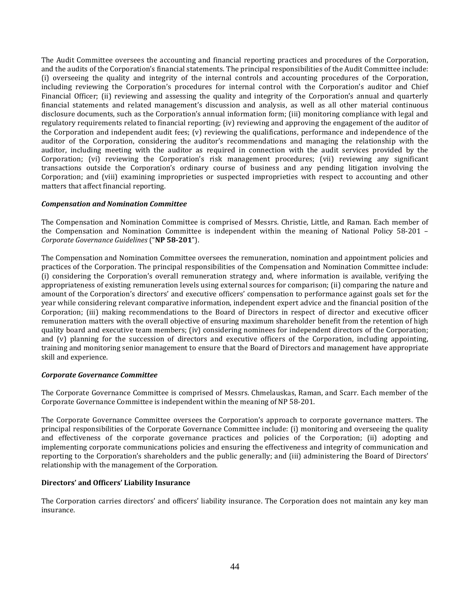The Audit Committee oversees the accounting and financial reporting practices and procedures of the Corporation, and the audits of the Corporation's financial statements. The principal responsibilities of the Audit Committee include: (i) overseeing the quality and integrity of the internal controls and accounting procedures of the Corporation, including reviewing the Corporation's procedures for internal control with the Corporation's auditor and Chief Financial Officer; (ii) reviewing and assessing the quality and integrity of the Corporation's annual and quarterly financial statements and related management's discussion and analysis, as well as all other material continuous disclosure documents, such as the Corporation's annual information form; (iii) monitoring compliance with legal and regulatory requirements related to financial reporting; (iv) reviewing and approving the engagement of the auditor of the Corporation and independent audit fees; (v) reviewing the qualifications, performance and independence of the auditor of the Corporation, considering the auditor's recommendations and managing the relationship with the auditor, including meeting with the auditor as required in connection with the audit services provided by the Corporation; (vi) reviewing the Corporation's risk management procedures; (vii) reviewing any significant transactions outside the Corporation's ordinary course of business and any pending litigation involving the Corporation; and (viii) examining improprieties or suspected improprieties with respect to accounting and other matters that affect financial reporting.

#### *Compensation and Nomination Committee*

The Compensation and Nomination Committee is comprised of Messrs. Christie, Little, and Raman. Each member of the Compensation and Nomination Committee is independent within the meaning of National Policy 58-201 – *Corporate Governance Guidelines* ("**NP 58-201**").

The Compensation and Nomination Committee oversees the remuneration, nomination and appointment policies and practices of the Corporation. The principal responsibilities of the Compensation and Nomination Committee include: (i) considering the Corporation's overall remuneration strategy and, where information is available, verifying the appropriateness of existing remuneration levels using external sources for comparison; (ii) comparing the nature and amount of the Corporation's directors' and executive officers' compensation to performance against goals set for the year while considering relevant comparative information, independent expert advice and the financial position of the Corporation; (iii) making recommendations to the Board of Directors in respect of director and executive officer remuneration matters with the overall objective of ensuring maximum shareholder benefit from the retention of high quality board and executive team members; (iv) considering nominees for independent directors of the Corporation; and (v) planning for the succession of directors and executive officers of the Corporation, including appointing, training and monitoring senior management to ensure that the Board of Directors and management have appropriate skill and experience.

## *Corporate Governance Committee*

The Corporate Governance Committee is comprised of Messrs. Chmelauskas, Raman, and Scarr. Each member of the Corporate Governance Committee is independent within the meaning of NP 58-201.

The Corporate Governance Committee oversees the Corporation's approach to corporate governance matters. The principal responsibilities of the Corporate Governance Committee include: (i) monitoring and overseeing the quality and effectiveness of the corporate governance practices and policies of the Corporation; (ii) adopting and implementing corporate communications policies and ensuring the effectiveness and integrity of communication and reporting to the Corporation's shareholders and the public generally; and (iii) administering the Board of Directors' relationship with the management of the Corporation.

#### **Directors' and Officers' Liability Insurance**

The Corporation carries directors' and officers' liability insurance. The Corporation does not maintain any key man insurance.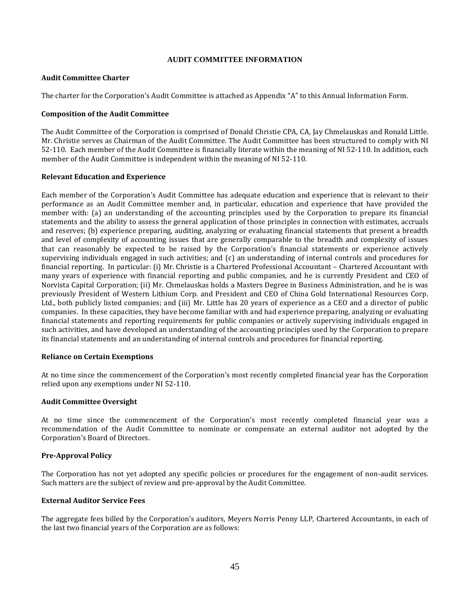#### **AUDIT COMMITTEE INFORMATION**

#### **Audit Committee Charter**

The charter for the Corporation's Audit Committee is attached as Appendix "A" to this Annual Information Form.

#### **Composition of the Audit Committee**

The Audit Committee of the Corporation is comprised of Donald Christie CPA, CA, Jay Chmelauskas and Ronald Little. Mr. Christie serves as Chairman of the Audit Committee. The Audit Committee has been structured to comply with NI 52-110. Each member of the Audit Committee is financially literate within the meaning of NI 52-110. In addition, each member of the Audit Committee is independent within the meaning of NI 52-110.

#### **Relevant Education and Experience**

Each member of the Corporation's Audit Committee has adequate education and experience that is relevant to their performance as an Audit Committee member and, in particular, education and experience that have provided the member with: (a) an understanding of the accounting principles used by the Corporation to prepare its financial statements and the ability to assess the general application of those principles in connection with estimates, accruals and reserves; (b) experience preparing, auditing, analyzing or evaluating financial statements that present a breadth and level of complexity of accounting issues that are generally comparable to the breadth and complexity of issues that can reasonably be expected to be raised by the Corporation's financial statements or experience actively supervising individuals engaged in such activities; and (c) an understanding of internal controls and procedures for financial reporting. In particular: (i) Mr. Christie is a Chartered Professional Accountant – Chartered Accountant with many years of experience with financial reporting and public companies, and he is currently President and CEO of Norvista Capital Corporation; (ii) Mr. Chmelauskas holds a Masters Degree in Business Administration, and he is was previously President of Western Lithium Corp. and President and CEO of China Gold International Resources Corp. Ltd., both publicly listed companies; and (iii) Mr. Little has 20 years of experience as a CEO and a director of public companies. In these capacities, they have become familiar with and had experience preparing, analyzing or evaluating financial statements and reporting requirements for public companies or actively supervising individuals engaged in such activities, and have developed an understanding of the accounting principles used by the Corporation to prepare its financial statements and an understanding of internal controls and procedures for financial reporting.

#### **Reliance on Certain Exemptions**

At no time since the commencement of the Corporation's most recently completed financial year has the Corporation relied upon any exemptions under NI 52-110.

## **Audit Committee Oversight**

At no time since the commencement of the Corporation's most recently completed financial year was a recommendation of the Audit Committee to nominate or compensate an external auditor not adopted by the Corporation's Board of Directors.

## **Pre-Approval Policy**

The Corporation has not yet adopted any specific policies or procedures for the engagement of non-audit services. Such matters are the subject of review and pre-approval by the Audit Committee.

#### **External Auditor Service Fees**

The aggregate fees billed by the Corporation's auditors, Meyers Norris Penny LLP, Chartered Accountants, in each of the last two financial years of the Corporation are as follows: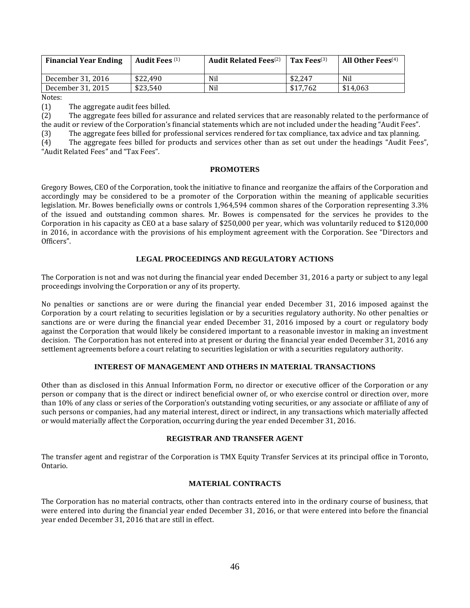| <b>Financial Year Ending</b> | <b>Audit Fees</b> <sup>(1)</sup> | <b>Audit Related Fees</b> <sup>(2)</sup> | Tax Fees $^{(3)}$ | All Other Fees $^{(4)}$ |
|------------------------------|----------------------------------|------------------------------------------|-------------------|-------------------------|
| December 31, 2016            | \$22.490                         | Nil                                      | \$2.247           | Nil                     |
| December 31, 2015            | \$23.540                         | Nil                                      | \$17.762          | \$14.063                |

Notes:

(1) The aggregate audit fees billed.

(2) The aggregate fees billed for assurance and related services that are reasonably related to the performance of the audit or review of the Corporation's financial statements which are not included under the heading "Audit Fees". (3) The aggregate fees billed for professional services rendered for tax compliance, tax advice and tax planning. (4) The aggregate fees billed for products and services other than as set out under the headings "Audit Fees",

"Audit Related Fees" and "Tax Fees".

#### **PROMOTERS**

Gregory Bowes, CEO of the Corporation, took the initiative to finance and reorganize the affairs of the Corporation and accordingly may be considered to be a promoter of the Corporation within the meaning of applicable securities legislation. Mr. Bowes beneficially owns or controls 1,964,594 common shares of the Corporation representing 3.3% of the issued and outstanding common shares. Mr. Bowes is compensated for the services he provides to the Corporation in his capacity as CEO at a base salary of \$250,000 per year, which was voluntarily reduced to \$120,000 in 2016, in accordance with the provisions of his employment agreement with the Corporation. See "Directors and Officers".

#### **LEGAL PROCEEDINGS AND REGULATORY ACTIONS**

The Corporation is not and was not during the financial year ended December 31, 2016 a party or subject to any legal proceedings involving the Corporation or any of its property.

No penalties or sanctions are or were during the financial year ended December 31, 2016 imposed against the Corporation by a court relating to securities legislation or by a securities regulatory authority. No other penalties or sanctions are or were during the financial year ended December 31, 2016 imposed by a court or regulatory body against the Corporation that would likely be considered important to a reasonable investor in making an investment decision. The Corporation has not entered into at present or during the financial year ended December 31, 2016 any settlement agreements before a court relating to securities legislation or with a securities regulatory authority.

## **INTEREST OF MANAGEMENT AND OTHERS IN MATERIAL TRANSACTIONS**

Other than as disclosed in this Annual Information Form, no director or executive officer of the Corporation or any person or company that is the direct or indirect beneficial owner of, or who exercise control or direction over, more than 10% of any class or series of the Corporation's outstanding voting securities, or any associate or affiliate of any of such persons or companies, had any material interest, direct or indirect, in any transactions which materially affected or would materially affect the Corporation, occurring during the year ended December 31, 2016.

## **REGISTRAR AND TRANSFER AGENT**

The transfer agent and registrar of the Corporation is TMX Equity Transfer Services at its principal office in Toronto, Ontario.

#### **MATERIAL CONTRACTS**

The Corporation has no material contracts, other than contracts entered into in the ordinary course of business, that were entered into during the financial year ended December 31, 2016, or that were entered into before the financial year ended December 31, 2016 that are still in effect.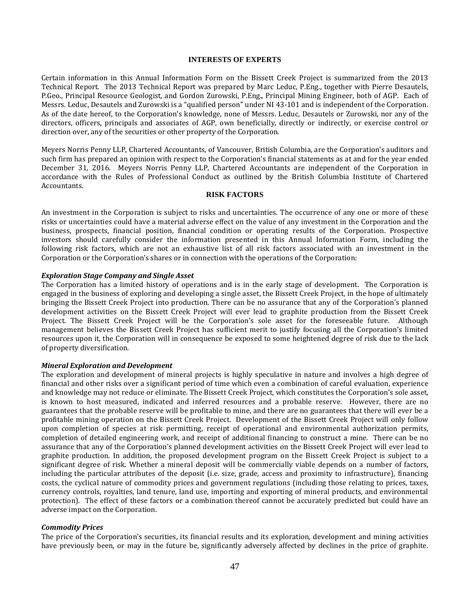#### **INTERESTS OF EXPERTS**

Certain information in this Annual Information Form on the Bissett Creek Project is summarized from the 2013 Technical Report. The 2013 Technical Report was prepared by Marc Leduc, P.Eng., together with Pierre Desautels, P.Geo., Principal Resource Geologist, and Gordon Zurowski, P.Eng., Principal Mining Engineer, both of AGP. Each of Messrs. Leduc, Desautels and Zurowski is a "qualified person" under NI 43-101 and is independent of the Corporation. As of the date hereof, to the Corporation's knowledge, none of Messrs. Leduc, Desautels or Zurowski, nor any of the directors, officers, principals and associates of AGP, own beneficially, directly or indirectly, or exercise control or direction over, any of the securities or other property of the Corporation.

Meyers Norris Penny LLP, Chartered Accountants, of Vancouver, British Columbia, are the Corporation's auditors and such firm has prepared an opinion with respect to the Corporation's financial statements as at and for the year ended December 31, 2016. Meyers Norris Penny LLP, Chartered Accountants are independent of the Corporation in accordance with the Rules of Professional Conduct as outlined by the British Columbia Institute of Chartered Accountants.

#### **RISK FACTORS**

An investment in the Corporation is subject to risks and uncertainties. The occurrence of any one or more of these risks or uncertainties could have a material adverse effect on the value of any investment in the Corporation and the business, prospects, financial position, financial condition or operating results of the Corporation. Prospective investors should carefully consider the information presented in this Annual Information Form, including the following risk factors, which are not an exhaustive list of all risk factors associated with an investment in the Corporation or the Corporation's shares or in connection with the operations of the Corporation:

#### *Exploration Stage Company and Single Asset*

The Corporation has a limited history of operations and is in the early stage of development. The Corporation is engaged in the business of exploring and developing a single asset, the Bissett Creek Project, in the hope of ultimately bringing the Bissett Creek Project into production. There can be no assurance that any of the Corporation's planned development activities on the Bissett Creek Project will ever lead to graphite production from the Bissett Creek Project. The Bissett Creek Project will be the Corporation's sole asset for the foreseeable future. Although management believes the Bissett Creek Project has sufficient merit to justify focusing all the Corporation's limited resources upon it, the Corporation will in consequence be exposed to some heightened degree of risk due to the lack of property diversification.

#### *Mineral Exploration and Development*

The exploration and development of mineral projects is highly speculative in nature and involves a high degree of financial and other risks over a significant period of time which even a combination of careful evaluation, experience and knowledge may not reduce or eliminate. The Bissett Creek Project, which constitutes the Corporation's sole asset, is known to host measured, indicated and inferred resources and a probable reserve. However, there are no guarantees that the probable reserve will be profitable to mine, and there are no guarantees that there will ever be a profitable mining operation on the Bissett Creek Project. Development of the Bissett Creek Project will only follow upon completion of species at risk permitting, receipt of operational and environmental authorization permits, completion of detailed engineering work, and receipt of additional financing to construct a mine. There can be no assurance that any of the Corporation's planned development activities on the Bissett Creek Project will ever lead to graphite production. In addition, the proposed development program on the Bissett Creek Project is subject to a significant degree of risk. Whether a mineral deposit will be commercially viable depends on a number of factors, including the particular attributes of the deposit (i.e. size, grade, access and proximity to infrastructure), financing costs, the cyclical nature of commodity prices and government regulations (including those relating to prices, taxes, currency controls, royalties, land tenure, land use, importing and exporting of mineral products, and environmental protection). The effect of these factors or a combination thereof cannot be accurately predicted but could have an adverse impact on the Corporation.

#### *Commodity Prices*

The price of the Corporation's securities, its financial results and its exploration, development and mining activities have previously been, or may in the future be, significantly adversely affected by declines in the price of graphite.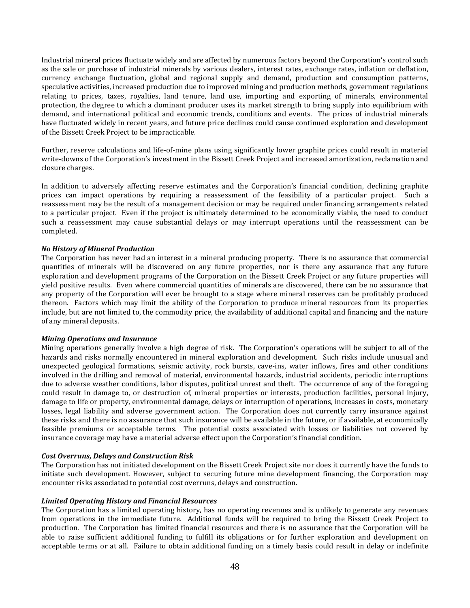Industrial mineral prices fluctuate widely and are affected by numerous factors beyond the Corporation's control such as the sale or purchase of industrial minerals by various dealers, interest rates, exchange rates, inflation or deflation, currency exchange fluctuation, global and regional supply and demand, production and consumption patterns, speculative activities, increased production due to improved mining and production methods, government regulations relating to prices, taxes, royalties, land tenure, land use, importing and exporting of minerals, environmental protection, the degree to which a dominant producer uses its market strength to bring supply into equilibrium with demand, and international political and economic trends, conditions and events. The prices of industrial minerals have fluctuated widely in recent years, and future price declines could cause continued exploration and development of the Bissett Creek Project to be impracticable.

Further, reserve calculations and life-of-mine plans using significantly lower graphite prices could result in material write-downs of the Corporation's investment in the Bissett Creek Project and increased amortization, reclamation and closure charges.

In addition to adversely affecting reserve estimates and the Corporation's financial condition, declining graphite prices can impact operations by requiring a reassessment of the feasibility of a particular project. Such a reassessment may be the result of a management decision or may be required under financing arrangements related to a particular project. Even if the project is ultimately determined to be economically viable, the need to conduct such a reassessment may cause substantial delays or may interrupt operations until the reassessment can be completed.

## *No History of Mineral Production*

The Corporation has never had an interest in a mineral producing property. There is no assurance that commercial quantities of minerals will be discovered on any future properties, nor is there any assurance that any future exploration and development programs of the Corporation on the Bissett Creek Project or any future properties will yield positive results. Even where commercial quantities of minerals are discovered, there can be no assurance that any property of the Corporation will ever be brought to a stage where mineral reserves can be profitably produced thereon. Factors which may limit the ability of the Corporation to produce mineral resources from its properties include, but are not limited to, the commodity price, the availability of additional capital and financing and the nature of any mineral deposits.

#### *Mining Operations and Insurance*

Mining operations generally involve a high degree of risk. The Corporation's operations will be subject to all of the hazards and risks normally encountered in mineral exploration and development. Such risks include unusual and unexpected geological formations, seismic activity, rock bursts, cave-ins, water inflows, fires and other conditions involved in the drilling and removal of material, environmental hazards, industrial accidents, periodic interruptions due to adverse weather conditions, labor disputes, political unrest and theft. The occurrence of any of the foregoing could result in damage to, or destruction of, mineral properties or interests, production facilities, personal injury, damage to life or property, environmental damage, delays or interruption of operations, increases in costs, monetary losses, legal liability and adverse government action. The Corporation does not currently carry insurance against these risks and there is no assurance that such insurance will be available in the future, or if available, at economically feasible premiums or acceptable terms. The potential costs associated with losses or liabilities not covered by insurance coverage may have a material adverse effect upon the Corporation's financial condition.

#### *Cost Overruns, Delays and Construction Risk*

The Corporation has not initiated development on the Bissett Creek Project site nor does it currently have the funds to initiate such development. However, subject to securing future mine development financing, the Corporation may encounter risks associated to potential cost overruns, delays and construction.

#### *Limited Operating History and Financial Resources*

The Corporation has a limited operating history, has no operating revenues and is unlikely to generate any revenues from operations in the immediate future. Additional funds will be required to bring the Bissett Creek Project to production. The Corporation has limited financial resources and there is no assurance that the Corporation will be able to raise sufficient additional funding to fulfill its obligations or for further exploration and development on acceptable terms or at all. Failure to obtain additional funding on a timely basis could result in delay or indefinite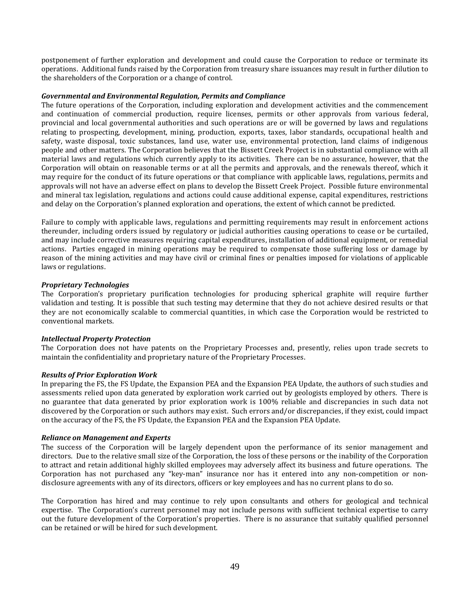postponement of further exploration and development and could cause the Corporation to reduce or terminate its operations. Additional funds raised by the Corporation from treasury share issuances may result in further dilution to the shareholders of the Corporation or a change of control.

#### *Governmental and Environmental Regulation, Permits and Compliance*

The future operations of the Corporation, including exploration and development activities and the commencement and continuation of commercial production, require licenses, permits or other approvals from various federal, provincial and local governmental authorities and such operations are or will be governed by laws and regulations relating to prospecting, development, mining, production, exports, taxes, labor standards, occupational health and safety, waste disposal, toxic substances, land use, water use, environmental protection, land claims of indigenous people and other matters. The Corporation believes that the Bissett Creek Project is in substantial compliance with all material laws and regulations which currently apply to its activities. There can be no assurance, however, that the Corporation will obtain on reasonable terms or at all the permits and approvals, and the renewals thereof, which it may require for the conduct of its future operations or that compliance with applicable laws, regulations, permits and approvals will not have an adverse effect on plans to develop the Bissett Creek Project. Possible future environmental and mineral tax legislation, regulations and actions could cause additional expense, capital expenditures, restrictions and delay on the Corporation's planned exploration and operations, the extent of which cannot be predicted.

Failure to comply with applicable laws, regulations and permitting requirements may result in enforcement actions thereunder, including orders issued by regulatory or judicial authorities causing operations to cease or be curtailed, and may include corrective measures requiring capital expenditures, installation of additional equipment, or remedial actions. Parties engaged in mining operations may be required to compensate those suffering loss or damage by reason of the mining activities and may have civil or criminal fines or penalties imposed for violations of applicable laws or regulations.

#### *Proprietary Technologies*

The Corporation's proprietary purification technologies for producing spherical graphite will require further validation and testing. It is possible that such testing may determine that they do not achieve desired results or that they are not economically scalable to commercial quantities, in which case the Corporation would be restricted to conventional markets.

## *Intellectual Property Protection*

The Corporation does not have patents on the Proprietary Processes and, presently, relies upon trade secrets to maintain the confidentiality and proprietary nature of the Proprietary Processes.

#### *Results of Prior Exploration Work*

In preparing the FS, the FS Update, the Expansion PEA and the Expansion PEA Update, the authors of such studies and assessments relied upon data generated by exploration work carried out by geologists employed by others. There is no guarantee that data generated by prior exploration work is 100% reliable and discrepancies in such data not discovered by the Corporation or such authors may exist. Such errors and/or discrepancies, if they exist, could impact on the accuracy of the FS, the FS Update, the Expansion PEA and the Expansion PEA Update.

#### *Reliance on Management and Experts*

The success of the Corporation will be largely dependent upon the performance of its senior management and directors. Due to the relative small size of the Corporation, the loss of these persons or the inability of the Corporation to attract and retain additional highly skilled employees may adversely affect its business and future operations. The Corporation has not purchased any "key-man" insurance nor has it entered into any non-competition or nondisclosure agreements with any of its directors, officers or key employees and has no current plans to do so.

The Corporation has hired and may continue to rely upon consultants and others for geological and technical expertise. The Corporation's current personnel may not include persons with sufficient technical expertise to carry out the future development of the Corporation's properties. There is no assurance that suitably qualified personnel can be retained or will be hired for such development.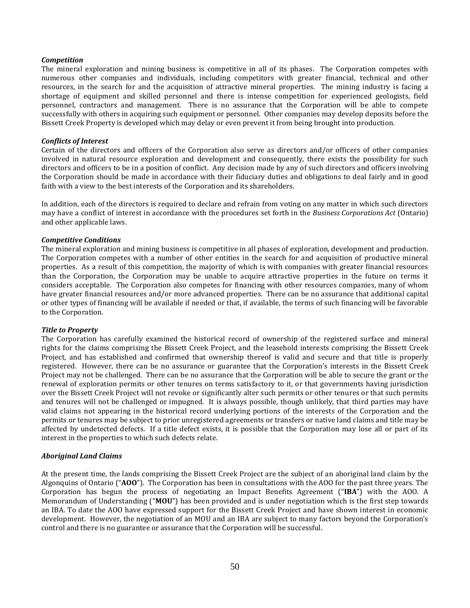#### *Competition*

The mineral exploration and mining business is competitive in all of its phases. The Corporation competes with numerous other companies and individuals, including competitors with greater financial, technical and other resources, in the search for and the acquisition of attractive mineral properties. The mining industry is facing a shortage of equipment and skilled personnel and there is intense competition for experienced geologists, field personnel, contractors and management. There is no assurance that the Corporation will be able to compete successfully with others in acquiring such equipment or personnel. Other companies may develop deposits before the Bissett Creek Property is developed which may delay or even prevent it from being brought into production.

#### *Conflicts of Interest*

Certain of the directors and officers of the Corporation also serve as directors and/or officers of other companies involved in natural resource exploration and development and consequently, there exists the possibility for such directors and officers to be in a position of conflict. Any decision made by any of such directors and officers involving the Corporation should be made in accordance with their fiduciary duties and obligations to deal fairly and in good faith with a view to the best interests of the Corporation and its shareholders.

In addition, each of the directors is required to declare and refrain from voting on any matter in which such directors may have a conflict of interest in accordance with the procedures set forth in the *Business Corporations Act* (Ontario) and other applicable laws.

#### *Competitive Conditions*

The mineral exploration and mining business is competitive in all phases of exploration, development and production. The Corporation competes with a number of other entities in the search for and acquisition of productive mineral properties. As a result of this competition, the majority of which is with companies with greater financial resources than the Corporation, the Corporation may be unable to acquire attractive properties in the future on terms it considers acceptable. The Corporation also competes for financing with other resources companies, many of whom have greater financial resources and/or more advanced properties. There can be no assurance that additional capital or other types of financing will be available if needed or that, if available, the terms of such financing will be favorable to the Corporation.

#### *Title to Property*

The Corporation has carefully examined the historical record of ownership of the registered surface and mineral rights for the claims comprising the Bissett Creek Project, and the leasehold interests comprising the Bissett Creek Project, and has established and confirmed that ownership thereof is valid and secure and that title is properly registered. However, there can be no assurance or guarantee that the Corporation's interests in the Bissett Creek Project may not be challenged. There can be no assurance that the Corporation will be able to secure the grant or the renewal of exploration permits or other tenures on terms satisfactory to it, or that governments having jurisdiction over the Bissett Creek Project will not revoke or significantly alter such permits or other tenures or that such permits and tenures will not be challenged or impugned. It is always possible, though unlikely, that third parties may have valid claims not appearing in the historical record underlying portions of the interests of the Corporation and the permits or tenures may be subject to prior unregistered agreements or transfers or native land claims and title may be affected by undetected defects. If a title defect exists, it is possible that the Corporation may lose all or part of its interest in the properties to which such defects relate.

#### *Aboriginal Land Claims*

At the present time, the lands comprising the Bissett Creek Project are the subject of an aboriginal land claim by the Algonquins of Ontario ("**AOO**"). The Corporation has been in consultations with the AOO for the past three years. The Corporation has begun the process of negotiating an Impact Benefits Agreement ("**IBA**") with the AOO. A Memorandum of Understanding ("**MOU**") has been provided and is under negotiation which is the first step towards an IBA. To date the AOO have expressed support for the Bissett Creek Project and have shown interest in economic development. However, the negotiation of an MOU and an IBA are subject to many factors beyond the Corporation's control and there is no guarantee or assurance that the Corporation will be successful.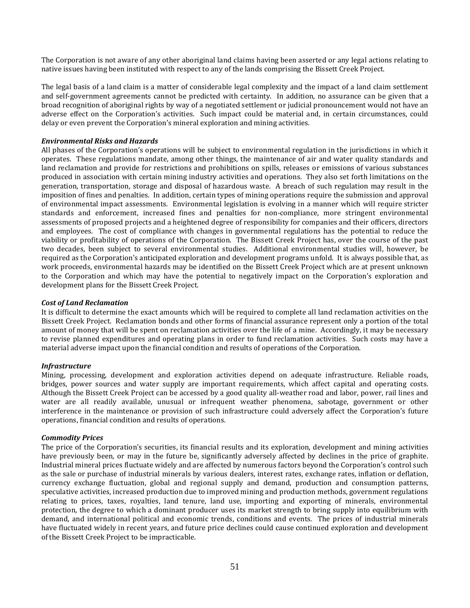The Corporation is not aware of any other aboriginal land claims having been asserted or any legal actions relating to native issues having been instituted with respect to any of the lands comprising the Bissett Creek Project.

The legal basis of a land claim is a matter of considerable legal complexity and the impact of a land claim settlement and self-government agreements cannot be predicted with certainty. In addition, no assurance can be given that a broad recognition of aboriginal rights by way of a negotiated settlement or judicial pronouncement would not have an adverse effect on the Corporation's activities. Such impact could be material and, in certain circumstances, could delay or even prevent the Corporation's mineral exploration and mining activities.

#### *Environmental Risks and Hazards*

All phases of the Corporation's operations will be subject to environmental regulation in the jurisdictions in which it operates. These regulations mandate, among other things, the maintenance of air and water quality standards and land reclamation and provide for restrictions and prohibitions on spills, releases or emissions of various substances produced in association with certain mining industry activities and operations. They also set forth limitations on the generation, transportation, storage and disposal of hazardous waste. A breach of such regulation may result in the imposition of fines and penalties. In addition, certain types of mining operations require the submission and approval of environmental impact assessments. Environmental legislation is evolving in a manner which will require stricter standards and enforcement, increased fines and penalties for non-compliance, more stringent environmental assessments of proposed projects and a heightened degree of responsibility for companies and their officers, directors and employees. The cost of compliance with changes in governmental regulations has the potential to reduce the viability or profitability of operations of the Corporation. The Bissett Creek Project has, over the course of the past two decades, been subject to several environmental studies. Additional environmental studies will, however, be required as the Corporation's anticipated exploration and development programs unfold. It is always possible that, as work proceeds, environmental hazards may be identified on the Bissett Creek Project which are at present unknown to the Corporation and which may have the potential to negatively impact on the Corporation's exploration and development plans for the Bissett Creek Project.

#### *Cost of Land Reclamation*

It is difficult to determine the exact amounts which will be required to complete all land reclamation activities on the Bissett Creek Project. Reclamation bonds and other forms of financial assurance represent only a portion of the total amount of money that will be spent on reclamation activities over the life of a mine. Accordingly, it may be necessary to revise planned expenditures and operating plans in order to fund reclamation activities. Such costs may have a material adverse impact upon the financial condition and results of operations of the Corporation.

#### *Infrastructure*

Mining, processing, development and exploration activities depend on adequate infrastructure. Reliable roads, bridges, power sources and water supply are important requirements, which affect capital and operating costs. Although the Bissett Creek Project can be accessed by a good quality all-weather road and labor, power, rail lines and water are all readily available, unusual or infrequent weather phenomena, sabotage, government or other interference in the maintenance or provision of such infrastructure could adversely affect the Corporation's future operations, financial condition and results of operations.

#### *Commodity Prices*

The price of the Corporation's securities, its financial results and its exploration, development and mining activities have previously been, or may in the future be, significantly adversely affected by declines in the price of graphite. Industrial mineral prices fluctuate widely and are affected by numerous factors beyond the Corporation's control such as the sale or purchase of industrial minerals by various dealers, interest rates, exchange rates, inflation or deflation, currency exchange fluctuation, global and regional supply and demand, production and consumption patterns, speculative activities, increased production due to improved mining and production methods, government regulations relating to prices, taxes, royalties, land tenure, land use, importing and exporting of minerals, environmental protection, the degree to which a dominant producer uses its market strength to bring supply into equilibrium with demand, and international political and economic trends, conditions and events. The prices of industrial minerals have fluctuated widely in recent years, and future price declines could cause continued exploration and development of the Bissett Creek Project to be impracticable.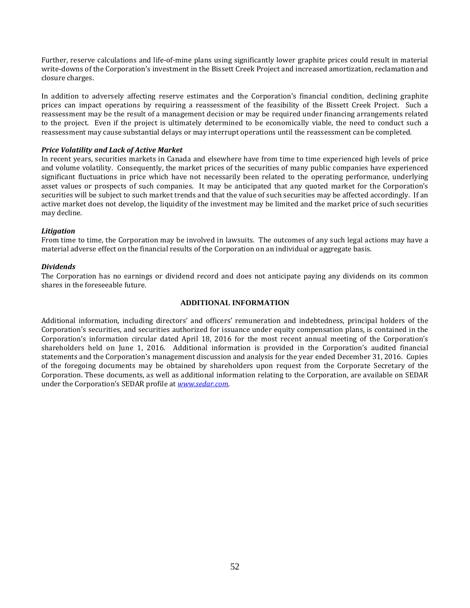Further, reserve calculations and life-of-mine plans using significantly lower graphite prices could result in material write-downs of the Corporation's investment in the Bissett Creek Project and increased amortization, reclamation and closure charges.

In addition to adversely affecting reserve estimates and the Corporation's financial condition, declining graphite prices can impact operations by requiring a reassessment of the feasibility of the Bissett Creek Project. Such a reassessment may be the result of a management decision or may be required under financing arrangements related to the project. Even if the project is ultimately determined to be economically viable, the need to conduct such a reassessment may cause substantial delays or may interrupt operations until the reassessment can be completed.

## *Price Volatility and Lack of Active Market*

In recent years, securities markets in Canada and elsewhere have from time to time experienced high levels of price and volume volatility. Consequently, the market prices of the securities of many public companies have experienced significant fluctuations in price which have not necessarily been related to the operating performance, underlying asset values or prospects of such companies. It may be anticipated that any quoted market for the Corporation's securities will be subject to such market trends and that the value of such securities may be affected accordingly. If an active market does not develop, the liquidity of the investment may be limited and the market price of such securities may decline.

#### *Litigation*

From time to time, the Corporation may be involved in lawsuits. The outcomes of any such legal actions may have a material adverse effect on the financial results of the Corporation on an individual or aggregate basis.

#### *Dividends*

The Corporation has no earnings or dividend record and does not anticipate paying any dividends on its common shares in the foreseeable future.

#### **ADDITIONAL INFORMATION**

Additional information, including directors' and officers' remuneration and indebtedness, principal holders of the Corporation's securities, and securities authorized for issuance under equity compensation plans, is contained in the Corporation's information circular dated April 18, 2016 for the most recent annual meeting of the Corporation's shareholders held on June 1, 2016. Additional information is provided in the Corporation's audited financial statements and the Corporation's management discussion and analysis for the year ended December 31, 2016. Copies of the foregoing documents may be obtained by shareholders upon request from the Corporate Secretary of the Corporation. These documents, as well as additional information relating to the Corporation, are available on SEDAR under the Corporation's SEDAR profile at *www.sedar.com*.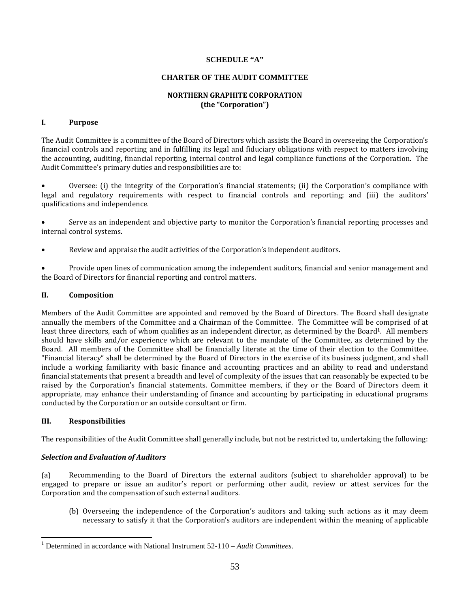#### **SCHEDULE "A"**

#### **CHARTER OF THE AUDIT COMMITTEE**

## **NORTHERN GRAPHITE CORPORATION (the "Corporation")**

## **I. Purpose**

The Audit Committee is a committee of the Board of Directors which assists the Board in overseeing the Corporation's financial controls and reporting and in fulfilling its legal and fiduciary obligations with respect to matters involving the accounting, auditing, financial reporting, internal control and legal compliance functions of the Corporation. The Audit Committee's primary duties and responsibilities are to:

• Oversee: (i) the integrity of the Corporation's financial statements; (ii) the Corporation's compliance with legal and regulatory requirements with respect to financial controls and reporting; and (iii) the auditors' qualifications and independence.

• Serve as an independent and objective party to monitor the Corporation's financial reporting processes and internal control systems.

Review and appraise the audit activities of the Corporation's independent auditors.

• Provide open lines of communication among the independent auditors, financial and senior management and the Board of Directors for financial reporting and control matters.

## **II. Composition**

Members of the Audit Committee are appointed and removed by the Board of Directors. The Board shall designate annually the members of the Committee and a Chairman of the Committee. The Committee will be comprised of at least three directors, each of whom qualifies as an independent director, as determined by the Board<sup>1</sup>. All members should have skills and/or experience which are relevant to the mandate of the Committee, as determined by the Board. All members of the Committee shall be financially literate at the time of their election to the Committee. "Financial literacy" shall be determined by the Board of Directors in the exercise of its business judgment, and shall include a working familiarity with basic finance and accounting practices and an ability to read and understand financial statements that present a breadth and level of complexity of the issues that can reasonably be expected to be raised by the Corporation's financial statements. Committee members, if they or the Board of Directors deem it appropriate, may enhance their understanding of finance and accounting by participating in educational programs conducted by the Corporation or an outside consultant or firm.

## **III. Responsibilities**

 $\overline{a}$ 

The responsibilities of the Audit Committee shall generally include, but not be restricted to, undertaking the following:

## *Selection and Evaluation of Auditors*

(a) Recommending to the Board of Directors the external auditors (subject to shareholder approval) to be engaged to prepare or issue an auditor's report or performing other audit, review or attest services for the Corporation and the compensation of such external auditors.

(b) Overseeing the independence of the Corporation's auditors and taking such actions as it may deem necessary to satisfy it that the Corporation's auditors are independent within the meaning of applicable

<sup>&</sup>lt;sup>1</sup> Determined in accordance with National Instrument 52-110 – Audit Committees.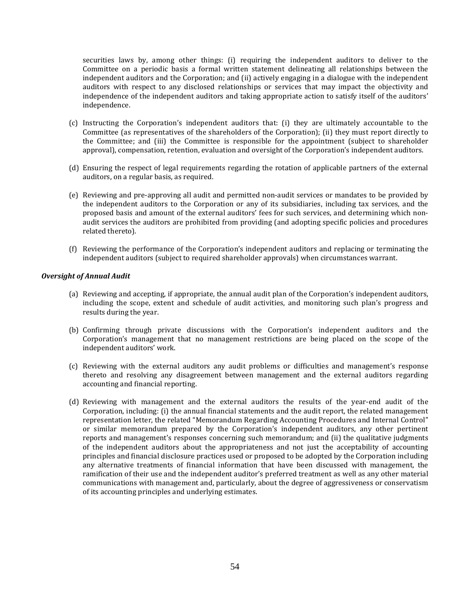securities laws by, among other things: (i) requiring the independent auditors to deliver to the Committee on a periodic basis a formal written statement delineating all relationships between the independent auditors and the Corporation; and (ii) actively engaging in a dialogue with the independent auditors with respect to any disclosed relationships or services that may impact the objectivity and independence of the independent auditors and taking appropriate action to satisfy itself of the auditors' independence.

- (c) Instructing the Corporation's independent auditors that: (i) they are ultimately accountable to the Committee (as representatives of the shareholders of the Corporation); (ii) they must report directly to the Committee; and (iii) the Committee is responsible for the appointment (subject to shareholder approval), compensation, retention, evaluation and oversight of the Corporation's independent auditors.
- (d) Ensuring the respect of legal requirements regarding the rotation of applicable partners of the external auditors, on a regular basis, as required.
- (e) Reviewing and pre-approving all audit and permitted non-audit services or mandates to be provided by the independent auditors to the Corporation or any of its subsidiaries, including tax services, and the proposed basis and amount of the external auditors' fees for such services, and determining which nonaudit services the auditors are prohibited from providing (and adopting specific policies and procedures related thereto).
- (f) Reviewing the performance of the Corporation's independent auditors and replacing or terminating the independent auditors (subject to required shareholder approvals) when circumstances warrant.

## *Oversight of Annual Audit*

- (a) Reviewing and accepting, if appropriate, the annual audit plan of the Corporation's independent auditors, including the scope, extent and schedule of audit activities, and monitoring such plan's progress and results during the year.
- (b) Confirming through private discussions with the Corporation's independent auditors and the Corporation's management that no management restrictions are being placed on the scope of the independent auditors' work.
- (c) Reviewing with the external auditors any audit problems or difficulties and management's response thereto and resolving any disagreement between management and the external auditors regarding accounting and financial reporting.
- (d) Reviewing with management and the external auditors the results of the year-end audit of the Corporation, including: (i) the annual financial statements and the audit report, the related management representation letter, the related "Memorandum Regarding Accounting Procedures and Internal Control" or similar memorandum prepared by the Corporation's independent auditors, any other pertinent reports and management's responses concerning such memorandum; and (ii) the qualitative judgments of the independent auditors about the appropriateness and not just the acceptability of accounting principles and financial disclosure practices used or proposed to be adopted by the Corporation including any alternative treatments of financial information that have been discussed with management, the ramification of their use and the independent auditor's preferred treatment as well as any other material communications with management and, particularly, about the degree of aggressiveness or conservatism of its accounting principles and underlying estimates.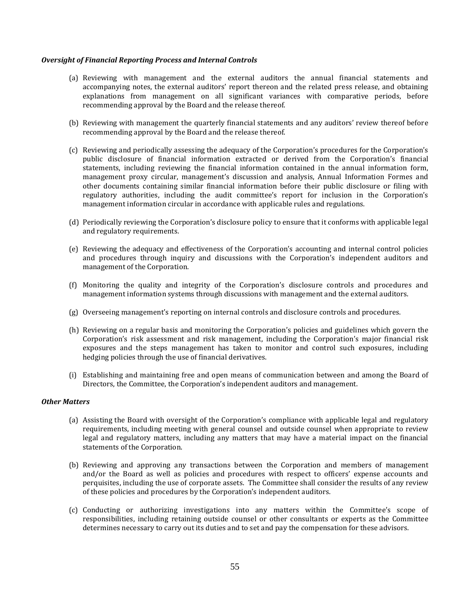#### *Oversight of Financial Reporting Process and Internal Controls*

- (a) Reviewing with management and the external auditors the annual financial statements and accompanying notes, the external auditors' report thereon and the related press release, and obtaining explanations from management on all significant variances with comparative periods, before recommending approval by the Board and the release thereof.
- (b) Reviewing with management the quarterly financial statements and any auditors' review thereof before recommending approval by the Board and the release thereof.
- (c) Reviewing and periodically assessing the adequacy of the Corporation's procedures for the Corporation's public disclosure of financial information extracted or derived from the Corporation's financial statements, including reviewing the financial information contained in the annual information form, management proxy circular, management's discussion and analysis, Annual Information Formes and other documents containing similar financial information before their public disclosure or filing with regulatory authorities, including the audit committee's report for inclusion in the Corporation's management information circular in accordance with applicable rules and regulations.
- (d) Periodically reviewing the Corporation's disclosure policy to ensure that it conforms with applicable legal and regulatory requirements.
- (e) Reviewing the adequacy and effectiveness of the Corporation's accounting and internal control policies and procedures through inquiry and discussions with the Corporation's independent auditors and management of the Corporation.
- (f) Monitoring the quality and integrity of the Corporation's disclosure controls and procedures and management information systems through discussions with management and the external auditors.
- (g) Overseeing management's reporting on internal controls and disclosure controls and procedures.
- (h) Reviewing on a regular basis and monitoring the Corporation's policies and guidelines which govern the Corporation's risk assessment and risk management, including the Corporation's major financial risk exposures and the steps management has taken to monitor and control such exposures, including hedging policies through the use of financial derivatives.
- (i) Establishing and maintaining free and open means of communication between and among the Board of Directors, the Committee, the Corporation's independent auditors and management.

#### *Other Matters*

- (a) Assisting the Board with oversight of the Corporation's compliance with applicable legal and regulatory requirements, including meeting with general counsel and outside counsel when appropriate to review legal and regulatory matters, including any matters that may have a material impact on the financial statements of the Corporation.
- (b) Reviewing and approving any transactions between the Corporation and members of management and/or the Board as well as policies and procedures with respect to officers' expense accounts and perquisites, including the use of corporate assets. The Committee shall consider the results of any review of these policies and procedures by the Corporation's independent auditors.
- (c) Conducting or authorizing investigations into any matters within the Committee's scope of responsibilities, including retaining outside counsel or other consultants or experts as the Committee determines necessary to carry out its duties and to set and pay the compensation for these advisors.